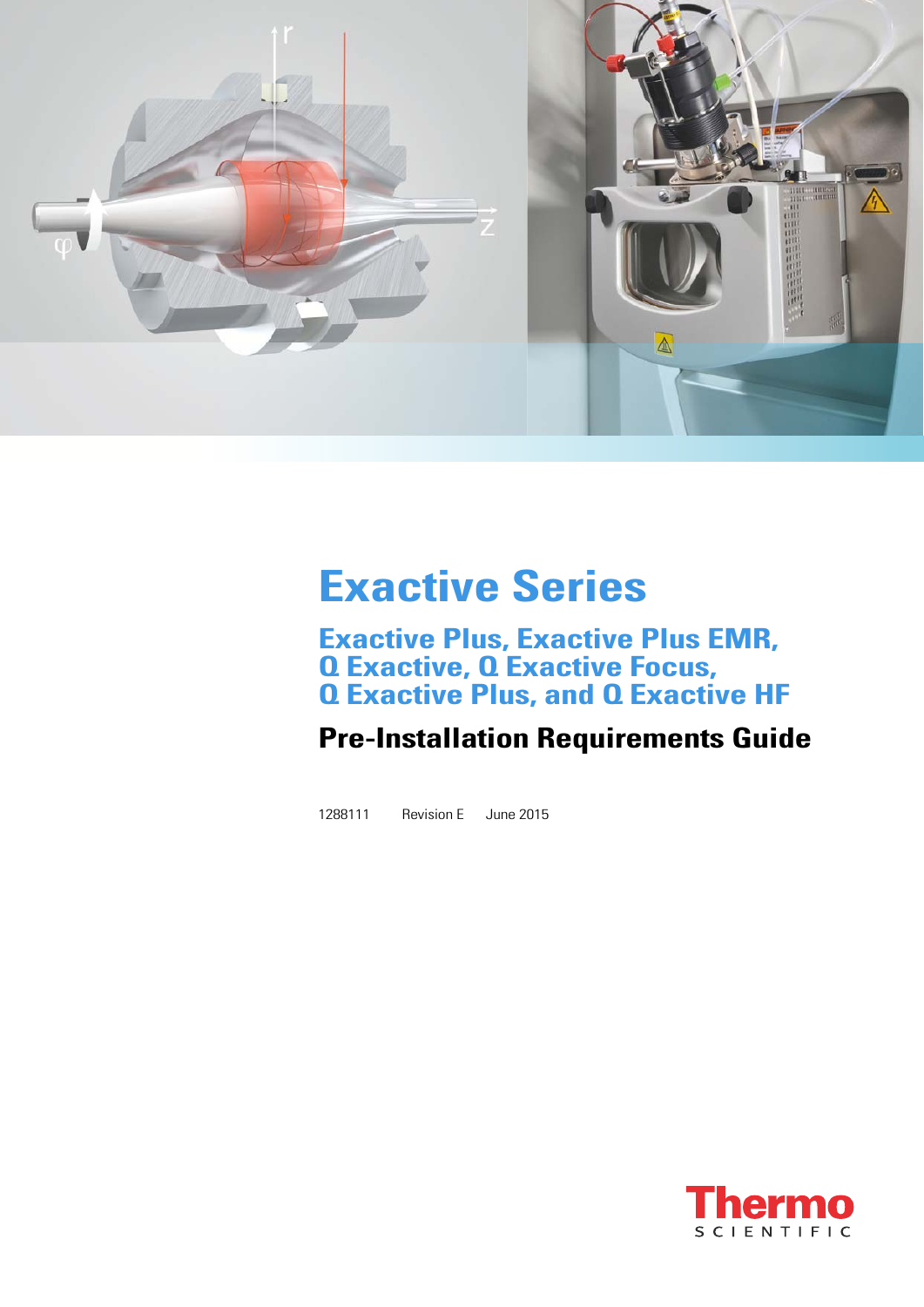

# **Exactive Series**

**Exactive Plus, Exactive Plus EMR, Q Exactive, Q Exactive Focus, Q Exactive Plus, and Q Exactive HF**

## **Pre-Installation Requirements Guide**

1288111 Revision E June 2015

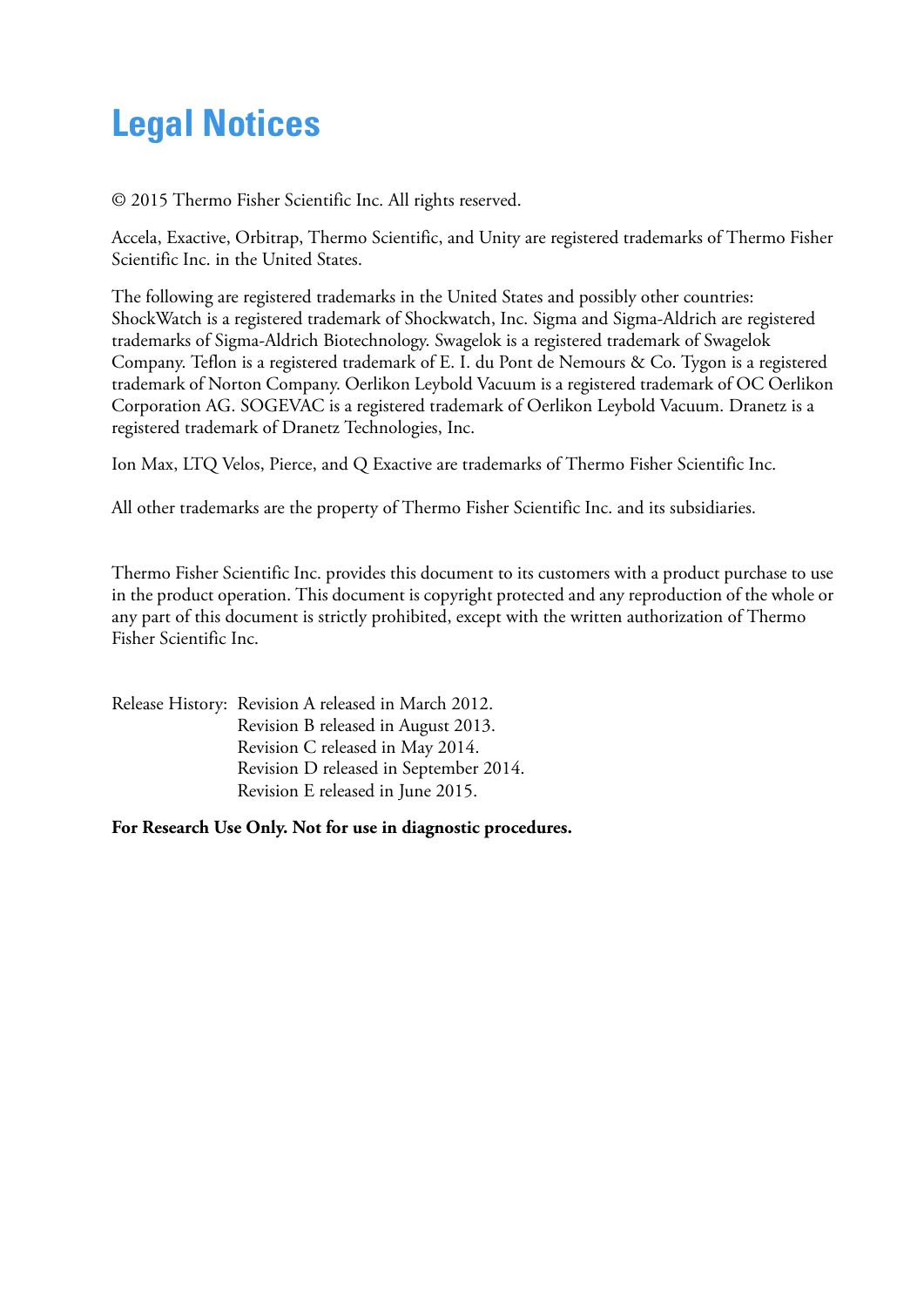# **Legal Notices**

© 2015 Thermo Fisher Scientific Inc. All rights reserved.

Accela, Exactive, Orbitrap, Thermo Scientific, and Unity are registered trademarks of Thermo Fisher Scientific Inc. in the United States.

The following are registered trademarks in the United States and possibly other countries: ShockWatch is a registered trademark of Shockwatch, Inc. Sigma and Sigma-Aldrich are registered trademarks of Sigma-Aldrich Biotechnology. Swagelok is a registered trademark of Swagelok Company. Teflon is a registered trademark of E. I. du Pont de Nemours & Co. Tygon is a registered trademark of Norton Company. Oerlikon Leybold Vacuum is a registered trademark of OC Oerlikon Corporation AG. SOGEVAC is a registered trademark of Oerlikon Leybold Vacuum. Dranetz is a registered trademark of Dranetz Technologies, Inc.

Ion Max, LTQ Velos, Pierce, and Q Exactive are trademarks of Thermo Fisher Scientific Inc.

All other trademarks are the property of Thermo Fisher Scientific Inc. and its subsidiaries.

Thermo Fisher Scientific Inc. provides this document to its customers with a product purchase to use in the product operation. This document is copyright protected and any reproduction of the whole or any part of this document is strictly prohibited, except with the written authorization of Thermo Fisher Scientific Inc.

| Release History: Revision A released in March 2012. |
|-----------------------------------------------------|
| Revision B released in August 2013.                 |
| Revision C released in May 2014.                    |
| Revision D released in September 2014.              |
| Revision E released in June 2015.                   |

**For Research Use Only. Not for use in diagnostic procedures.**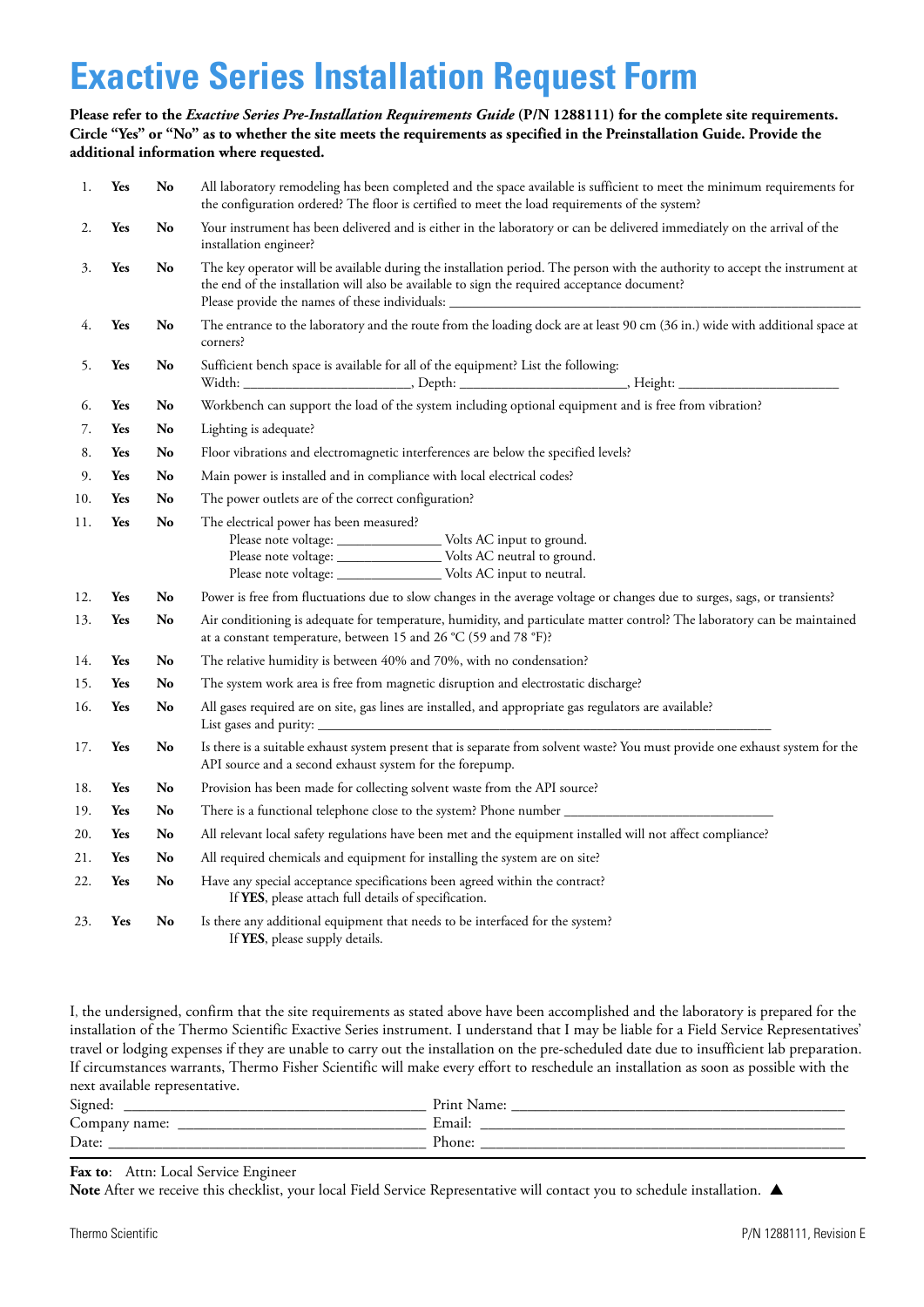# **Exactive Series Installation Request Form**

**Please refer to the** *Exactive Series Pre-Installation Requirements Guide* **(P/N 1288111) for the complete site requirements. Circle "Yes" or "No" as to whether the site meets the requirements as specified in the Preinstallation Guide. Provide the additional information where requested.**

| 1.  | Yes        | No | All laboratory remodeling has been completed and the space available is sufficient to meet the minimum requirements for<br>the configuration ordered? The floor is certified to meet the load requirements of the system?                                                                                         |  |  |  |  |  |  |  |
|-----|------------|----|-------------------------------------------------------------------------------------------------------------------------------------------------------------------------------------------------------------------------------------------------------------------------------------------------------------------|--|--|--|--|--|--|--|
| 2.  | Yes        | No | Your instrument has been delivered and is either in the laboratory or can be delivered immediately on the arrival of the<br>installation engineer?                                                                                                                                                                |  |  |  |  |  |  |  |
| 3.  | Yes        | No | The key operator will be available during the installation period. The person with the authority to accept the instrument at<br>the end of the installation will also be available to sign the required acceptance document?<br>Please provide the names of these individuals: __________________________________ |  |  |  |  |  |  |  |
| 4.  | Yes        | No | The entrance to the laboratory and the route from the loading dock are at least 90 cm (36 in.) wide with additional space at<br>corners?                                                                                                                                                                          |  |  |  |  |  |  |  |
| 5.  | Yes        | No | Sufficient bench space is available for all of the equipment? List the following:                                                                                                                                                                                                                                 |  |  |  |  |  |  |  |
| 6.  | Yes        | No | Workbench can support the load of the system including optional equipment and is free from vibration?                                                                                                                                                                                                             |  |  |  |  |  |  |  |
| 7.  | Yes        | No | Lighting is adequate?                                                                                                                                                                                                                                                                                             |  |  |  |  |  |  |  |
| 8.  | Yes        | No | Floor vibrations and electromagnetic interferences are below the specified levels?                                                                                                                                                                                                                                |  |  |  |  |  |  |  |
| 9.  | <b>Yes</b> | No | Main power is installed and in compliance with local electrical codes?                                                                                                                                                                                                                                            |  |  |  |  |  |  |  |
| 10. | Yes        | No | The power outlets are of the correct configuration?                                                                                                                                                                                                                                                               |  |  |  |  |  |  |  |
| 11. | Yes        | No | The electrical power has been measured?<br>Please note voltage: ______________________ Volts AC input to neutral.                                                                                                                                                                                                 |  |  |  |  |  |  |  |
| 12. | Yes        | No | Power is free from fluctuations due to slow changes in the average voltage or changes due to surges, sags, or transients?                                                                                                                                                                                         |  |  |  |  |  |  |  |
| 13. | Yes        | No | Air conditioning is adequate for temperature, humidity, and particulate matter control? The laboratory can be maintained<br>at a constant temperature, between 15 and 26 °C (59 and 78 °F)?                                                                                                                       |  |  |  |  |  |  |  |
| 14. | Yes        | No | The relative humidity is between 40% and 70%, with no condensation?                                                                                                                                                                                                                                               |  |  |  |  |  |  |  |
| 15. | Yes        | No | The system work area is free from magnetic disruption and electrostatic discharge?                                                                                                                                                                                                                                |  |  |  |  |  |  |  |
| 16. | Yes        | No | All gases required are on site, gas lines are installed, and appropriate gas regulators are available?                                                                                                                                                                                                            |  |  |  |  |  |  |  |
| 17. | Yes        | No | Is there is a suitable exhaust system present that is separate from solvent waste? You must provide one exhaust system for the<br>API source and a second exhaust system for the forepump.                                                                                                                        |  |  |  |  |  |  |  |
| 18. | <b>Yes</b> | No | Provision has been made for collecting solvent waste from the API source?                                                                                                                                                                                                                                         |  |  |  |  |  |  |  |
| 19. | Yes        | No |                                                                                                                                                                                                                                                                                                                   |  |  |  |  |  |  |  |
| 20. | Yes        | No | All relevant local safety regulations have been met and the equipment installed will not affect compliance?                                                                                                                                                                                                       |  |  |  |  |  |  |  |
| 21. | Yes        | No | All required chemicals and equipment for installing the system are on site?                                                                                                                                                                                                                                       |  |  |  |  |  |  |  |
| 22. | Yes        | No | Have any special acceptance specifications been agreed within the contract?<br>If YES, please attach full details of specification.                                                                                                                                                                               |  |  |  |  |  |  |  |
| 23. | Yes        | No | Is there any additional equipment that needs to be interfaced for the system?<br>If YES, please supply details.                                                                                                                                                                                                   |  |  |  |  |  |  |  |

I, the undersigned, confirm that the site requirements as stated above have been accomplished and the laboratory is prepared for the installation of the Thermo Scientific Exactive Series instrument. I understand that I may be liable for a Field Service Representatives' travel or lodging expenses if they are unable to carry out the installation on the pre-scheduled date due to insufficient lab preparation. If circumstances warrants, Thermo Fisher Scientific will make every effort to reschedule an installation as soon as possible with the next available representative.

| Sioner               | りゃっゃ<br>$\overline{\phantom{a}}$<br>. |
|----------------------|---------------------------------------|
| $\sqrt{2}$<br>$\sim$ | $\cdots$<br>nai                       |
| Date                 | Phon                                  |

**Fax to**: Attn: Local Service Engineer

Note After we receive this checklist, your local Field Service Representative will contact you to schedule installation. ▲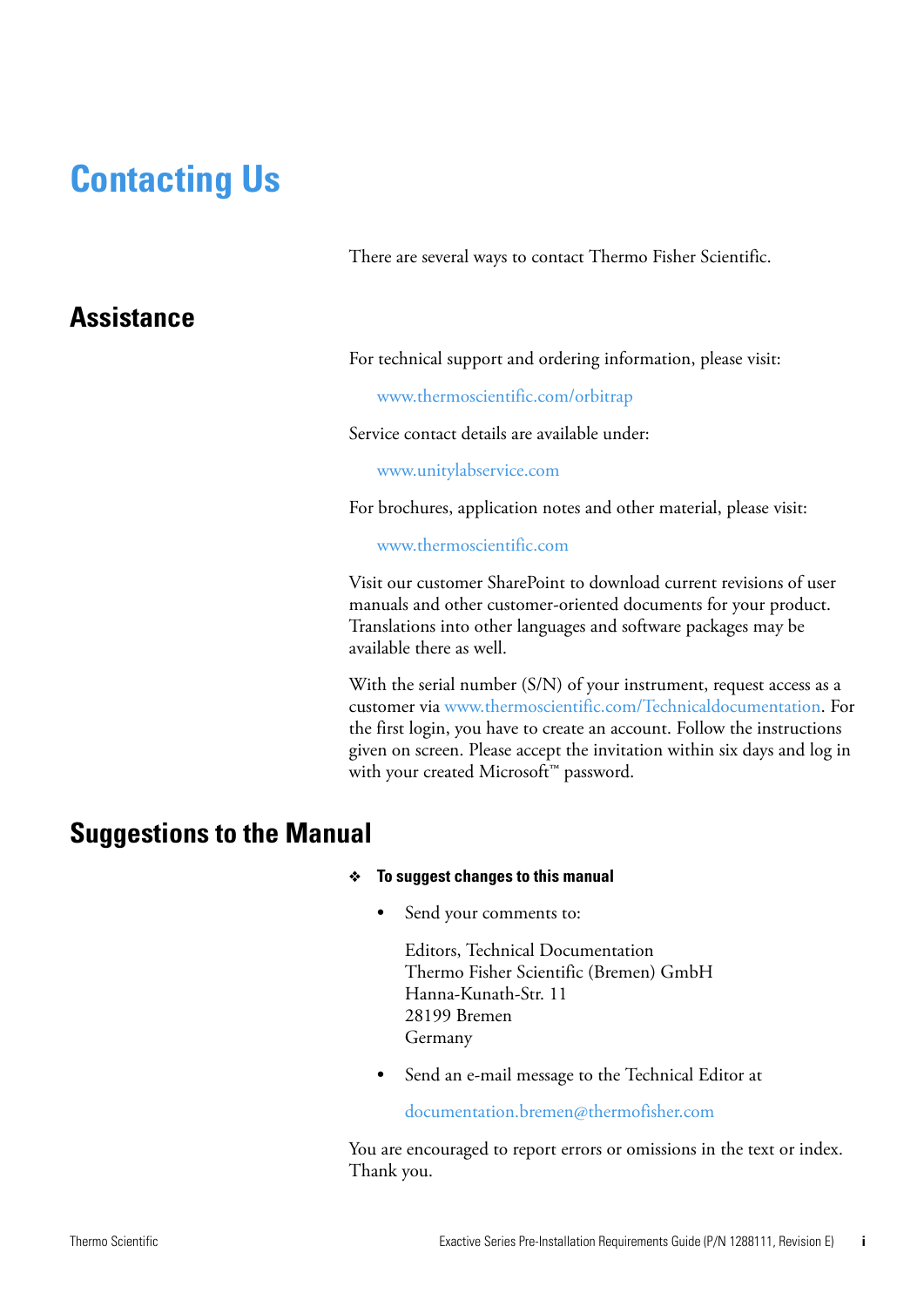# <span id="page-4-0"></span>**Contacting Us**

There are several ways to contact Thermo Fisher Scientific.

## **Assistance**

For technical support and ordering information, please visit:

[www.thermoscientific.com/orbitrap](http://www.thermoscientific.com/orbitrap)

Service contact details are available under:

[www.unitylabservice.com](http://www.unitylabservice.com/)

For brochures, application notes and other material, please visit:

#### [www.thermoscientific.com](http://www.thermoscientific.com)

Visit our customer SharePoint to download current revisions of user manuals and other customer-oriented documents for your product. Translations into other languages and software packages may be available there as well.

With the serial number (S/N) of your instrument, request access as a customer via [www.thermoscientific.com/Technicaldocumentation](http://www.thermoscientific.com/Technicaldocumentation). For the first login, you have to create an account. Follow the instructions given on screen. Please accept the invitation within six days and log in with your created Microsoft™ password.

## **Suggestions to the Manual**

#### ❖ **To suggest changes to this manual**

**•** Send your comments to:

Editors, Technical Documentation Thermo Fisher Scientific (Bremen) GmbH Hanna-Kunath-Str. 11 28199 Bremen Germany

**•** Send an e-mail message to the Technical Editor at

[documentation.bremen@thermofisher.com](mailto:documentation.bremen@thermofisher.com)

You are encouraged to report errors or omissions in the text or index. Thank you.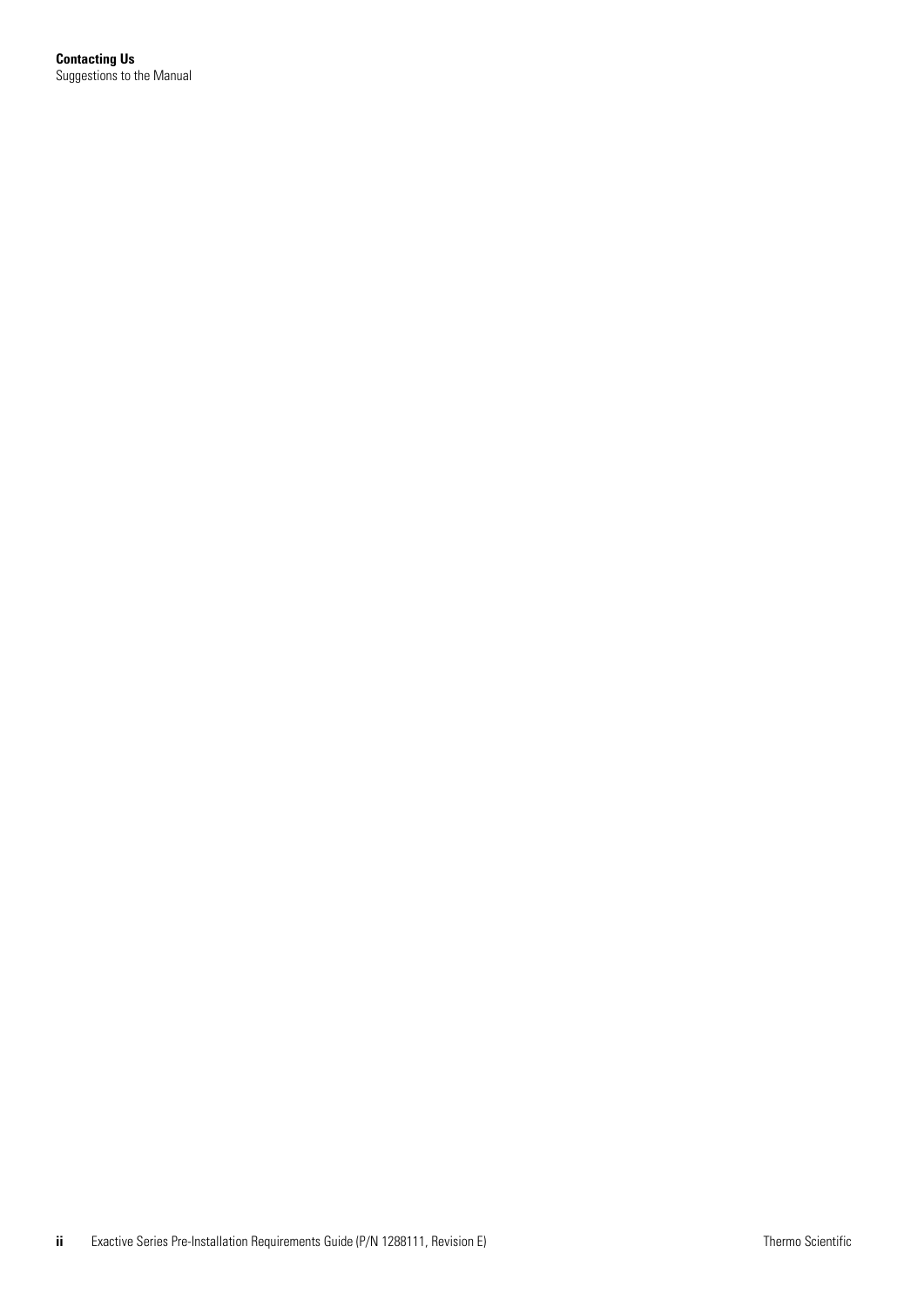**Contacting Us** Suggestions to the Manual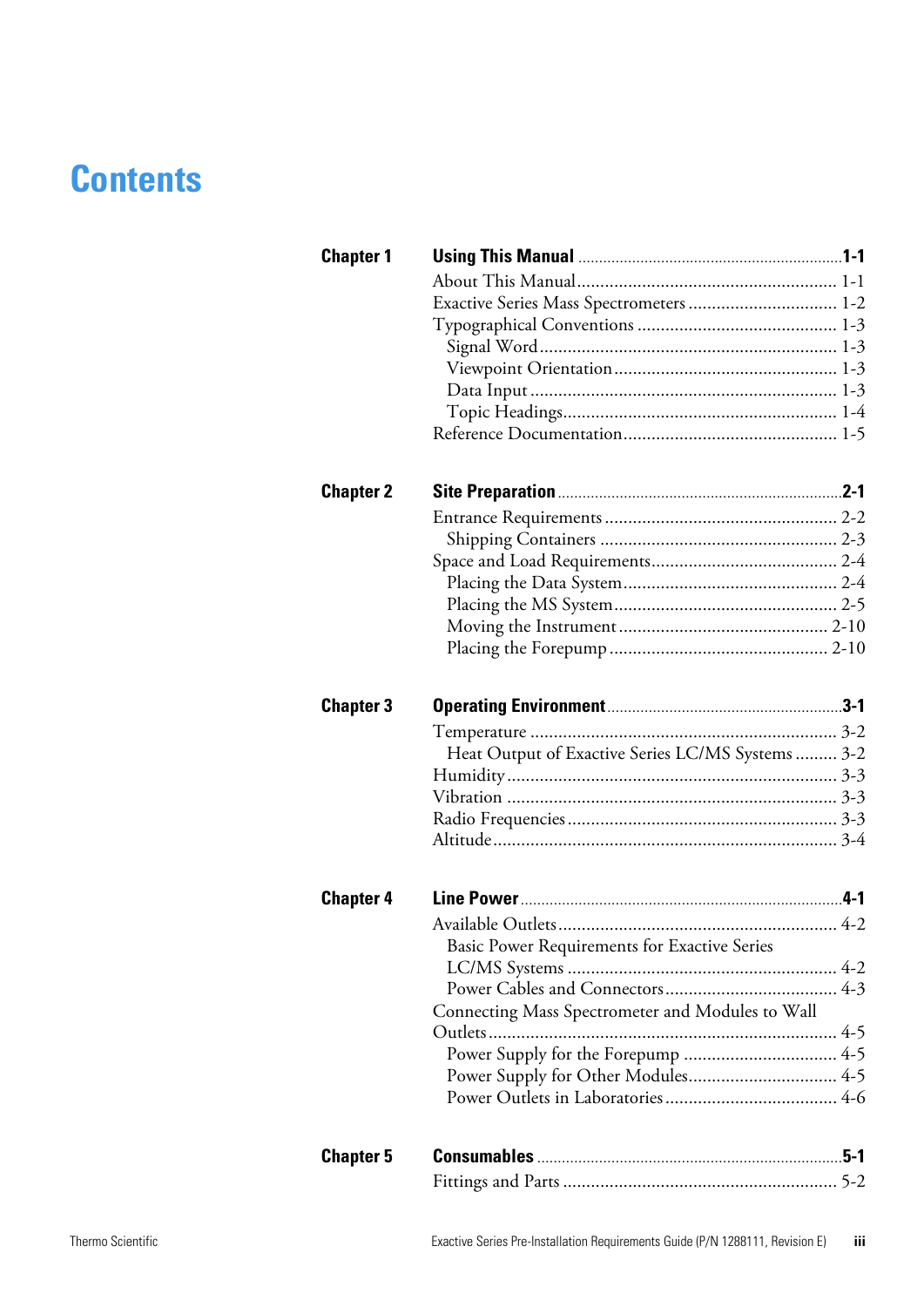# **Contents**

| <b>Chapter 1</b> |                                                     |  |
|------------------|-----------------------------------------------------|--|
|                  |                                                     |  |
|                  | Exactive Series Mass Spectrometers  1-2             |  |
|                  |                                                     |  |
|                  |                                                     |  |
|                  |                                                     |  |
|                  |                                                     |  |
|                  |                                                     |  |
|                  |                                                     |  |
| <b>Chapter 2</b> |                                                     |  |
|                  |                                                     |  |
|                  |                                                     |  |
|                  |                                                     |  |
|                  |                                                     |  |
|                  |                                                     |  |
|                  |                                                     |  |
|                  |                                                     |  |
|                  |                                                     |  |
| <b>Chapter 3</b> |                                                     |  |
|                  |                                                     |  |
|                  | Heat Output of Exactive Series LC/MS Systems  3-2   |  |
|                  |                                                     |  |
|                  |                                                     |  |
|                  |                                                     |  |
|                  |                                                     |  |
| <b>Chapter 4</b> |                                                     |  |
|                  |                                                     |  |
|                  |                                                     |  |
|                  | <b>Basic Power Requirements for Exactive Series</b> |  |
|                  |                                                     |  |
|                  |                                                     |  |
|                  | Connecting Mass Spectrometer and Modules to Wall    |  |
|                  |                                                     |  |
|                  |                                                     |  |
|                  | Power Supply for Other Modules 4-5                  |  |
|                  |                                                     |  |
| <b>Chapter 5</b> |                                                     |  |
|                  |                                                     |  |
|                  |                                                     |  |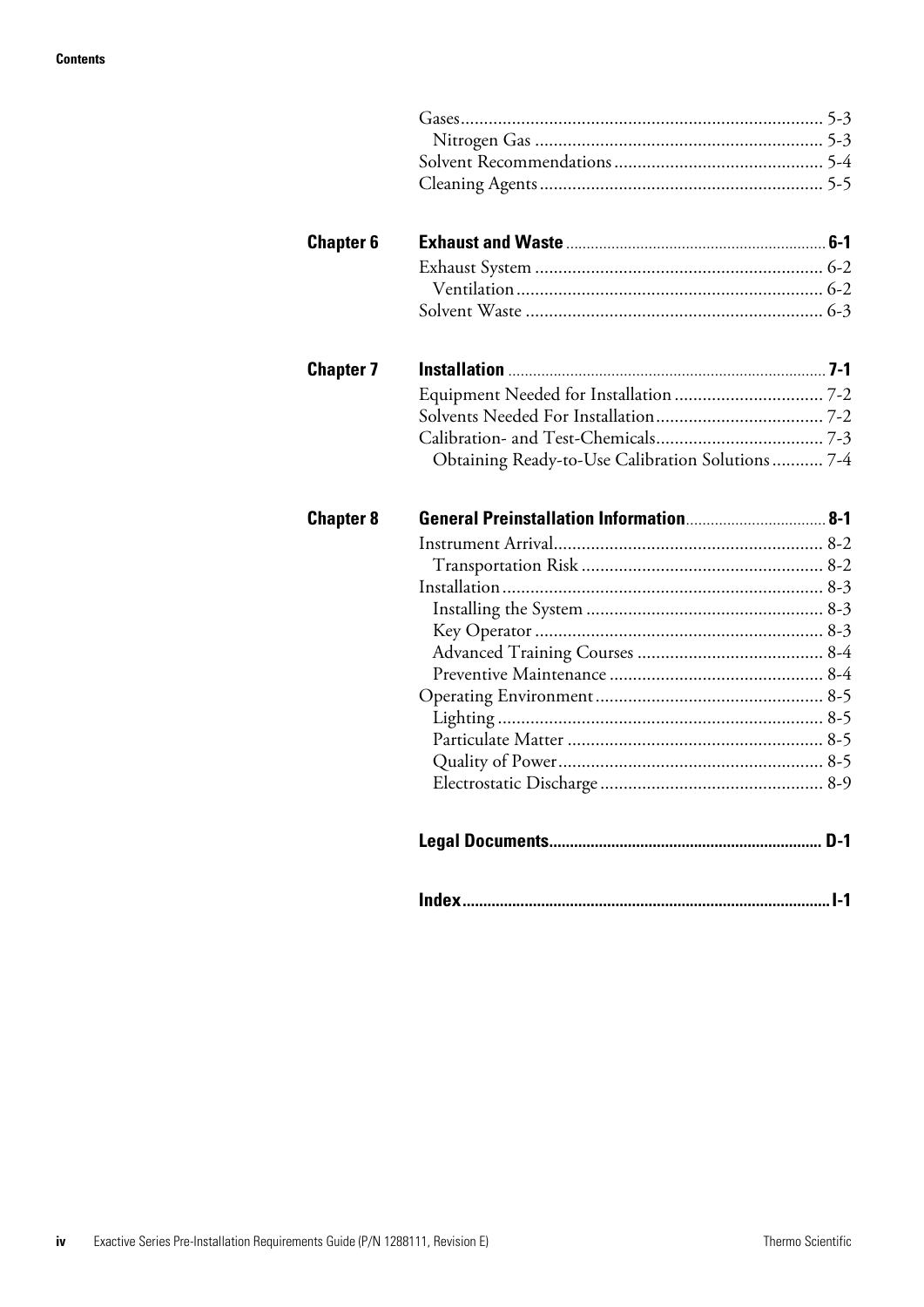| <b>Chapter 6</b> |                                                  |
|------------------|--------------------------------------------------|
|                  |                                                  |
|                  |                                                  |
|                  |                                                  |
| <b>Chapter 7</b> |                                                  |
|                  |                                                  |
|                  |                                                  |
|                  |                                                  |
|                  | Obtaining Ready-to-Use Calibration Solutions 7-4 |
|                  |                                                  |
| <b>Chapter 8</b> | General Preinstallation Information 8-1          |
|                  |                                                  |
|                  |                                                  |
|                  |                                                  |
|                  |                                                  |
|                  |                                                  |
|                  |                                                  |
|                  |                                                  |
|                  |                                                  |
|                  |                                                  |
|                  |                                                  |
|                  |                                                  |
|                  |                                                  |
|                  |                                                  |
|                  |                                                  |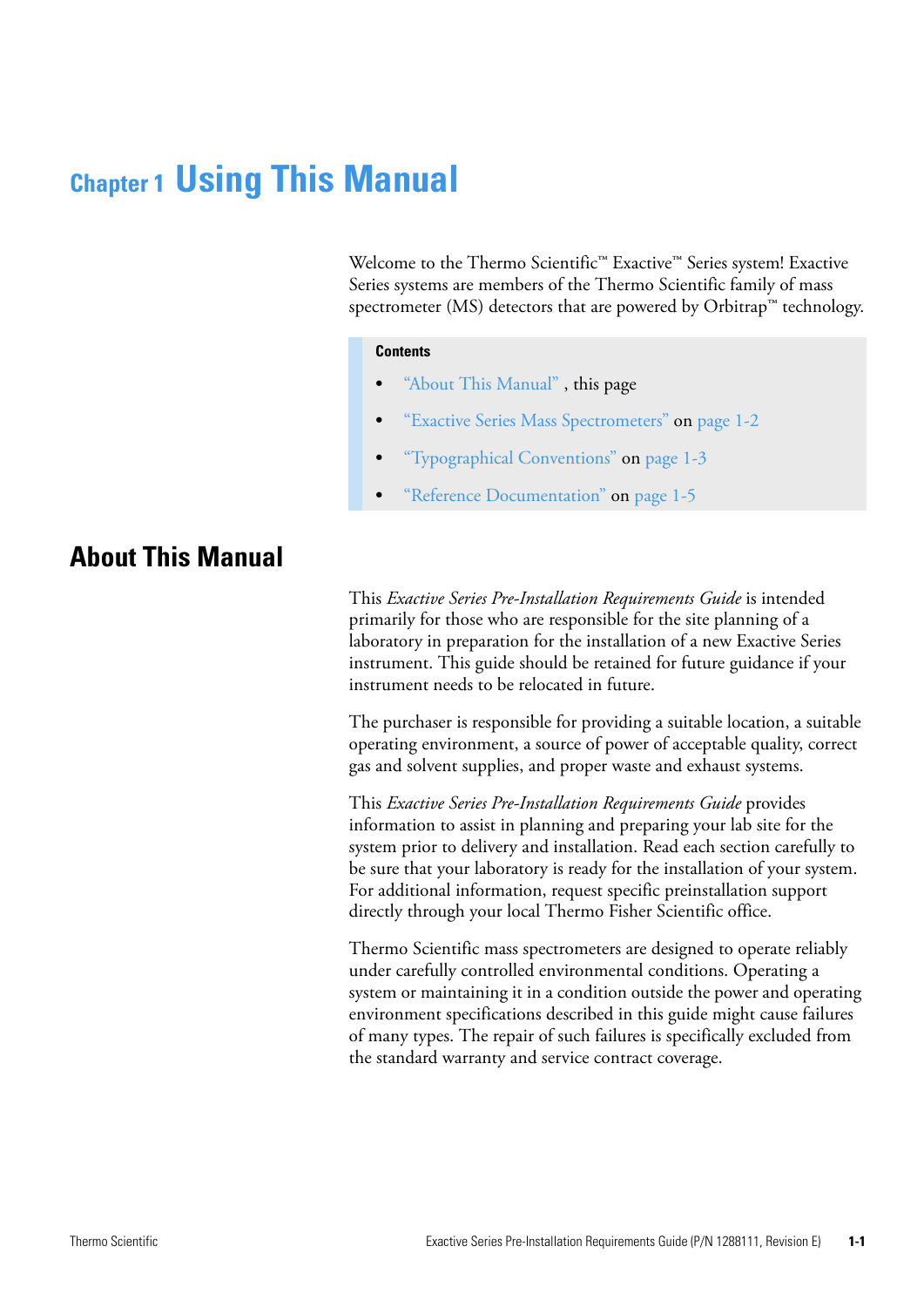# <span id="page-8-0"></span>**Chapter 1 Using This Manual**

Welcome to the Thermo Scientific<sup>™</sup> Exactive<sup>™</sup> Series system! Exactive Series systems are members of the Thermo Scientific family of mass spectrometer (MS) detectors that are powered by Orbitrap™ technology.

#### **Contents**

- **•** ["About This Manual"](#page-8-1) , this page
- **•** ["Exactive Series Mass Spectrometers" on page 1-2](#page-9-0)
- **•** ["Typographical Conventions" on page 1-3](#page-10-0)
- **•** ["Reference Documentation" on page 1-5](#page-12-0)

## <span id="page-8-1"></span>**About This Manual**

This *Exactive Series Pre-Installation Requirements Guide* is intended primarily for those who are responsible for the site planning of a laboratory in preparation for the installation of a new Exactive Series instrument. This guide should be retained for future guidance if your instrument needs to be relocated in future.

<span id="page-8-4"></span>The purchaser is responsible for providing a suitable location, a suitable operating environment, a source of power of acceptable quality, correct gas and solvent supplies, and proper waste and exhaust systems.

This *Exactive Series Pre-Installation Requirements Guide* provides information to assist in planning and preparing your lab site for the system prior to delivery and installation. Read each section carefully to be sure that your laboratory is ready for the installation of your system. For additional information, request specific preinstallation support directly through your local Thermo Fisher Scientific office.

<span id="page-8-3"></span><span id="page-8-2"></span>Thermo Scientific mass spectrometers are designed to operate reliably under carefully controlled environmental conditions. Operating a system or maintaining it in a condition outside the power and operating environment specifications described in this guide might cause failures of many types. The repair of such failures is specifically excluded from the standard warranty and service contract coverage.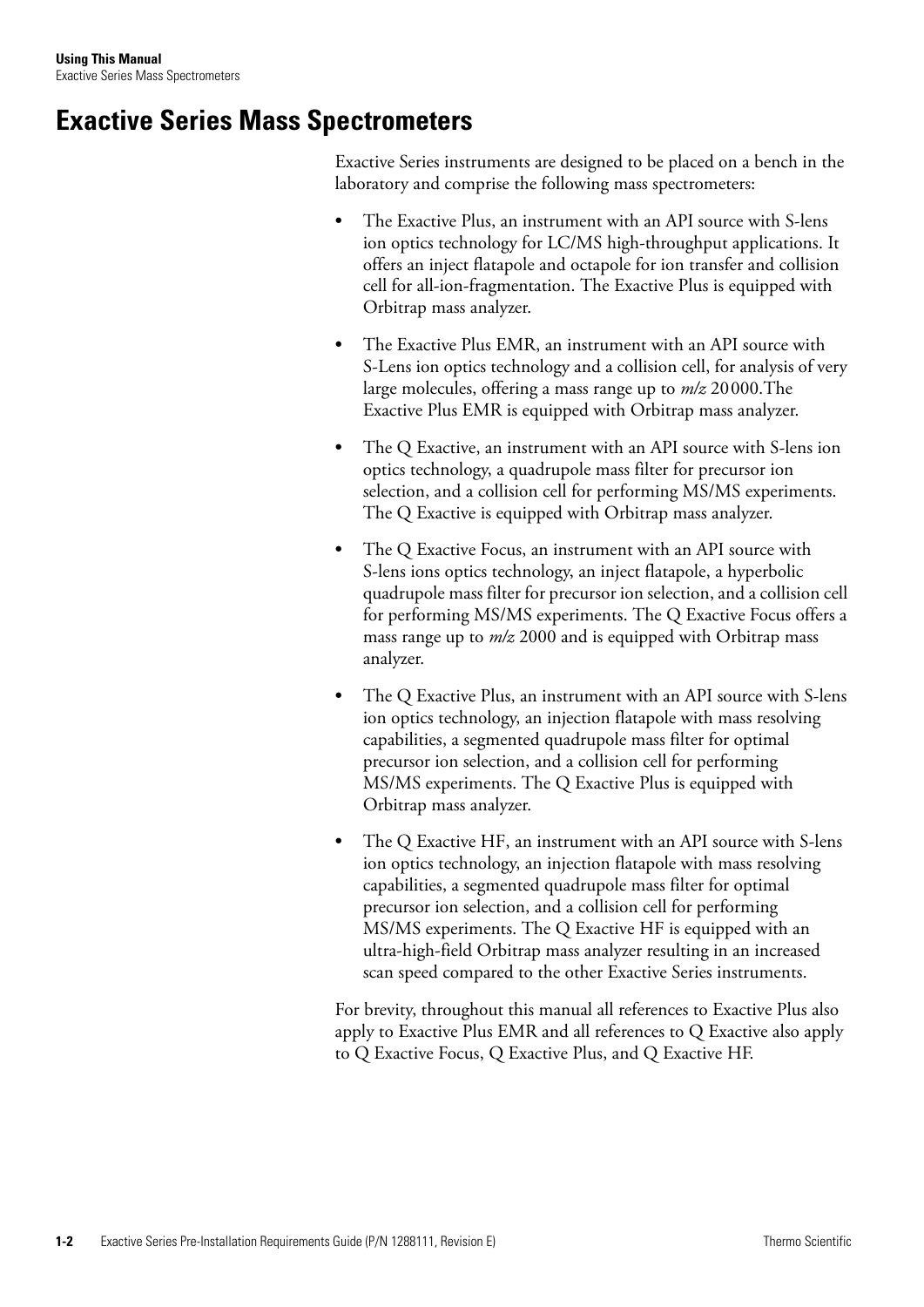## <span id="page-9-0"></span>**Exactive Series Mass Spectrometers**

Exactive Series instruments are designed to be placed on a bench in the laboratory and comprise the following mass spectrometers:

- **•** The Exactive Plus, an instrument with an API source with S-lens ion optics technology for LC/MS high-throughput applications. It offers an inject flatapole and octapole for ion transfer and collision cell for all-ion-fragmentation. The Exactive Plus is equipped with Orbitrap mass analyzer.
- **•** The Exactive Plus EMR, an instrument with an API source with S-Lens ion optics technology and a collision cell, for analysis of very large molecules, offering a mass range up to *m/z* 20000.The Exactive Plus EMR is equipped with Orbitrap mass analyzer.
- **•** The Q Exactive, an instrument with an API source with S-lens ion optics technology, a quadrupole mass filter for precursor ion selection, and a collision cell for performing MS/MS experiments. The Q Exactive is equipped with Orbitrap mass analyzer.
- **•** The Q Exactive Focus, an instrument with an API source with S-lens ions optics technology, an inject flatapole, a hyperbolic quadrupole mass filter for precursor ion selection, and a collision cell for performing MS/MS experiments. The Q Exactive Focus offers a mass range up to *m/z* 2000 and is equipped with Orbitrap mass analyzer.
- **•** The Q Exactive Plus, an instrument with an API source with S-lens ion optics technology, an injection flatapole with mass resolving capabilities, a segmented quadrupole mass filter for optimal precursor ion selection, and a collision cell for performing MS/MS experiments. The Q Exactive Plus is equipped with Orbitrap mass analyzer.
- **•** The Q Exactive HF, an instrument with an API source with S-lens ion optics technology, an injection flatapole with mass resolving capabilities, a segmented quadrupole mass filter for optimal precursor ion selection, and a collision cell for performing MS/MS experiments. The Q Exactive HF is equipped with an ultra-high-field Orbitrap mass analyzer resulting in an increased scan speed compared to the other Exactive Series instruments.

For brevity, throughout this manual all references to Exactive Plus also apply to Exactive Plus EMR and all references to Q Exactive also apply to Q Exactive Focus, Q Exactive Plus, and Q Exactive HF.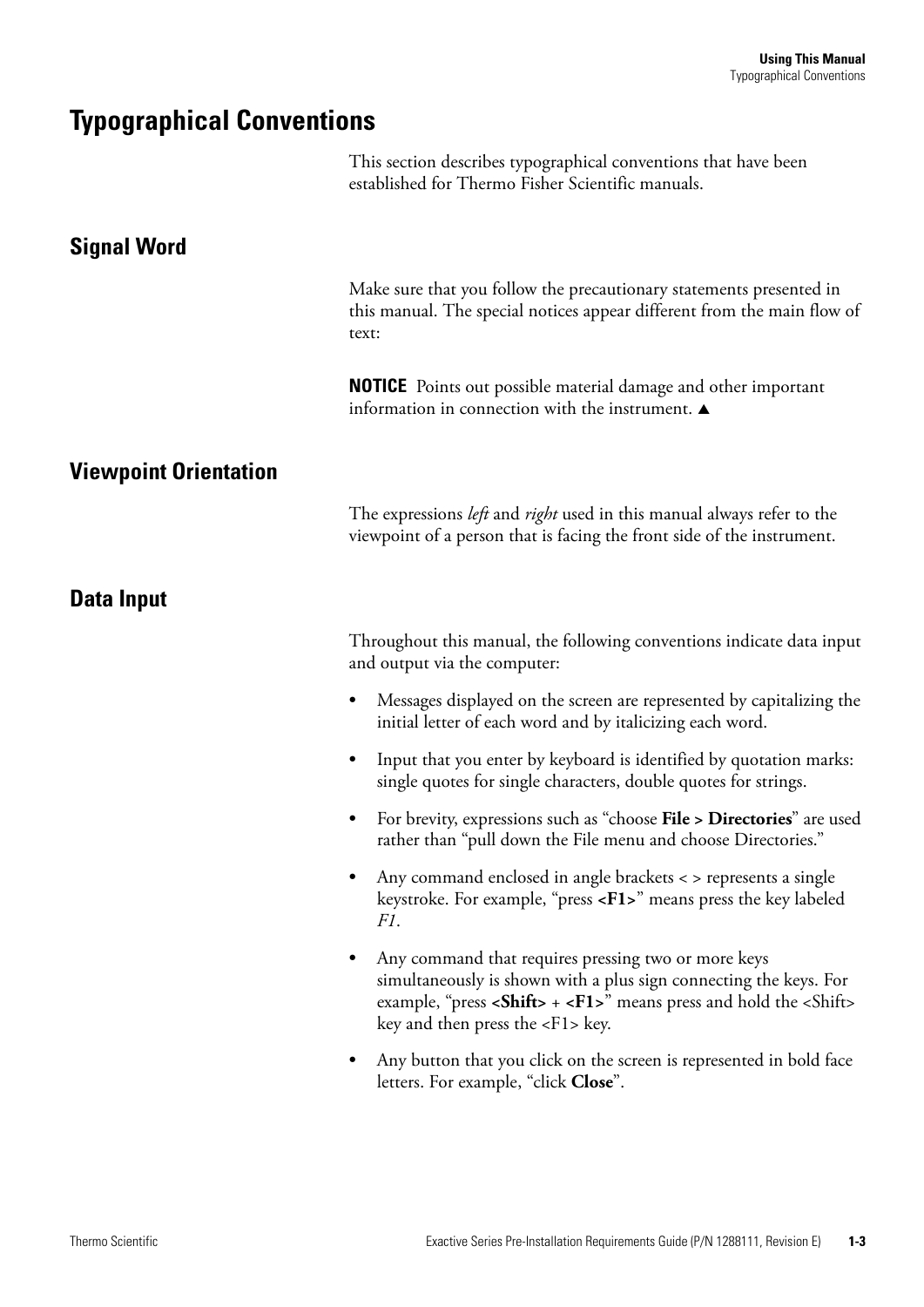## <span id="page-10-0"></span>**Typographical Conventions**

<span id="page-10-3"></span><span id="page-10-2"></span><span id="page-10-1"></span>

|                              | This section describes typographical conventions that have been<br>established for Thermo Fisher Scientific manuals.                                                                                                                                                                                   |  |  |  |  |  |
|------------------------------|--------------------------------------------------------------------------------------------------------------------------------------------------------------------------------------------------------------------------------------------------------------------------------------------------------|--|--|--|--|--|
| <b>Signal Word</b>           |                                                                                                                                                                                                                                                                                                        |  |  |  |  |  |
|                              | Make sure that you follow the precautionary statements presented in<br>this manual. The special notices appear different from the main flow of<br>text:                                                                                                                                                |  |  |  |  |  |
|                              | <b>NOTICE</b> Points out possible material damage and other important<br>information in connection with the instrument. $\blacktriangle$                                                                                                                                                               |  |  |  |  |  |
| <b>Viewpoint Orientation</b> |                                                                                                                                                                                                                                                                                                        |  |  |  |  |  |
|                              | The expressions <i>left</i> and <i>right</i> used in this manual always refer to the<br>viewpoint of a person that is facing the front side of the instrument.                                                                                                                                         |  |  |  |  |  |
| Data Input                   |                                                                                                                                                                                                                                                                                                        |  |  |  |  |  |
|                              | Throughout this manual, the following conventions indicate data input<br>and output via the computer:                                                                                                                                                                                                  |  |  |  |  |  |
|                              | Messages displayed on the screen are represented by capitalizing the<br>$\bullet$<br>initial letter of each word and by italicizing each word.                                                                                                                                                         |  |  |  |  |  |
|                              | Input that you enter by keyboard is identified by quotation marks:<br>٠<br>single quotes for single characters, double quotes for strings.                                                                                                                                                             |  |  |  |  |  |
|                              | For brevity, expressions such as "choose File > Directories" are used<br>$\bullet$<br>rather than "pull down the File menu and choose Directories."                                                                                                                                                    |  |  |  |  |  |
|                              | Any command enclosed in angle brackets < > represents a single<br>keystroke. For example, "press <f1>" means press the key labeled<br/>F1.</f1>                                                                                                                                                        |  |  |  |  |  |
|                              | Any command that requires pressing two or more keys<br>$\bullet$<br>simultaneously is shown with a plus sign connecting the keys. For<br>example, "press <shift> + <f1>" means press and hold the <shift><br/>key and then press the <math>\langle</math>F1<math>&gt;</math> key.</shift></f1></shift> |  |  |  |  |  |
|                              | Any button that you click on the screen is represented in bold face<br>letters. For example, "click Close".                                                                                                                                                                                            |  |  |  |  |  |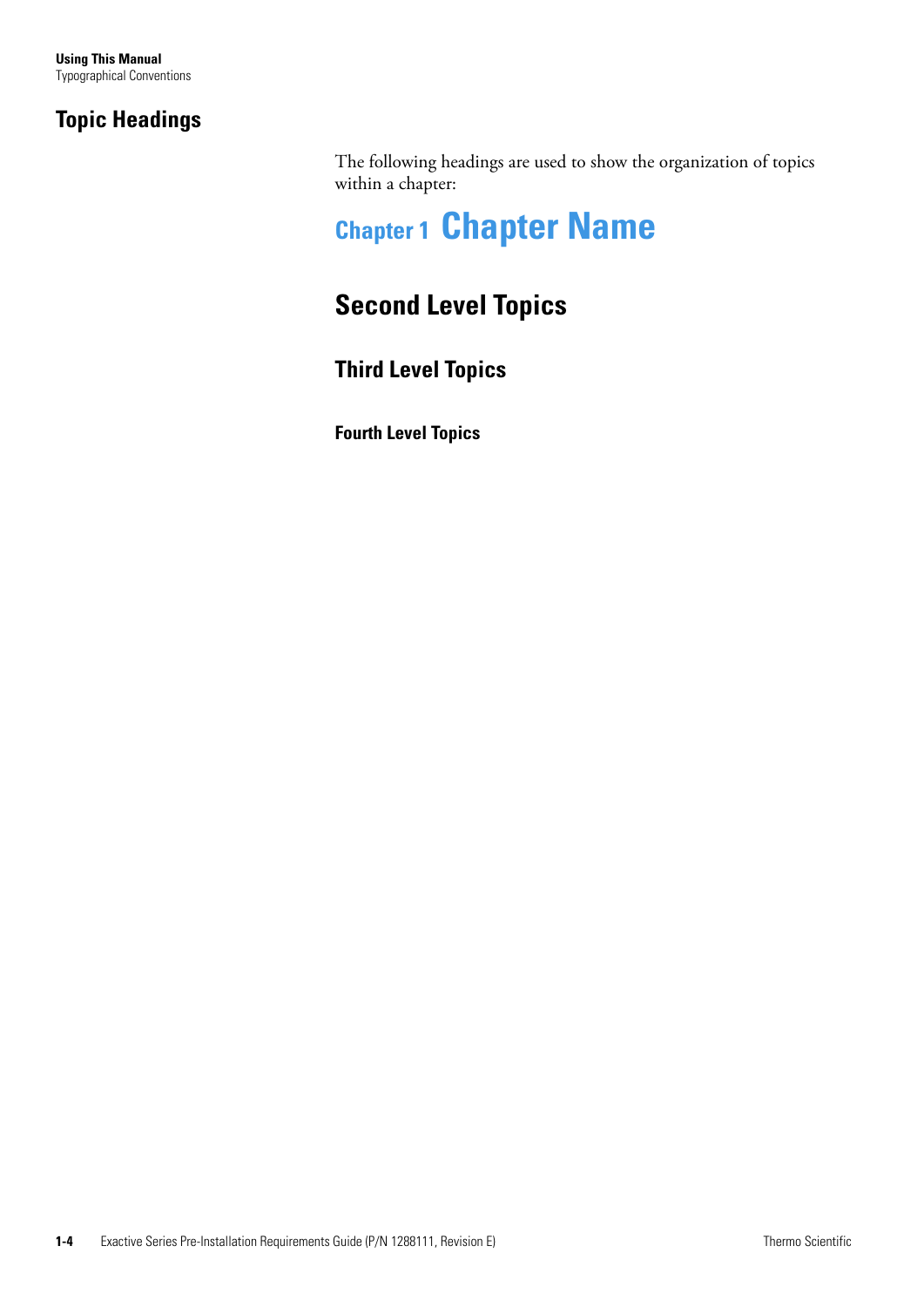## <span id="page-11-0"></span>**Topic Headings**

The following headings are used to show the organization of topics within a chapter:

# **Chapter 1 Chapter Name**

## **Second Level Topics**

**Third Level Topics**

**Fourth Level Topics**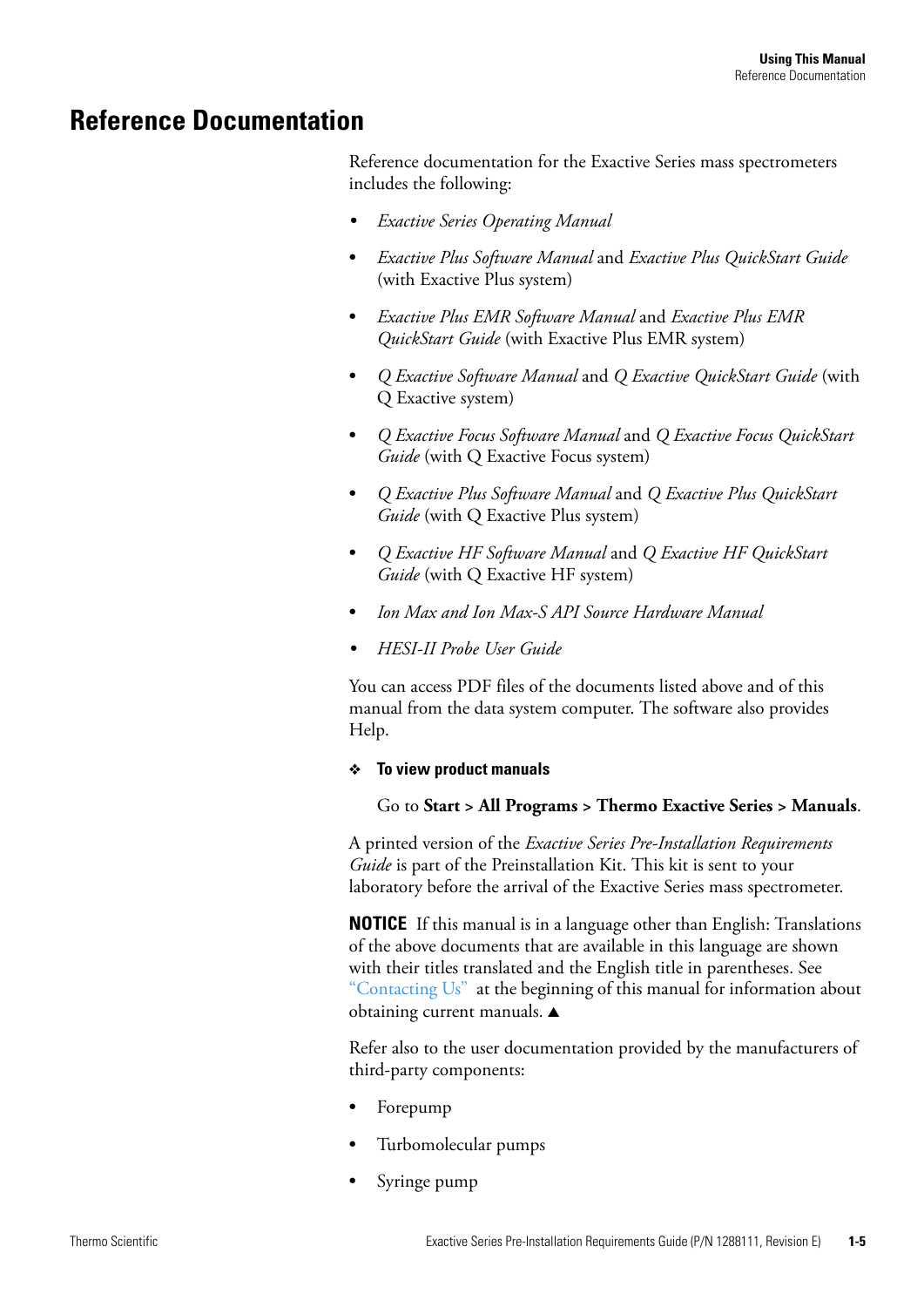## <span id="page-12-0"></span>**Reference Documentation**

Reference documentation for the Exactive Series mass spectrometers includes the following:

- *• Exactive Series Operating Manual*
- **•** *Exactive Plus Software Manual* and *Exactive Plus QuickStart Guide*  (with Exactive Plus system)
- **•** *Exactive Plus EMR Software Manual* and *Exactive Plus EMR QuickStart Guide* (with Exactive Plus EMR system)
- **•** *Q Exactive Software Manual* and *Q Exactive QuickStart Guide* (with Q Exactive system)
- **•** *Q Exactive Focus Software Manual* and *Q Exactive Focus QuickStart Guide* (with Q Exactive Focus system)
- **•** *Q Exactive Plus Software Manual* and *Q Exactive Plus QuickStart Guide* (with Q Exactive Plus system)
- **•** *Q Exactive HF Software Manual* and *Q Exactive HF QuickStart Guide* (with Q Exactive HF system)
- **•** *Ion Max and Ion Max-S API Source Hardware Manual*
- *• HESI-II Probe User Guide*

You can access PDF files of the documents listed above and of this manual from the data system computer. The software also provides Help.

#### ❖ **To view product manuals**

#### <span id="page-12-1"></span>Go to **Start > All Programs > Thermo Exactive Series > Manuals**.

A printed version of the *Exactive Series Pre-Installation Requirements Guide* is part of the Preinstallation Kit. This kit is sent to your laboratory before the arrival of the Exactive Series mass spectrometer.

**NOTICE** If this manual is in a language other than English: Translations of the above documents that are available in this language are shown with their titles translated and the English title in parentheses. See ["Contacting Us"](#page-4-0) at the beginning of this manual for information about obtaining current manuals. ▲

<span id="page-12-2"></span>Refer also to the user documentation provided by the manufacturers of third-party components:

- **•** Forepump
- **•** Turbomolecular pumps
- **•** Syringe pump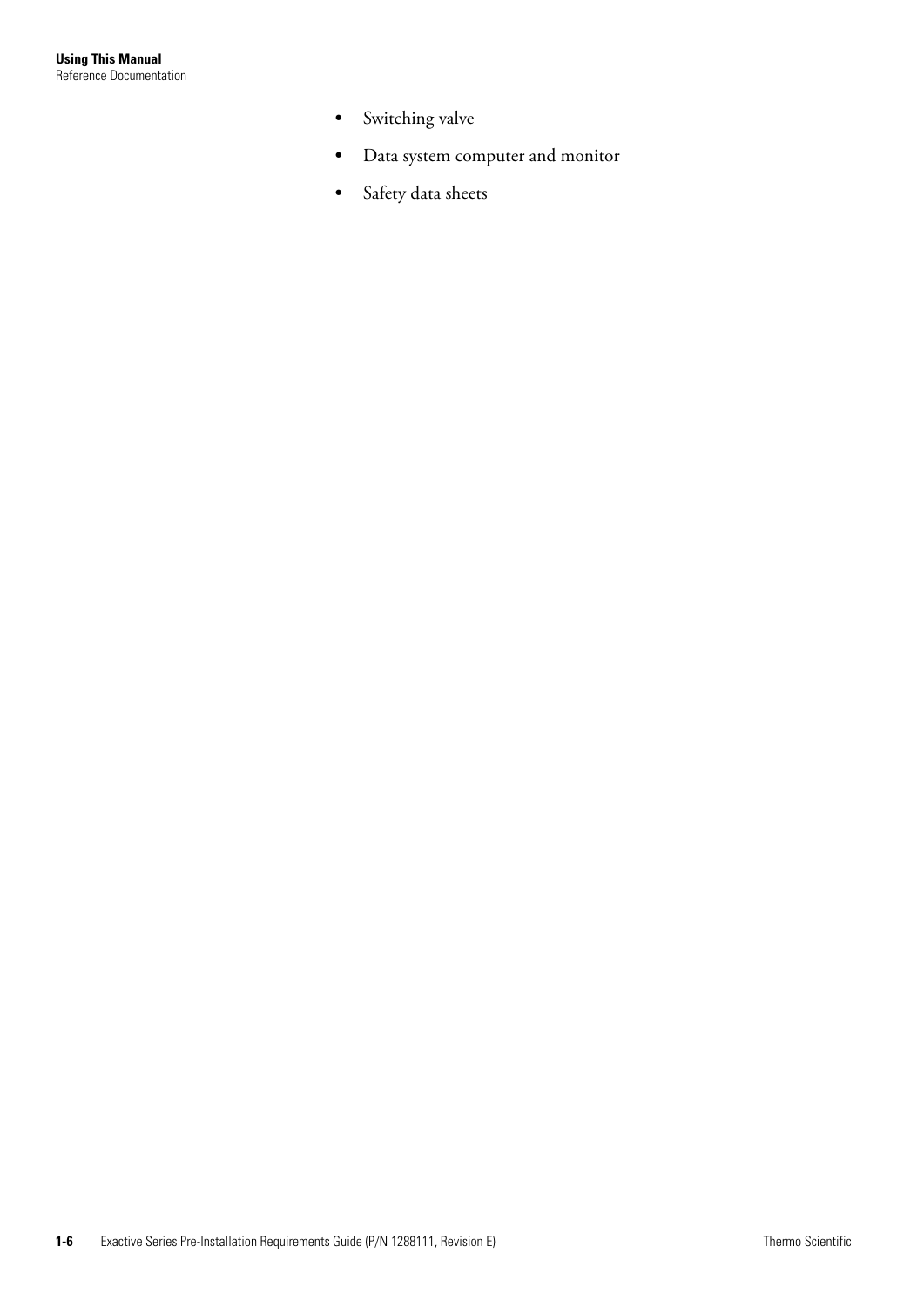- **•** Switching valve
- **•** Data system computer and monitor
- **•** Safety data sheets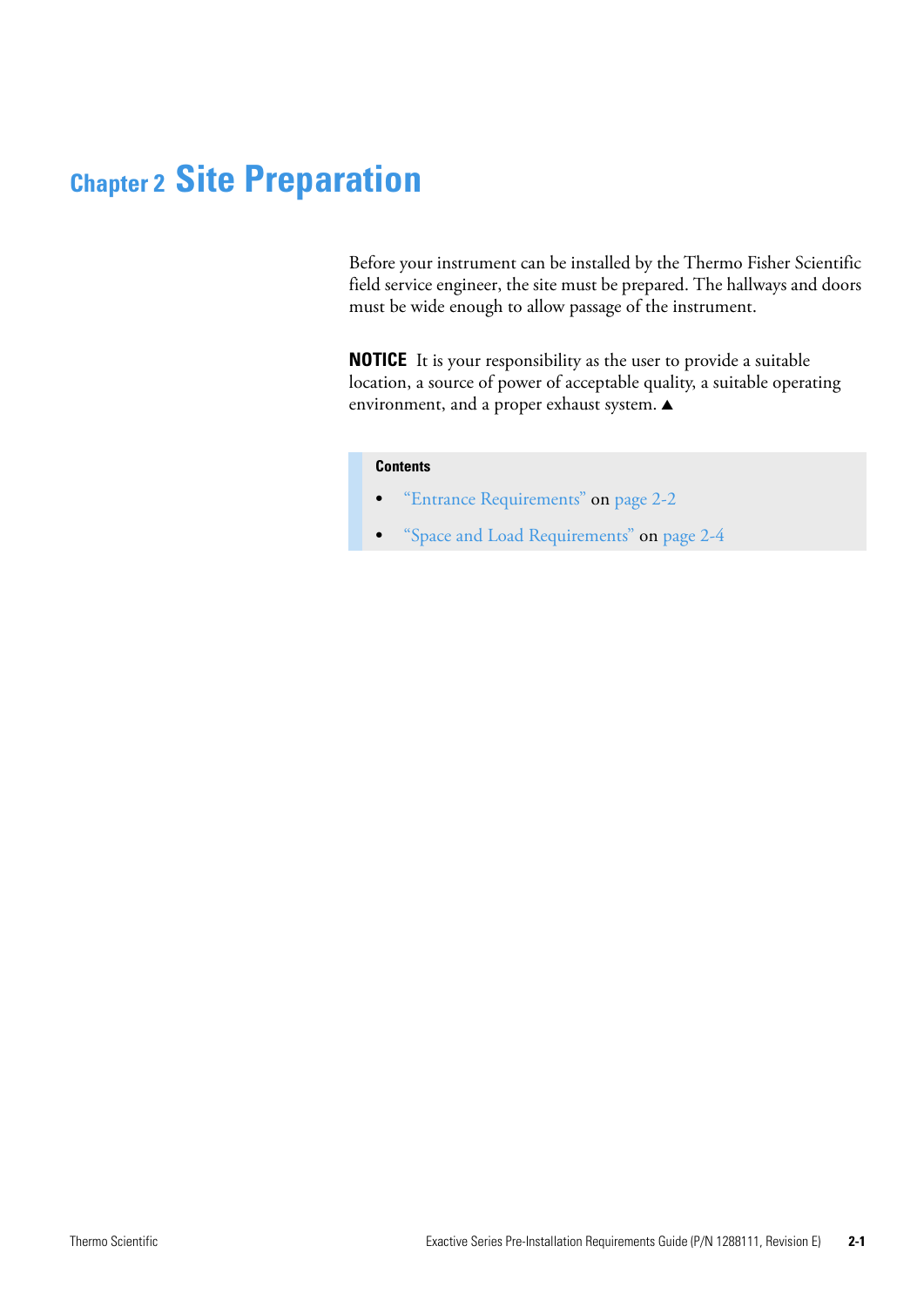# <span id="page-14-0"></span>**Chapter 2 Site Preparation**

Before your instrument can be installed by the Thermo Fisher Scientific field service engineer, the site must be prepared. The hallways and doors must be wide enough to allow passage of the instrument.

<span id="page-14-1"></span>**NOTICE** It is your responsibility as the user to provide a suitable location, a source of power of acceptable quality, a suitable operating environment, and a proper exhaust system. ▲

#### **Contents**

- **•** ["Entrance Requirements" on page 2-2](#page-15-0)
- **•** ["Space and Load Requirements" on page 2-4](#page-17-0)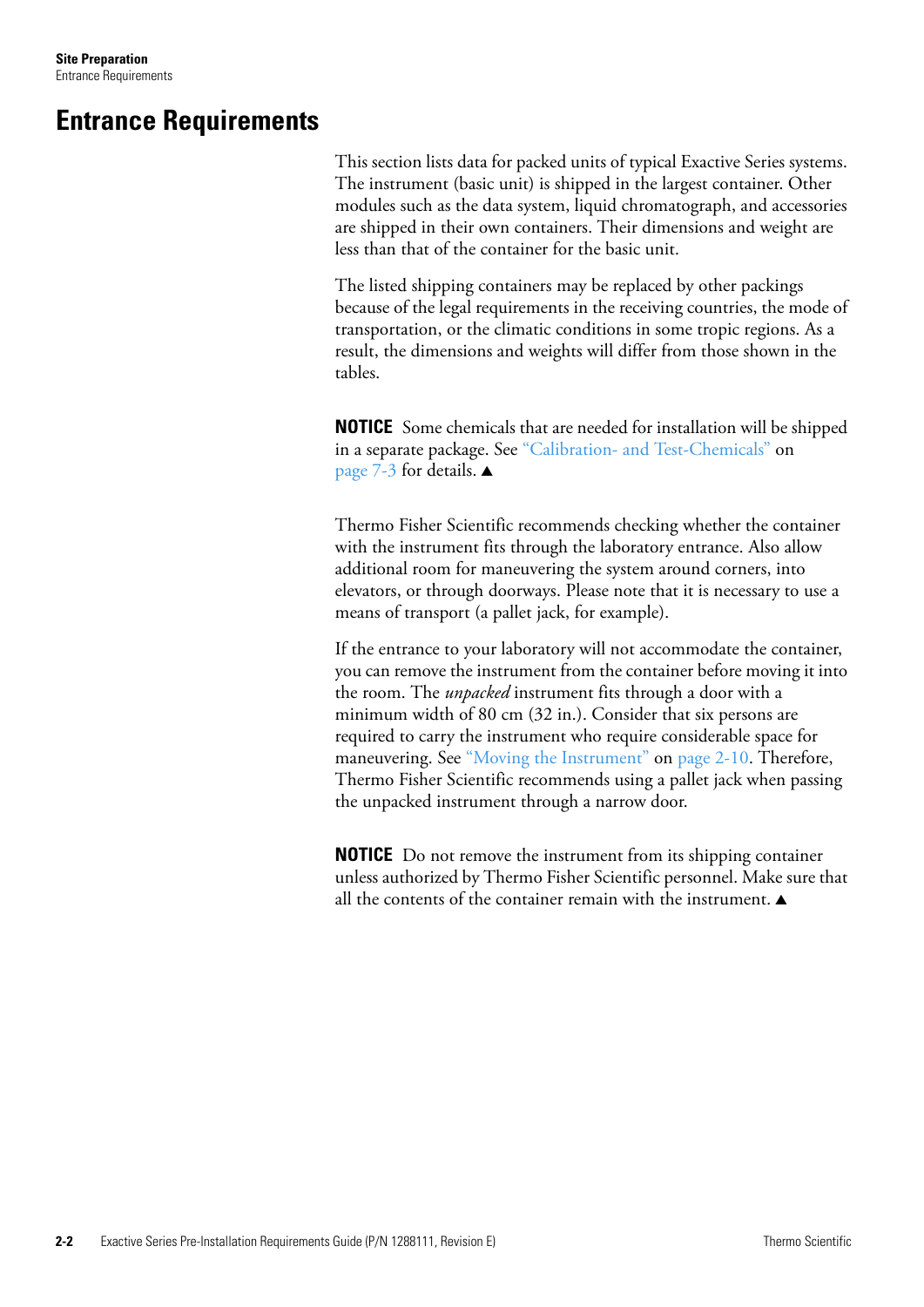## <span id="page-15-6"></span><span id="page-15-0"></span>**Entrance Requirements**

<span id="page-15-7"></span><span id="page-15-4"></span><span id="page-15-3"></span><span id="page-15-2"></span>This section lists data for packed units of typical Exactive Series systems. The instrument (basic unit) is shipped in the largest container. Other modules such as the data system, liquid chromatograph, and accessories are shipped in their own containers. Their dimensions and weight are less than that of the container for the basic unit.

<span id="page-15-10"></span>The listed shipping containers may be replaced by other packings because of the legal requirements in the receiving countries, the mode of transportation, or the climatic conditions in some tropic regions. As a result, the dimensions and weights will differ from those shown in the tables.

<span id="page-15-1"></span>**NOTICE** Some chemicals that are needed for installation will be shipped in a separate package. See ["Calibration- and Test-Chemicals" on](#page-48-1)  [page 7-3](#page-48-1) for details. ▲

<span id="page-15-5"></span>Thermo Fisher Scientific recommends checking whether the container with the instrument fits through the laboratory entrance. Also allow additional room for maneuvering the system around corners, into elevators, or through doorways. Please note that it is necessary to use a means of transport (a pallet jack, for example).

<span id="page-15-8"></span>If the entrance to your laboratory will not accommodate the container, you can remove the instrument from the container before moving it into the room. The *unpacked* instrument fits through a door with a minimum width of 80 cm (32 in.). Consider that six persons are required to carry the instrument who require considerable space for maneuvering. See ["Moving the Instrument" on page 2-10.](#page-23-0) Therefore, Thermo Fisher Scientific recommends using a pallet jack when passing the unpacked instrument through a narrow door.

<span id="page-15-9"></span>**NOTICE** Do not remove the instrument from its shipping container unless authorized by Thermo Fisher Scientific personnel. Make sure that all the contents of the container remain with the instrument. ▲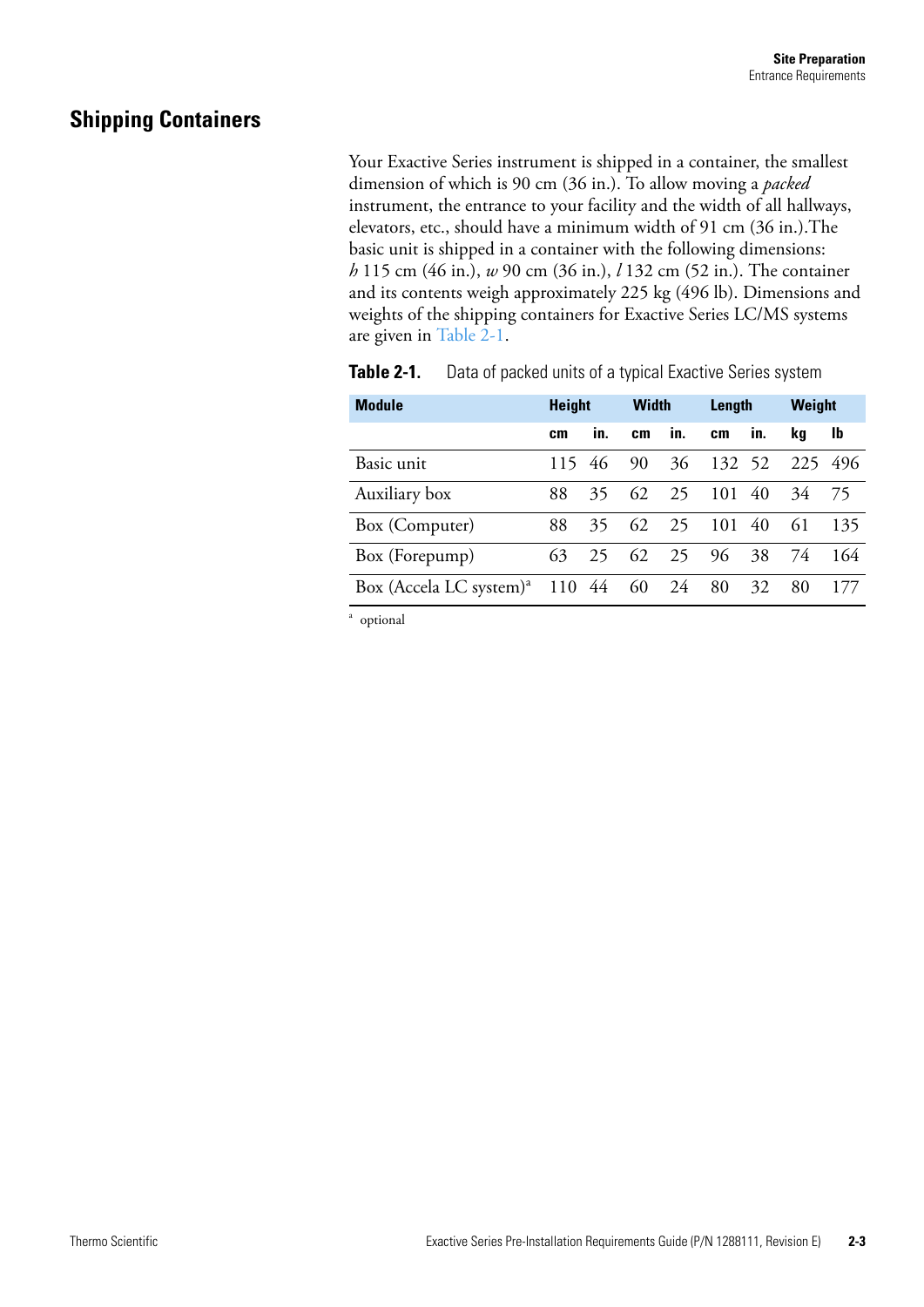### <span id="page-16-0"></span>**Shipping Containers**

<span id="page-16-3"></span>Your Exactive Series instrument is shipped in a container, the smallest dimension of which is 90 cm (36 in.). To allow moving a *packed* instrument, the entrance to your facility and the width of all hallways, elevators, etc., should have a minimum width of 91 cm (36 in.).The basic unit is shipped in a container with the following dimensions: *h* 115 cm (46 in.), *w* 90 cm (36 in.), *l* 132 cm (52 in.). The container and its contents weigh approximately 225 kg (496 lb). Dimensions and weights of the shipping containers for Exactive Series LC/MS systems are given in [Table 2-1](#page-16-1).

| <b>Height</b> |     | <b>Width</b> |          | Length    |                                                                    | Weight                     |     |
|---------------|-----|--------------|----------|-----------|--------------------------------------------------------------------|----------------------------|-----|
| cm            | in. | cm           | in.      | cm        | in.                                                                | kq                         | -lb |
|               |     |              | 36       |           |                                                                    | 225 496                    |     |
| 88            | 35  | 62           |          |           |                                                                    | 34                         | 75  |
| 88            | 35  |              |          |           |                                                                    | 61                         | 135 |
| 63            |     |              |          | 96.       | 38                                                                 | 74                         | 164 |
|               |     |              |          | 80        | 32                                                                 | 80                         |     |
|               |     | 115 46       | 62<br>25 | 90.<br>62 | 25<br>25<br>25<br>Box (Accela LC system) <sup>a</sup> 110 44 60 24 | 132 52<br>101 40<br>101 40 |     |

<span id="page-16-2"></span><span id="page-16-1"></span>

| Table 2-1. |  |  | Data of packed units of a typical Exactive Series system |
|------------|--|--|----------------------------------------------------------|
|------------|--|--|----------------------------------------------------------|

<sup>a</sup> optional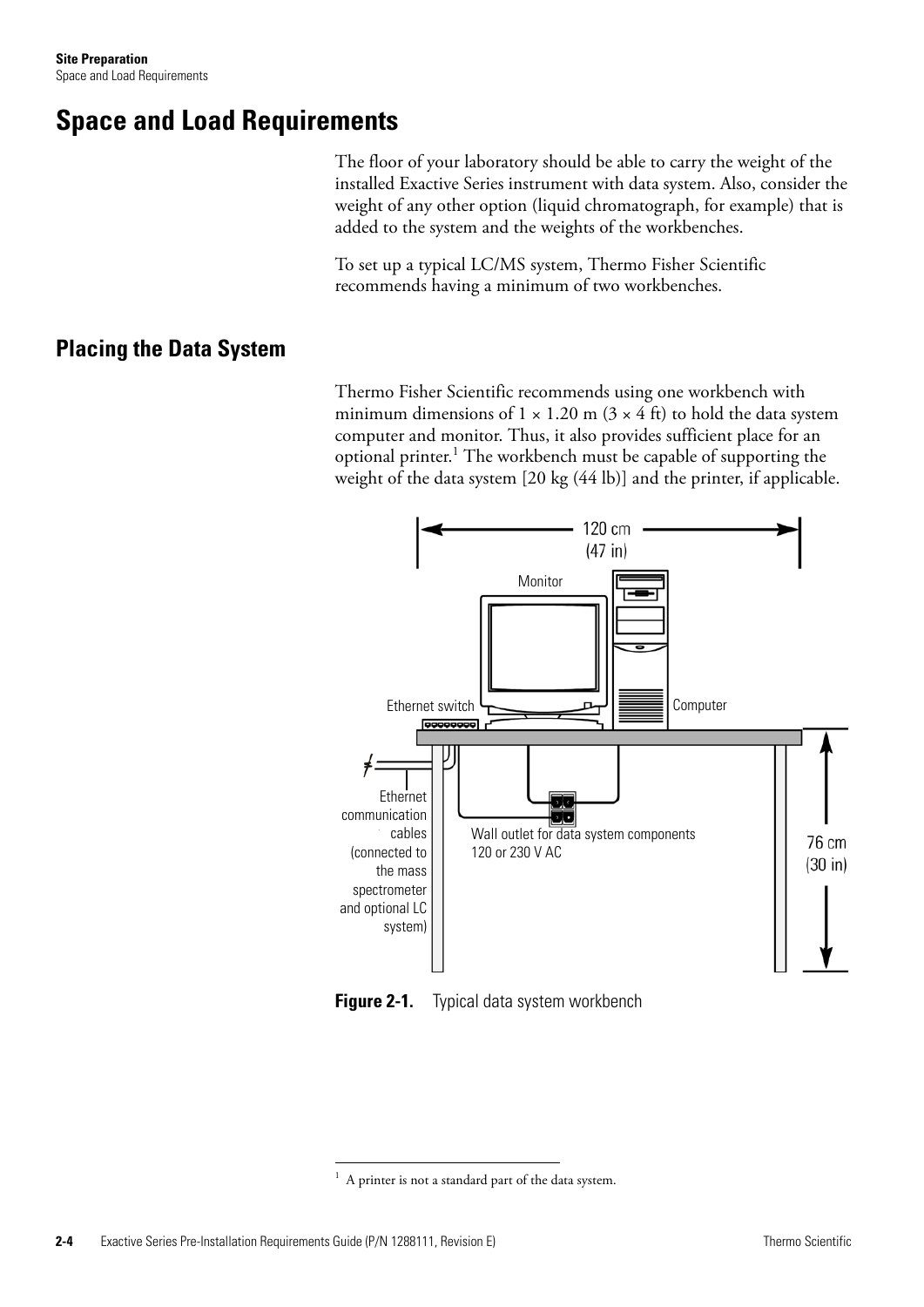## <span id="page-17-12"></span><span id="page-17-0"></span>**Space and Load Requirements**

<span id="page-17-14"></span><span id="page-17-8"></span><span id="page-17-7"></span>The floor of your laboratory should be able to carry the weight of the installed Exactive Series instrument with data system. Also, consider the weight of any other option (liquid chromatograph, for example) that is added to the system and the weights of the workbenches.

To set up a typical LC/MS system, Thermo Fisher Scientific recommends having a minimum of two workbenches.

### <span id="page-17-4"></span><span id="page-17-1"></span>**Placing the Data System**

<span id="page-17-11"></span>Thermo Fisher Scientific recommends using one workbench with minimum dimensions of  $1 \times 1.20$  m ( $3 \times 4$  ft) to hold the data system computer and monitor. Thus, it also provides sufficient place for an optional printer.<sup>1</sup> The workbench must be capable of supporting the weight of the data system [20 kg (44 lb)] and the printer, if applicable.

<span id="page-17-10"></span><span id="page-17-6"></span>

<span id="page-17-13"></span><span id="page-17-9"></span><span id="page-17-5"></span><span id="page-17-3"></span><span id="page-17-2"></span>**Figure 2-1.** Typical data system workbench

 $1$  A printer is not a standard part of the data system.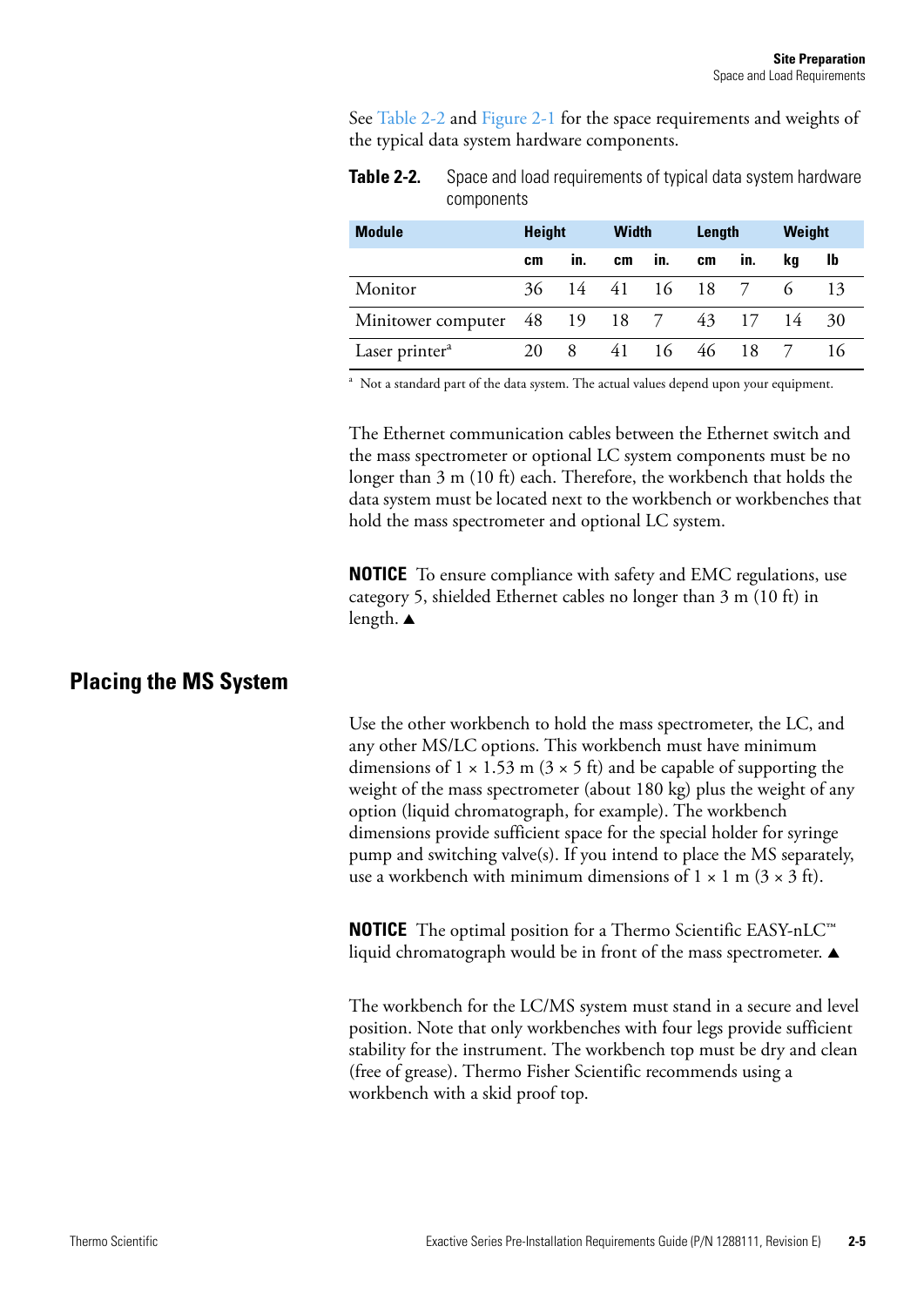See [Table 2-2](#page-18-1) and [Figure 2-1](#page-17-2) for the space requirements and weights of the typical data system hardware components.

<span id="page-18-3"></span><span id="page-18-1"></span>

| Table 2-2. | Space and load requirements of typical data system hardware |
|------------|-------------------------------------------------------------|
|            | components                                                  |

<span id="page-18-8"></span>

| <b>Module</b>                       | <b>Height</b> |                  | Width |     | Length   |     | Weight |     |
|-------------------------------------|---------------|------------------|-------|-----|----------|-----|--------|-----|
|                                     | cm            | in.              | cm    | in. | cm       | in. | ka     | lb  |
| Monitor                             |               | 36 14 41 16 18 7 |       |     |          |     |        | -13 |
| Minitower computer 48 19 18 7 43 17 |               |                  |       |     |          |     | 14     | -30 |
| Laser printer <sup>a</sup>          | 20            | 8                |       |     | 41 16 46 | 18  |        |     |

<sup>a</sup> Not a standard part of the data system. The actual values depend upon your equipment.

<span id="page-18-9"></span><span id="page-18-6"></span>The Ethernet communication cables between the Ethernet switch and the mass spectrometer or optional LC system components must be no longer than 3 m (10 ft) each. Therefore, the workbench that holds the data system must be located next to the workbench or workbenches that hold the mass spectrometer and optional LC system.

<span id="page-18-4"></span>**NOTICE** To ensure compliance with safety and EMC regulations, use category 5, shielded Ethernet cables no longer than 3 m (10 ft) in length. ▲

### <span id="page-18-0"></span>**Placing the MS System**

<span id="page-18-7"></span><span id="page-18-5"></span>Use the other workbench to hold the mass spectrometer, the LC, and any other MS/LC options. This workbench must have minimum dimensions of  $1 \times 1.53$  m ( $3 \times 5$  ft) and be capable of supporting the weight of the mass spectrometer (about 180 kg) plus the weight of any option (liquid chromatograph, for example). The workbench dimensions provide sufficient space for the special holder for syringe pump and switching valve(s). If you intend to place the MS separately, use a workbench with minimum dimensions of  $1 \times 1$  m  $(3 \times 3$  ft).

<span id="page-18-10"></span><span id="page-18-2"></span>**NOTICE** The optimal position for a Thermo Scientific EASY-nLC™ liquid chromatograph would be in front of the mass spectrometer. ▲

<span id="page-18-12"></span><span id="page-18-11"></span>The workbench for the LC/MS system must stand in a secure and level position. Note that only workbenches with four legs provide sufficient stability for the instrument. The workbench top must be dry and clean (free of grease). Thermo Fisher Scientific recommends using a workbench with a skid proof top.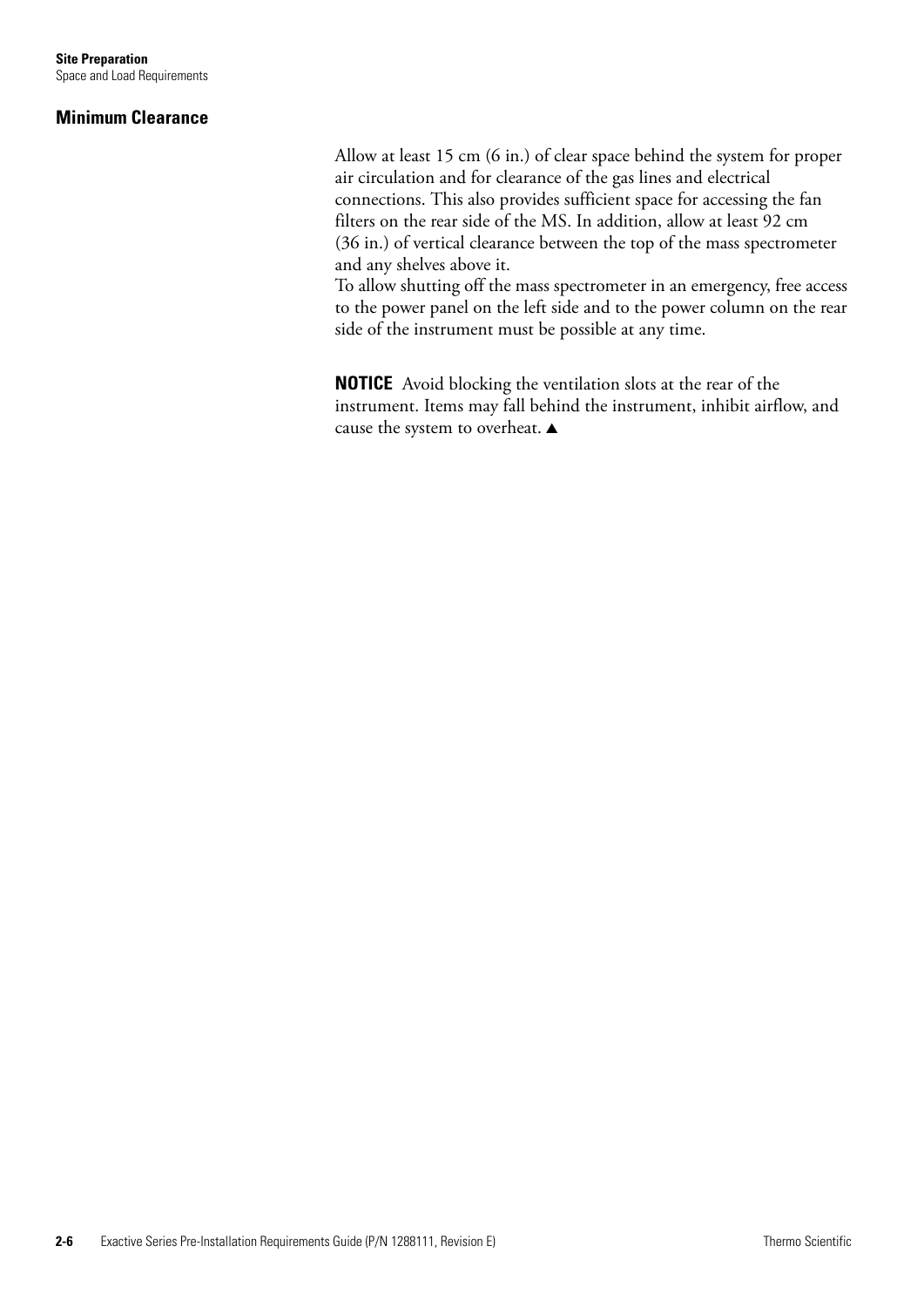#### **Minimum Clearance**

<span id="page-19-2"></span><span id="page-19-0"></span>Allow at least 15 cm (6 in.) of clear space behind the system for proper air circulation and for clearance of the gas lines and electrical connections. This also provides sufficient space for accessing the fan filters on the rear side of the MS. In addition, allow at least 92 cm (36 in.) of vertical clearance between the top of the mass spectrometer and any shelves above it.

<span id="page-19-5"></span><span id="page-19-1"></span>To allow shutting off the mass spectrometer in an emergency, free access to the power panel on the left side and to the power column on the rear side of the instrument must be possible at any time.

<span id="page-19-4"></span><span id="page-19-3"></span>**NOTICE** Avoid blocking the ventilation slots at the rear of the instrument. Items may fall behind the instrument, inhibit airflow, and cause the system to overheat. ▲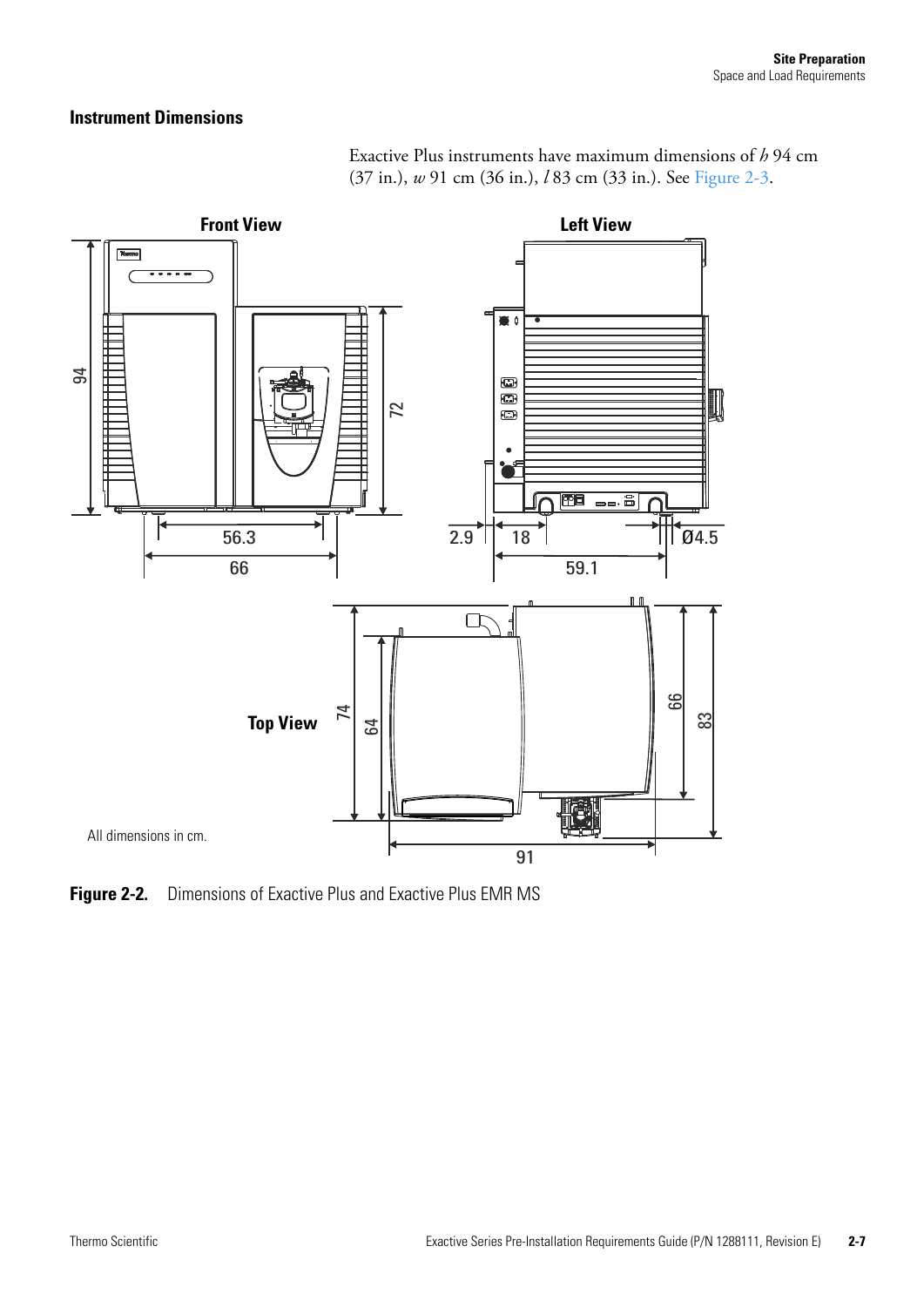#### **Instrument Dimensions**

Exactive Plus instruments have maximum dimensions of *h* 94 cm (37 in.), *w* 91 cm (36 in.), *l* 83 cm (33 in.). See [Figure 2-3.](#page-21-0)



<span id="page-20-0"></span>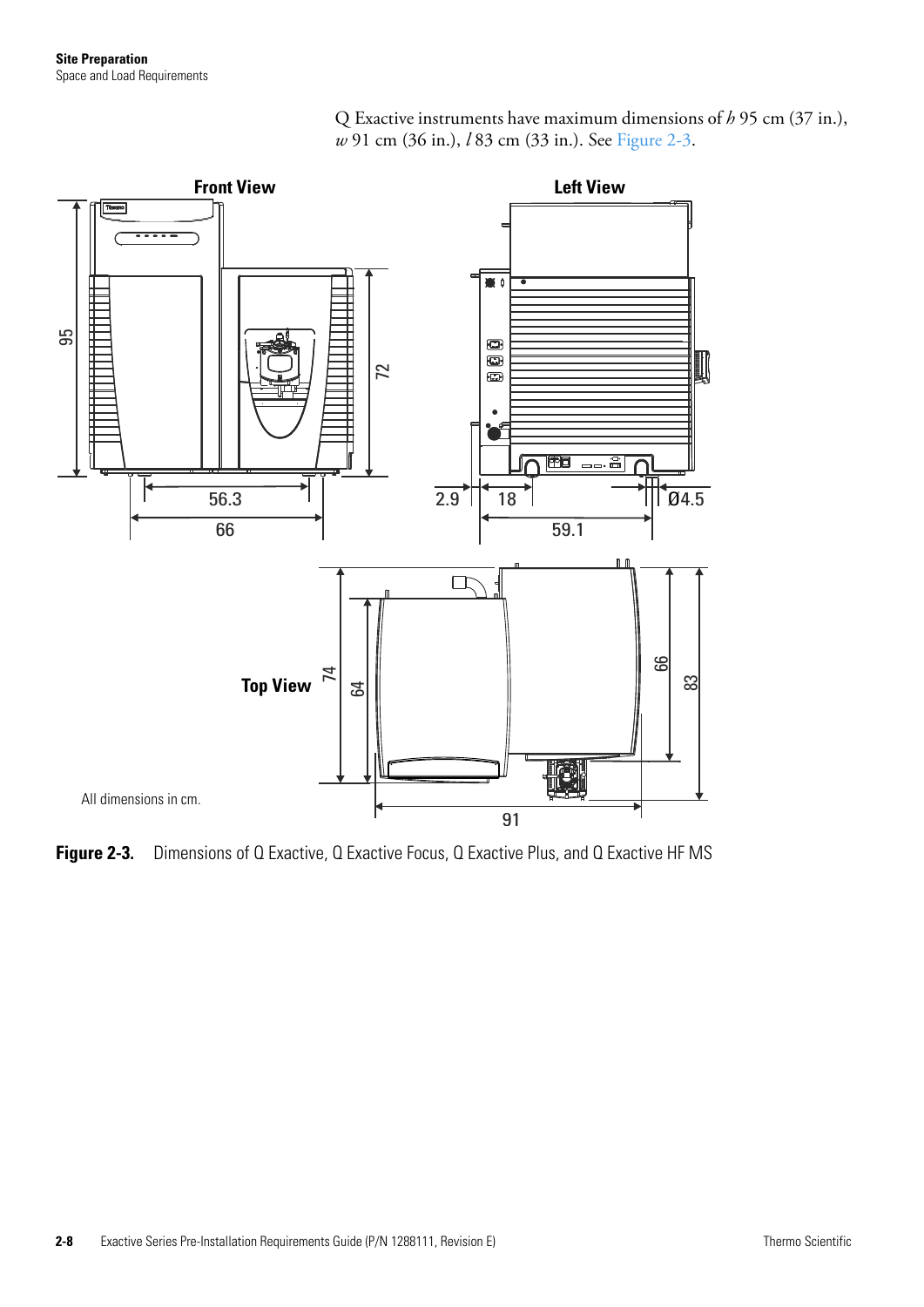Q Exactive instruments have maximum dimensions of *h* 95 cm (37 in.), *w* 91 cm (36 in.), *l* 83 cm (33 in.). See [Figure 2-3.](#page-21-0)



<span id="page-21-1"></span><span id="page-21-0"></span>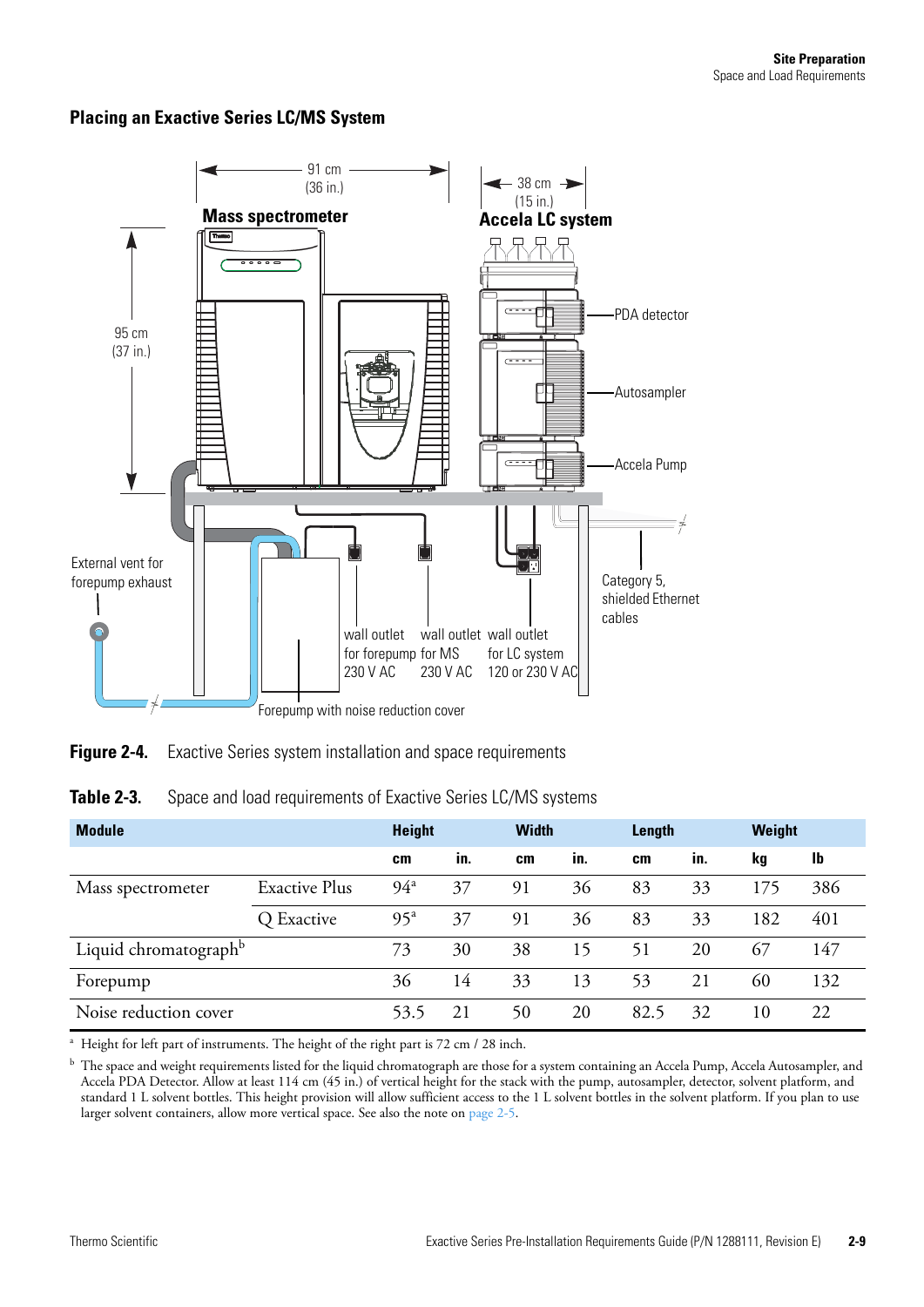#### <span id="page-22-14"></span><span id="page-22-10"></span><span id="page-22-4"></span><span id="page-22-2"></span>**Placing an Exactive Series LC/MS System**



#### <span id="page-22-15"></span><span id="page-22-13"></span><span id="page-22-12"></span><span id="page-22-8"></span><span id="page-22-6"></span><span id="page-22-3"></span><span id="page-22-1"></span>**Figure 2-4.** Exactive Series system installation and space requirements

<span id="page-22-5"></span>

| Table 2-3. | Space and load requirements of Exactive Series LC/MS systems |
|------------|--------------------------------------------------------------|
|------------|--------------------------------------------------------------|

<span id="page-22-11"></span>

| <b>Module</b>                     |                      | <b>Height</b>   |     | <b>Width</b> |     | Length |     | Weight |     |
|-----------------------------------|----------------------|-----------------|-----|--------------|-----|--------|-----|--------|-----|
|                                   |                      | cm              | in. | cm           | in. | cm     | in. | kg     | Ib  |
| Mass spectrometer                 | <b>Exactive Plus</b> | $94^{\circ}$    | 37  | 91           | 36  | 83     | 33  | 175    | 386 |
|                                   | Q Exactive           | 95 <sup>a</sup> | 37  | 91           | 36  | 83     | 33  | 182    | 401 |
| Liquid chromatograph <sup>b</sup> |                      | 73              | 30  | 38           | 15  | 51     | 20  | 67     | 147 |
| Forepump                          |                      | 36              | 14  | 33           | 13  | 53     | 21  | 60     | 132 |
| Noise reduction cover             |                      | 53.5            | 21  | 50           | 20  | 82.5   | 32  | 10     | 22  |

<span id="page-22-7"></span><span id="page-22-0"></span><sup>a</sup> Height for left part of instruments. The height of the right part is 72 cm / 28 inch.

<span id="page-22-9"></span><sup>b</sup> The space and weight requirements listed for the liquid chromatograph are those for a system containing an Accela Pump, Accela Autosampler, and Accela PDA Detector. Allow at least 114 cm (45 in.) of vertical height for the stack with the pump, autosampler, detector, solvent platform, and standard 1 L solvent bottles. This height provision will allow sufficient access to the 1 L solvent bottles in the solvent platform. If you plan to use larger solvent containers, allow more vertical space. See also the note on [page 2-5](#page-18-2).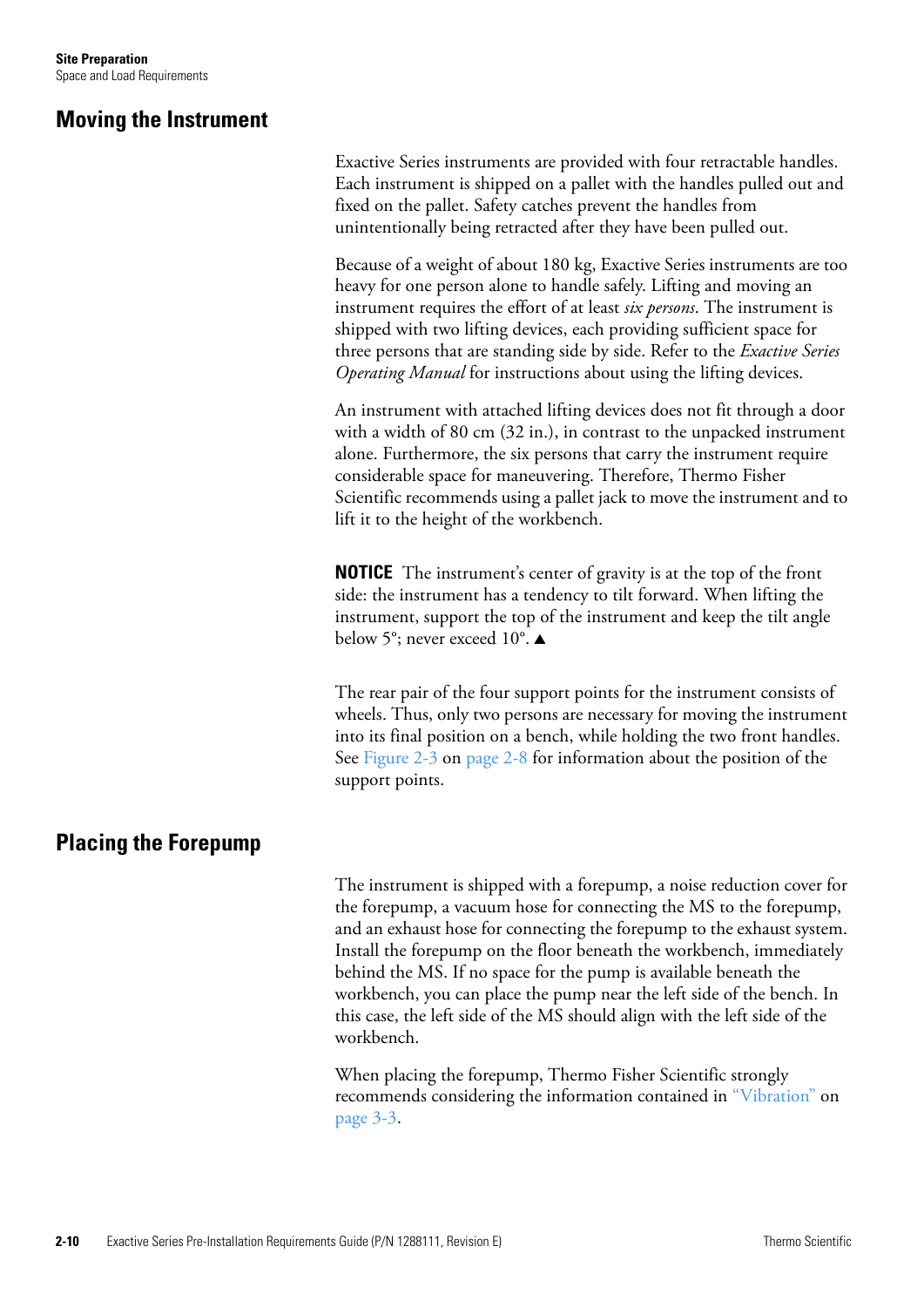## <span id="page-23-8"></span><span id="page-23-0"></span>**Moving the Instrument**

<span id="page-23-12"></span><span id="page-23-4"></span>Exactive Series instruments are provided with four retractable handles. Each instrument is shipped on a pallet with the handles pulled out and fixed on the pallet. Safety catches prevent the handles from unintentionally being retracted after they have been pulled out.

<span id="page-23-7"></span><span id="page-23-6"></span>Because of a weight of about 180 kg, Exactive Series instruments are too heavy for one person alone to handle safely. Lifting and moving an instrument requires the effort of at least *six persons*. The instrument is shipped with two lifting devices, each providing sufficient space for three persons that are standing side by side. Refer to the *Exactive Series Operating Manual* for instructions about using the lifting devices.

<span id="page-23-9"></span>An instrument with attached lifting devices does not fit through a door with a width of 80 cm (32 in.), in contrast to the unpacked instrument alone. Furthermore, the six persons that carry the instrument require considerable space for maneuvering. Therefore, Thermo Fisher Scientific recommends using a pallet jack to move the instrument and to lift it to the height of the workbench.

<span id="page-23-11"></span><span id="page-23-5"></span>**NOTICE** The instrument's center of gravity is at the top of the front side: the instrument has a tendency to tilt forward. When lifting the instrument, support the top of the instrument and keep the tilt angle below 5°; never exceed 10°. ▲

<span id="page-23-10"></span>The rear pair of the four support points for the instrument consists of wheels. Thus, only two persons are necessary for moving the instrument into its final position on a bench, while holding the two front handles. See [Figure 2-3 on page 2-8](#page-21-0) for information about the position of the support points.

### <span id="page-23-3"></span><span id="page-23-1"></span>**Placing the Forepump**

<span id="page-23-13"></span><span id="page-23-2"></span>The instrument is shipped with a forepump, a noise reduction cover for the forepump, a vacuum hose for connecting the MS to the forepump, and an exhaust hose for connecting the forepump to the exhaust system. Install the forepump on the floor beneath the workbench, immediately behind the MS. If no space for the pump is available beneath the workbench, you can place the pump near the left side of the bench. In this case, the left side of the MS should align with the left side of the workbench.

When placing the forepump, Thermo Fisher Scientific strongly recommends considering the information contained in ["Vibration" on](#page-28-3)  [page 3-3.](#page-28-3)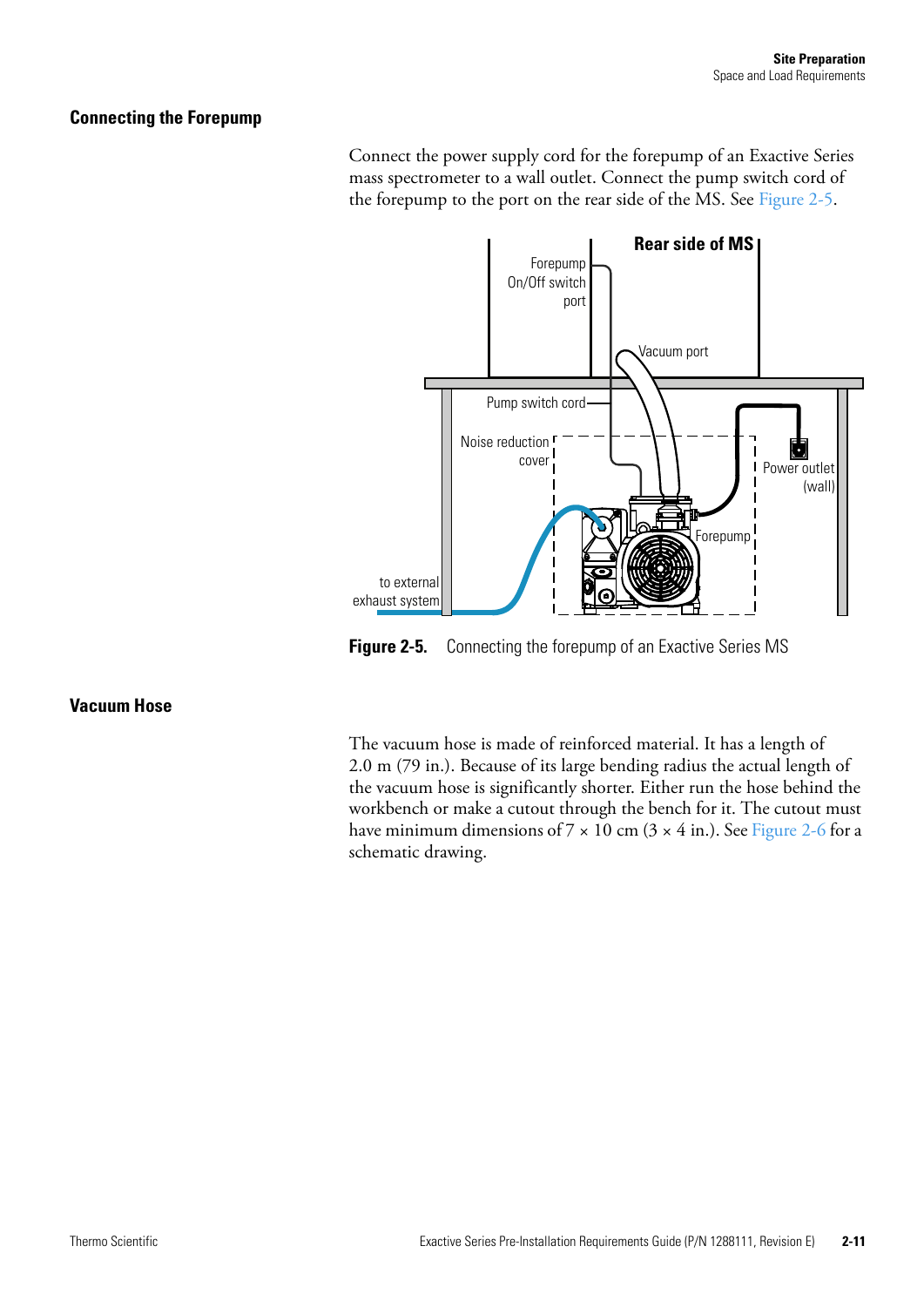#### **Connecting the Forepump**

Connect the power supply cord for the forepump of an Exactive Series mass spectrometer to a wall outlet. Connect the pump switch cord of the forepump to the port on the rear side of the MS. See [Figure 2-5](#page-24-0).

<span id="page-24-9"></span><span id="page-24-6"></span>

<span id="page-24-7"></span><span id="page-24-5"></span><span id="page-24-4"></span><span id="page-24-3"></span><span id="page-24-1"></span><span id="page-24-0"></span>**Figure 2-5.** Connecting the forepump of an Exactive Series MS

#### **Vacuum Hose**

<span id="page-24-8"></span><span id="page-24-2"></span>The vacuum hose is made of reinforced material. It has a length of 2.0 m (79 in.). Because of its large bending radius the actual length of the vacuum hose is significantly shorter. Either run the hose behind the workbench or make a cutout through the bench for it. The cutout must have minimum dimensions of  $7 \times 10$  cm ( $3 \times 4$  in.). See [Figure 2-6](#page-25-0) for a schematic drawing.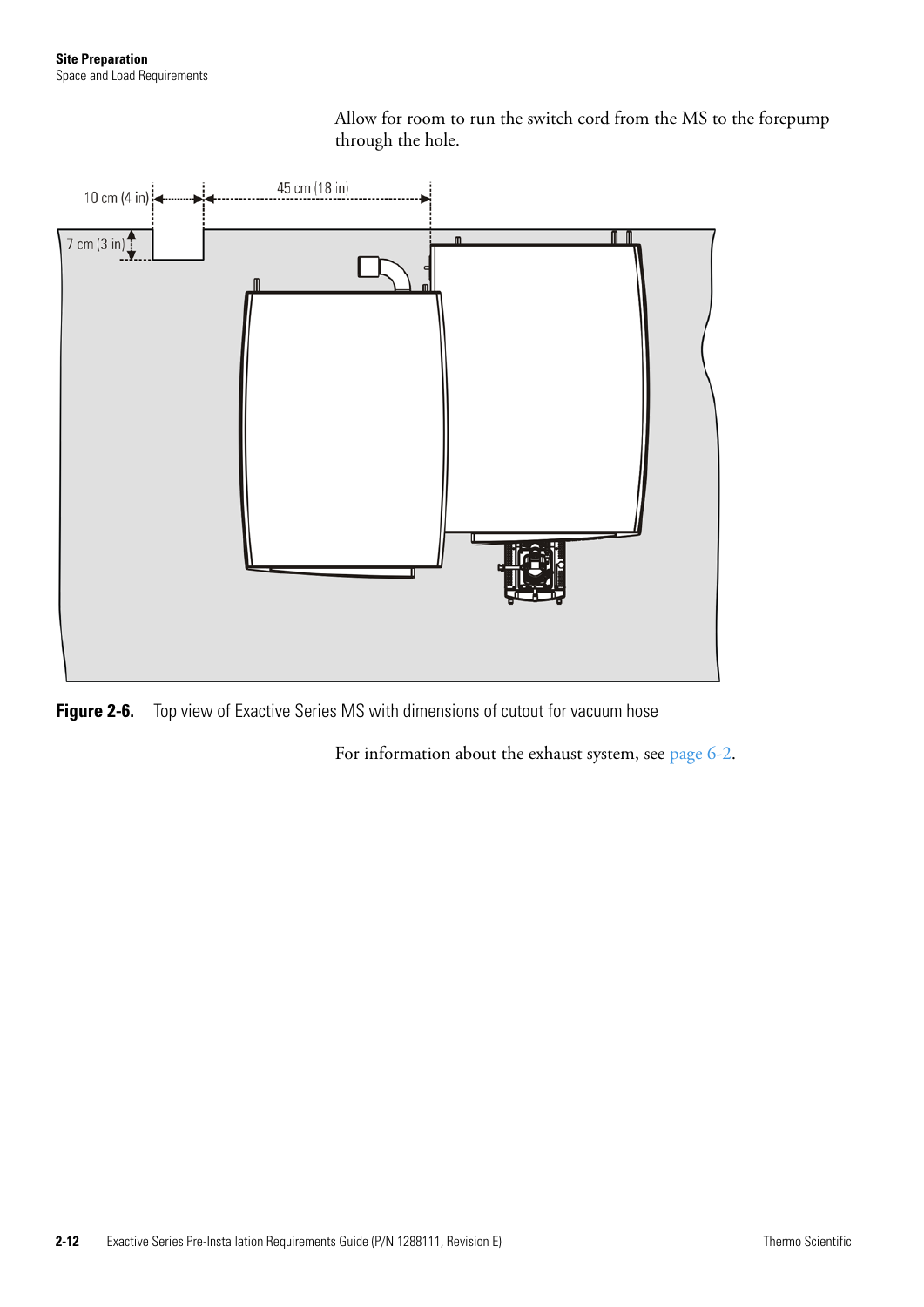<span id="page-25-1"></span>Allow for room to run the switch cord from the MS to the forepump through the hole.



<span id="page-25-0"></span>

For information about the exhaust system, see [page 6-2](#page-43-2).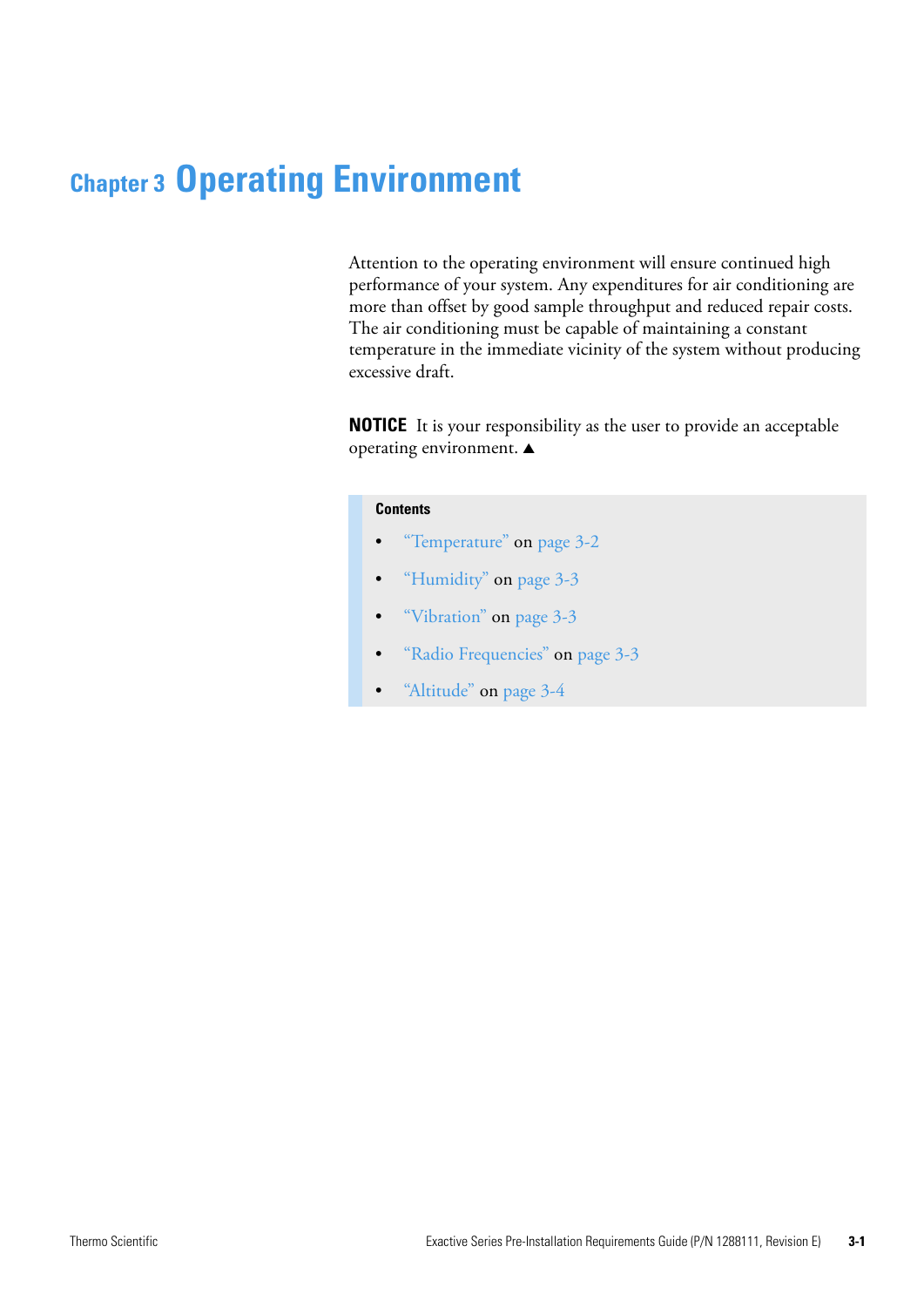# <span id="page-26-0"></span>**Chapter 3 Operating Environment**

Attention to the operating environment will ensure continued high performance of your system. Any expenditures for air conditioning are more than offset by good sample throughput and reduced repair costs. The air conditioning must be capable of maintaining a constant temperature in the immediate vicinity of the system without producing excessive draft.

**NOTICE** It is your responsibility as the user to provide an acceptable operating environment. ▲

#### <span id="page-26-1"></span>**Contents**

- **•** ["Temperature" on page 3-2](#page-27-0)
- **•** ["Humidity" on page 3-3](#page-28-0)
- **•** ["Vibration" on page 3-3](#page-28-1)
- **•** ["Radio Frequencies" on page 3-3](#page-28-2)
- **•** ["Altitude" on page 3-4](#page-29-0)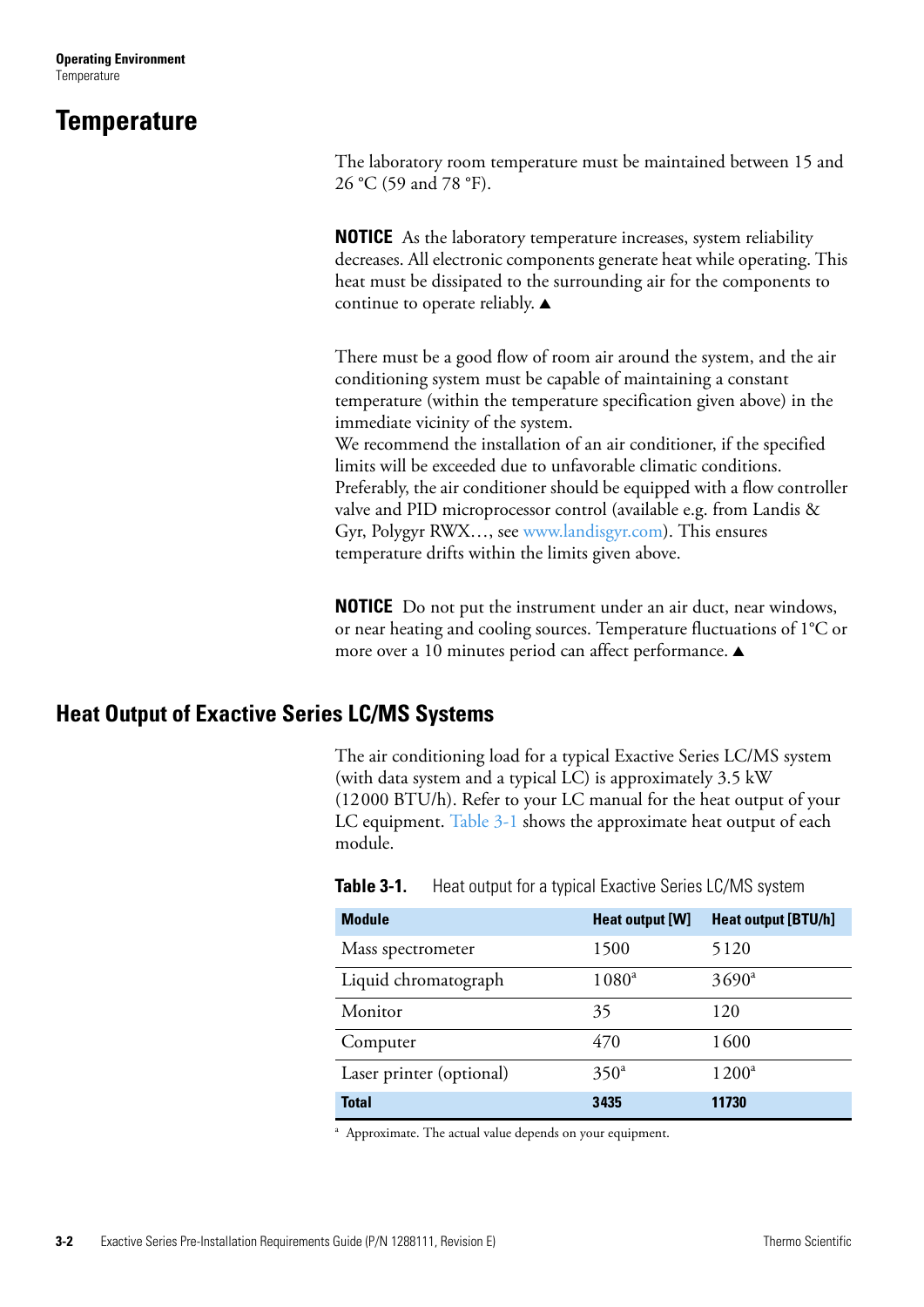## <span id="page-27-5"></span><span id="page-27-0"></span>**Temperature**

<span id="page-27-12"></span>The laboratory room temperature must be maintained between 15 and 26 °C (59 and 78 °F).

<span id="page-27-13"></span><span id="page-27-9"></span>**NOTICE** As the laboratory temperature increases, system reliability decreases. All electronic components generate heat while operating. This heat must be dissipated to the surrounding air for the components to continue to operate reliably. ▲

<span id="page-27-8"></span>There must be a good flow of room air around the system, and the air conditioning system must be capable of maintaining a constant temperature (within the temperature specification given above) in the immediate vicinity of the system.

We recommend the installation of an air conditioner, if the specified limits will be exceeded due to unfavorable climatic conditions. Preferably, the air conditioner should be equipped with a flow controller valve and PID microprocessor control (available e.g. from Landis & Gyr, Polygyr RWX…, see www.landisgyr.com). This ensures temperature drifts within the limits given above.

<span id="page-27-14"></span><span id="page-27-6"></span>**NOTICE** Do not put the instrument under an air duct, near windows, or near heating and cooling sources. Temperature fluctuations of 1°C or more over a 10 minutes period can affect performance. ▲

### <span id="page-27-1"></span>**Heat Output of Exactive Series LC/MS Systems**

<span id="page-27-10"></span><span id="page-27-7"></span>The air conditioning load for a typical Exactive Series LC/MS system (with data system and a typical LC) is approximately 3.5 kW (12000 BTU/h). Refer to your LC manual for the heat output of your LC equipment. [Table 3-1](#page-27-2) shows the approximate heat output of each module.

<span id="page-27-11"></span>

| <b>Module</b>            | Heat output [W] | <b>Heat output [BTU/h]</b> |
|--------------------------|-----------------|----------------------------|
| Mass spectrometer        | 1500            | 5120                       |
| Liquid chromatograph     | $1080^{\rm a}$  | $3690^{\rm a}$             |
| Monitor                  | 35              | 120                        |
| Computer                 | 470             | 1600                       |
| Laser printer (optional) | $350^{\rm a}$   | $1200^{\rm a}$             |
| <b>Total</b>             | 3435            | 11730                      |

<span id="page-27-4"></span><span id="page-27-2"></span>

| Table 3-1. | Heat output for a typical Exactive Series LC/MS system |
|------------|--------------------------------------------------------|
|------------|--------------------------------------------------------|

<span id="page-27-3"></span><sup>a</sup> Approximate. The actual value depends on your equipment.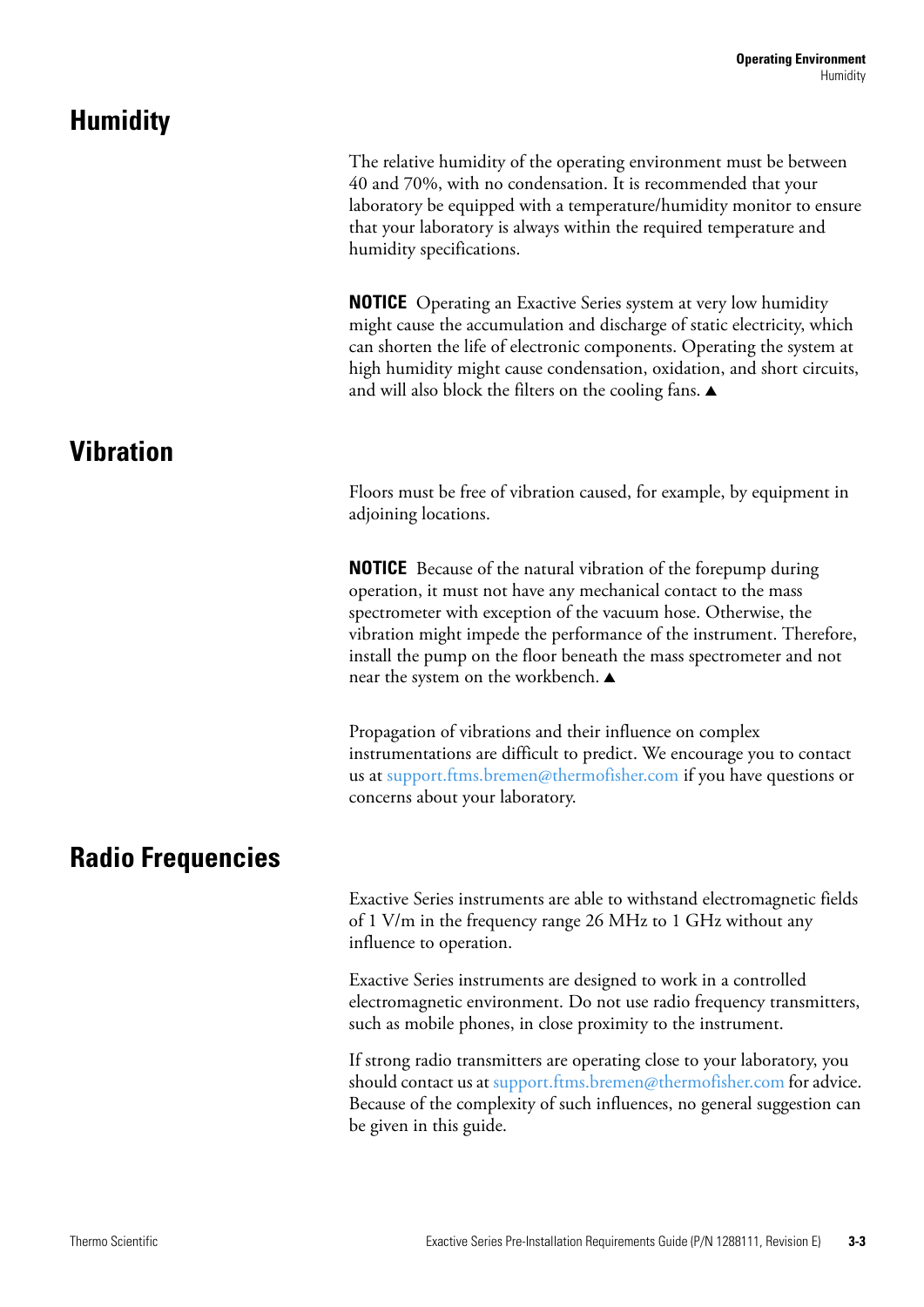## <span id="page-28-9"></span><span id="page-28-0"></span>**Humidity**

<span id="page-28-14"></span><span id="page-28-13"></span><span id="page-28-12"></span><span id="page-28-11"></span><span id="page-28-10"></span><span id="page-28-8"></span><span id="page-28-7"></span><span id="page-28-6"></span><span id="page-28-5"></span><span id="page-28-4"></span><span id="page-28-3"></span><span id="page-28-2"></span><span id="page-28-1"></span>

|                          | The relative humidity of the operating environment must be between<br>40 and 70%, with no condensation. It is recommended that your<br>laboratory be equipped with a temperature/humidity monitor to ensure<br>that your laboratory is always within the required temperature and<br>humidity specifications.                                                                                   |
|--------------------------|-------------------------------------------------------------------------------------------------------------------------------------------------------------------------------------------------------------------------------------------------------------------------------------------------------------------------------------------------------------------------------------------------|
|                          | <b>NOTICE</b> Operating an Exactive Series system at very low humidity<br>might cause the accumulation and discharge of static electricity, which<br>can shorten the life of electronic components. Operating the system at<br>high humidity might cause condensation, oxidation, and short circuits,<br>and will also block the filters on the cooling fans.                                   |
| Vibration                |                                                                                                                                                                                                                                                                                                                                                                                                 |
|                          | Floors must be free of vibration caused, for example, by equipment in<br>adjoining locations.                                                                                                                                                                                                                                                                                                   |
|                          | <b>NOTICE</b> Because of the natural vibration of the forepump during<br>operation, it must not have any mechanical contact to the mass<br>spectrometer with exception of the vacuum hose. Otherwise, the<br>vibration might impede the performance of the instrument. Therefore,<br>install the pump on the floor beneath the mass spectrometer and not<br>near the system on the workbench. ▲ |
|                          | Propagation of vibrations and their influence on complex<br>instrumentations are difficult to predict. We encourage you to contact<br>us at support.ftms.bremen@thermofisher.com if you have questions or<br>concerns about your laboratory.                                                                                                                                                    |
| <b>Radio Frequencies</b> |                                                                                                                                                                                                                                                                                                                                                                                                 |
|                          | Exactive Series instruments are able to withstand electromagnetic fields<br>of 1 V/m in the frequency range 26 MHz to 1 GHz without any<br>influence to operation.                                                                                                                                                                                                                              |
|                          | Exactive Series instruments are designed to work in a controlled<br>electromagnetic environment. Do not use radio frequency transmitters,<br>such as mobile phones, in close proximity to the instrument.                                                                                                                                                                                       |
|                          | If strong radio transmitters are operating close to your laboratory, you<br>should contact us at support.ftms.bremen@thermofisher.com for advice.<br>Because of the complexity of such influences, no general suggestion can<br>be given in this guide.                                                                                                                                         |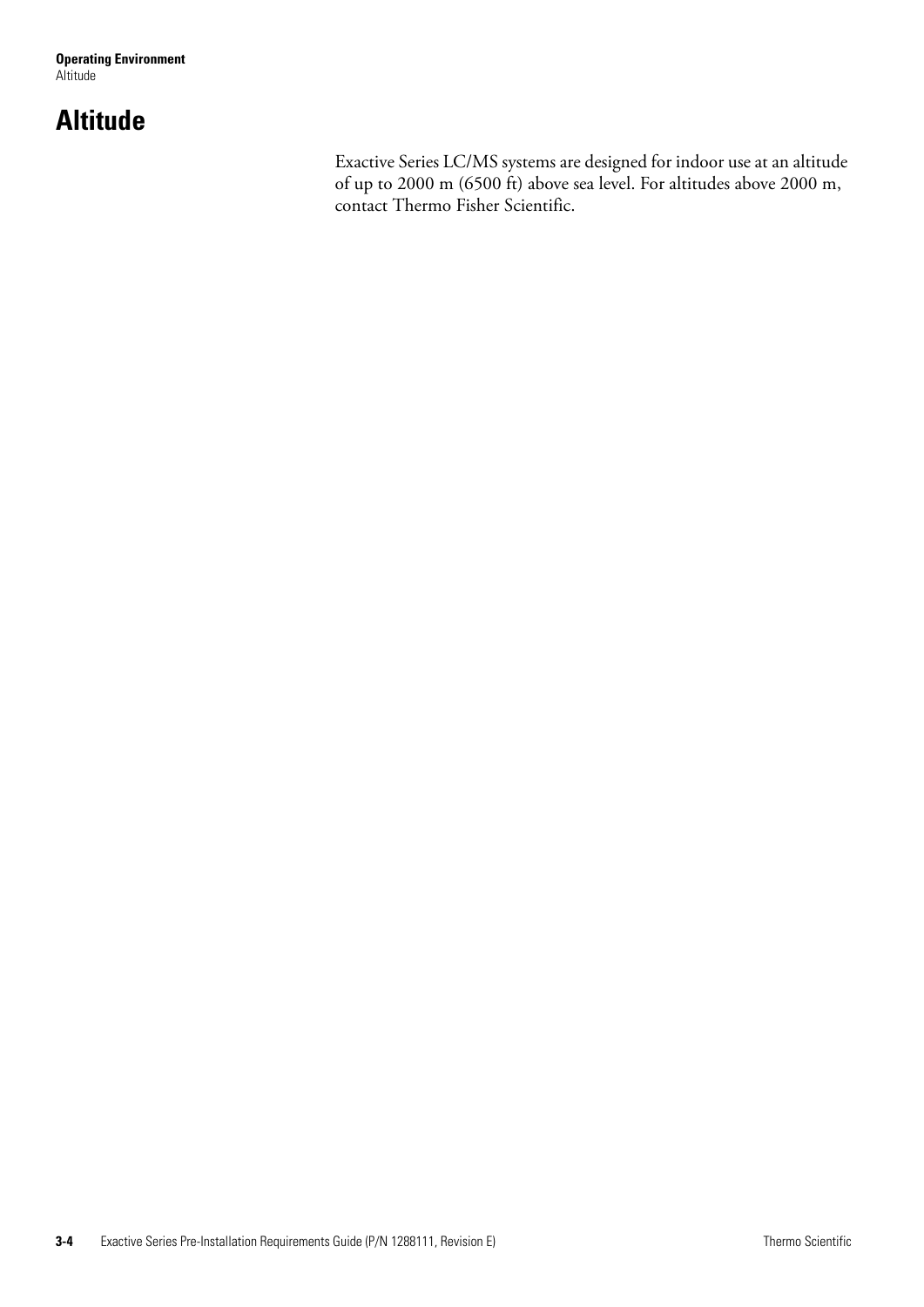## <span id="page-29-0"></span>**Altitude**

<span id="page-29-1"></span>Exactive Series LC/MS systems are designed for indoor use at an altitude of up to 2000 m (6500 ft) above sea level. For altitudes above 2000 m, contact Thermo Fisher Scientific.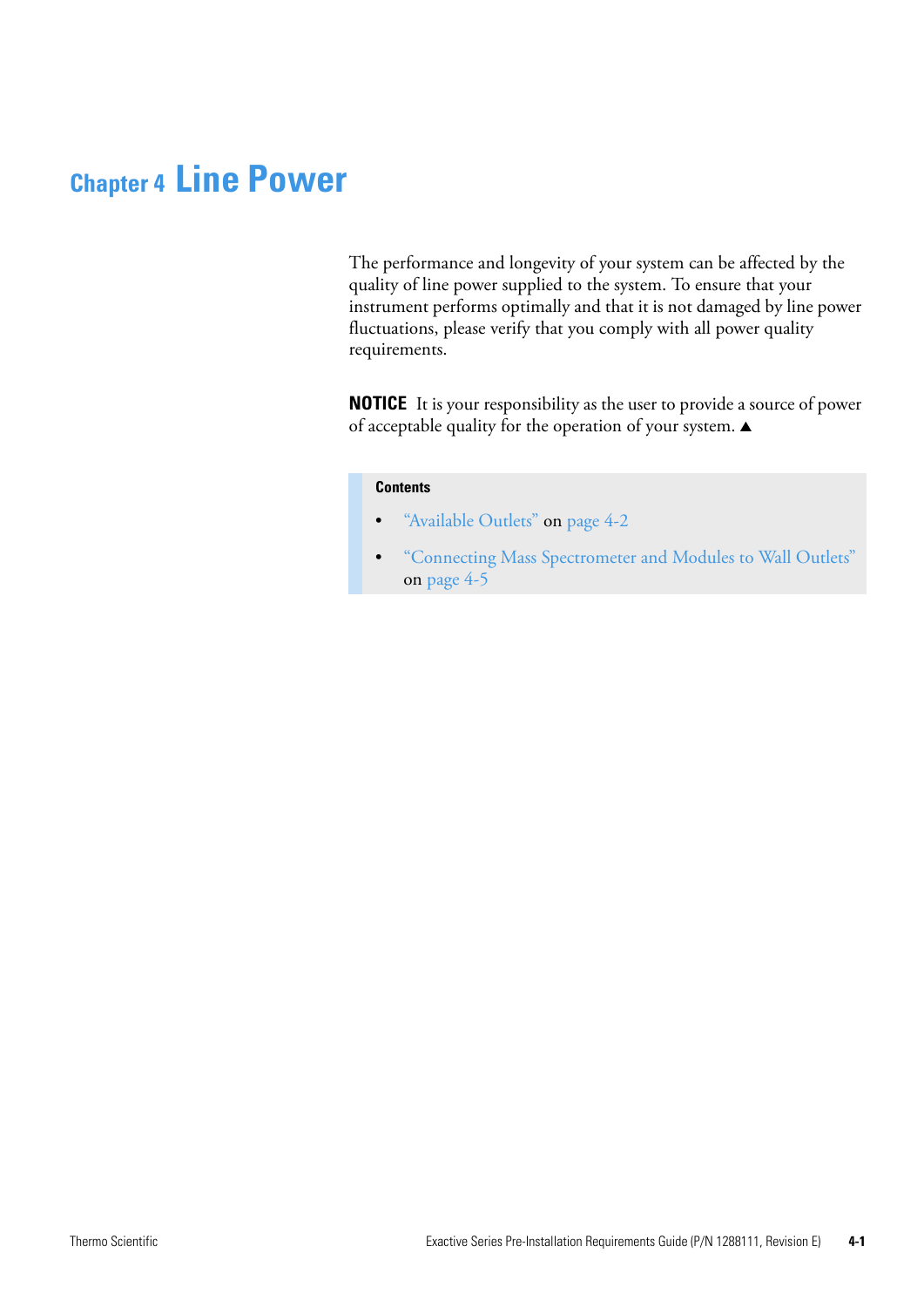## <span id="page-30-0"></span>**Chapter 4 Line Power**

The performance and longevity of your system can be affected by the quality of line power supplied to the system. To ensure that your instrument performs optimally and that it is not damaged by line power fluctuations, please verify that you comply with all power quality requirements.

**NOTICE** It is your responsibility as the user to provide a source of power of acceptable quality for the operation of your system. ▲

#### <span id="page-30-1"></span>**Contents**

- **•** ["Available Outlets" on page 4-2](#page-31-0)
- **•** ["Connecting Mass Spectrometer and Modules to Wall Outlets"](#page-34-0)  [on page 4-5](#page-34-0)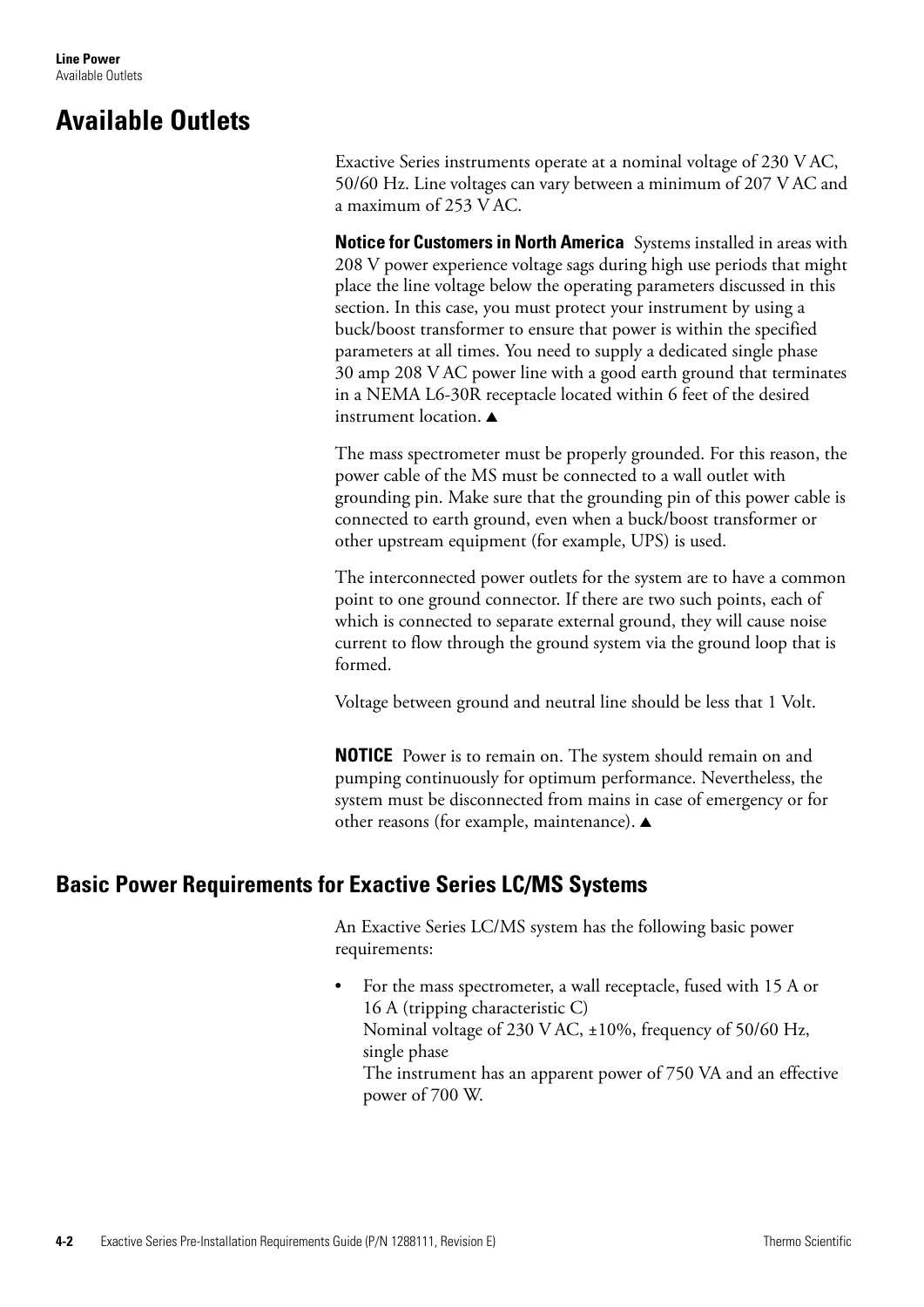## <span id="page-31-11"></span><span id="page-31-0"></span>**Available Outlets**

Exactive Series instruments operate at a nominal voltage of 230 V AC, 50/60 Hz. Line voltages can vary between a minimum of 207 V AC and a maximum of 253 V AC.

<span id="page-31-15"></span><span id="page-31-3"></span>**Notice for Customers in North America** Systems installed in areas with 208 V power experience voltage sags during high use periods that might place the line voltage below the operating parameters discussed in this section. In this case, you must protect your instrument by using a buck/boost transformer to ensure that power is within the specified parameters at all times. You need to supply a dedicated single phase 30 amp 208 V AC power line with a good earth ground that terminates in a NEMA L6-30R receptacle located within 6 feet of the desired instrument location. ▲

<span id="page-31-7"></span><span id="page-31-4"></span>The mass spectrometer must be properly grounded. For this reason, the power cable of the MS must be connected to a wall outlet with grounding pin. Make sure that the grounding pin of this power cable is connected to earth ground, even when a buck/boost transformer or other upstream equipment (for example, UPS) is used.

<span id="page-31-14"></span><span id="page-31-8"></span>The interconnected power outlets for the system are to have a common point to one ground connector. If there are two such points, each of which is connected to separate external ground, they will cause noise current to flow through the ground system via the ground loop that is formed.

Voltage between ground and neutral line should be less that 1 Volt.

<span id="page-31-12"></span>**NOTICE** Power is to remain on. The system should remain on and pumping continuously for optimum performance. Nevertheless, the system must be disconnected from mains in case of emergency or for other reasons (for example, maintenance). ▲

### <span id="page-31-1"></span>**Basic Power Requirements for Exactive Series LC/MS Systems**

An Exactive Series LC/MS system has the following basic power requirements:

<span id="page-31-13"></span><span id="page-31-10"></span><span id="page-31-9"></span><span id="page-31-6"></span><span id="page-31-5"></span><span id="page-31-2"></span>**•** For the mass spectrometer, a wall receptacle, fused with 15 A or 16 A (tripping characteristic C) Nominal voltage of 230 V AC, ±10%, frequency of 50/60 Hz, single phase The instrument has an apparent power of 750 VA and an effective power of 700 W.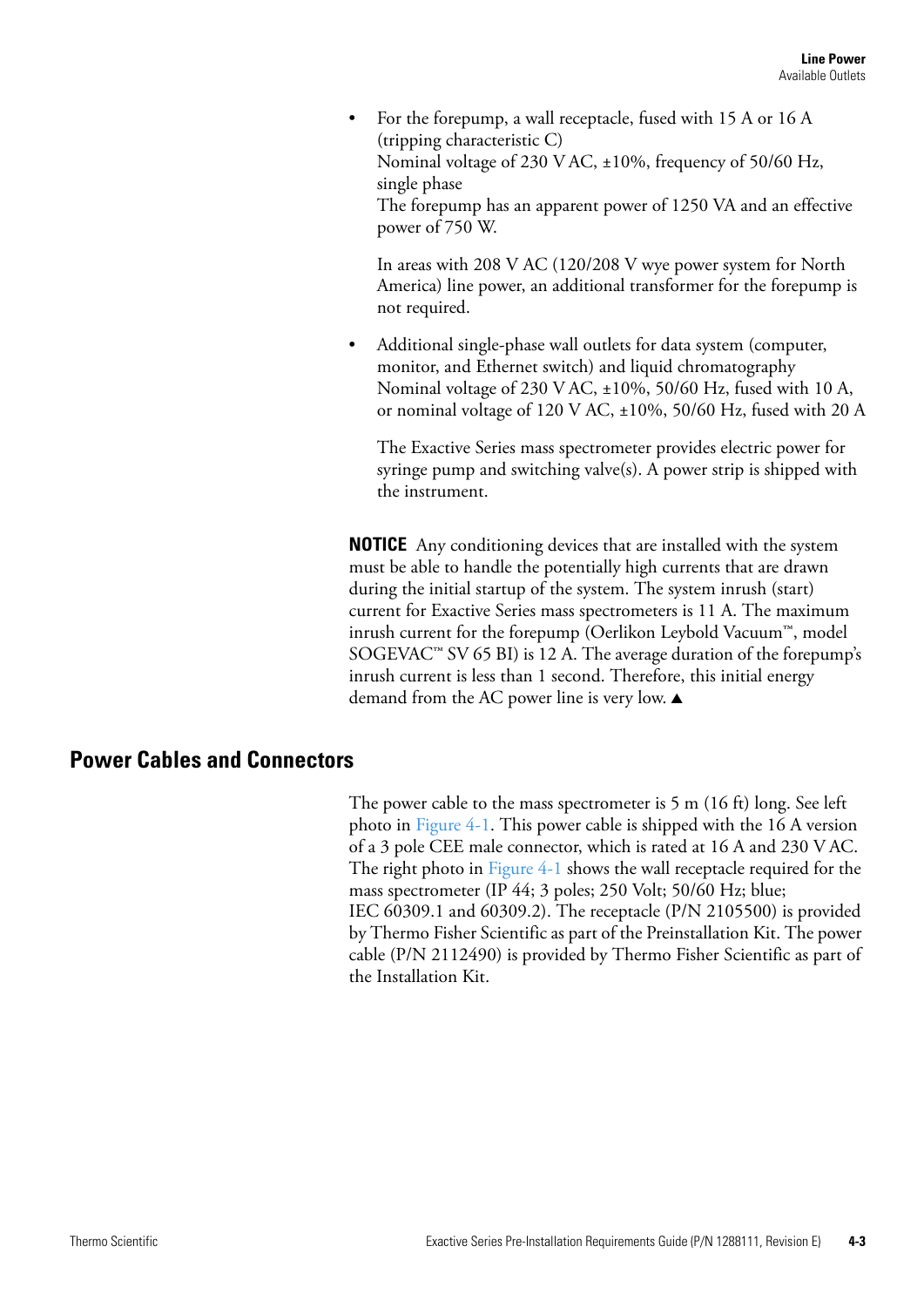<span id="page-32-9"></span><span id="page-32-5"></span>**•** For the forepump, a wall receptacle, fused with 15 A or 16 A (tripping characteristic C) Nominal voltage of 230 V AC, ±10%, frequency of 50/60 Hz, single phase The forepump has an apparent power of 1250 VA and an effective power of 750 W.

<span id="page-32-12"></span><span id="page-32-8"></span><span id="page-32-3"></span><span id="page-32-2"></span><span id="page-32-1"></span>In areas with 208 V AC (120/208 V wye power system for North America) line power, an additional transformer for the forepump is not required.

**•** Additional single-phase wall outlets for data system (computer, monitor, and Ethernet switch) and liquid chromatography Nominal voltage of 230 V AC, ±10%, 50/60 Hz, fused with 10 A, or nominal voltage of 120 V AC, ±10%, 50/60 Hz, fused with 20 A

<span id="page-32-16"></span><span id="page-32-15"></span><span id="page-32-13"></span><span id="page-32-6"></span>The Exactive Series mass spectrometer provides electric power for syringe pump and switching valve(s). A power strip is shipped with the instrument.

<span id="page-32-4"></span>**NOTICE** Any conditioning devices that are installed with the system must be able to handle the potentially high currents that are drawn during the initial startup of the system. The system inrush (start) current for Exactive Series mass spectrometers is 11 A. The maximum inrush current for the forepump (Oerlikon Leybold Vacuum™, model SOGEVAC™ SV 65 BI) is 12 A. The average duration of the forepump's inrush current is less than 1 second. Therefore, this initial energy demand from the AC power line is very low. ▲

### <span id="page-32-10"></span><span id="page-32-0"></span>**Power Cables and Connectors**

<span id="page-32-14"></span><span id="page-32-11"></span><span id="page-32-7"></span>The power cable to the mass spectrometer is 5 m (16 ft) long. See left photo in [Figure 4-1](#page-33-0). This power cable is shipped with the 16 A version of a 3 pole CEE male connector, which is rated at 16 A and 230 V AC. The right photo in [Figure 4-1](#page-33-0) shows the wall receptacle required for the mass spectrometer (IP 44; 3 poles; 250 Volt; 50/60 Hz; blue; IEC 60309.1 and 60309.2). The receptacle (P/N 2105500) is provided by Thermo Fisher Scientific as part of the Preinstallation Kit. The power cable (P/N 2112490) is provided by Thermo Fisher Scientific as part of the Installation Kit.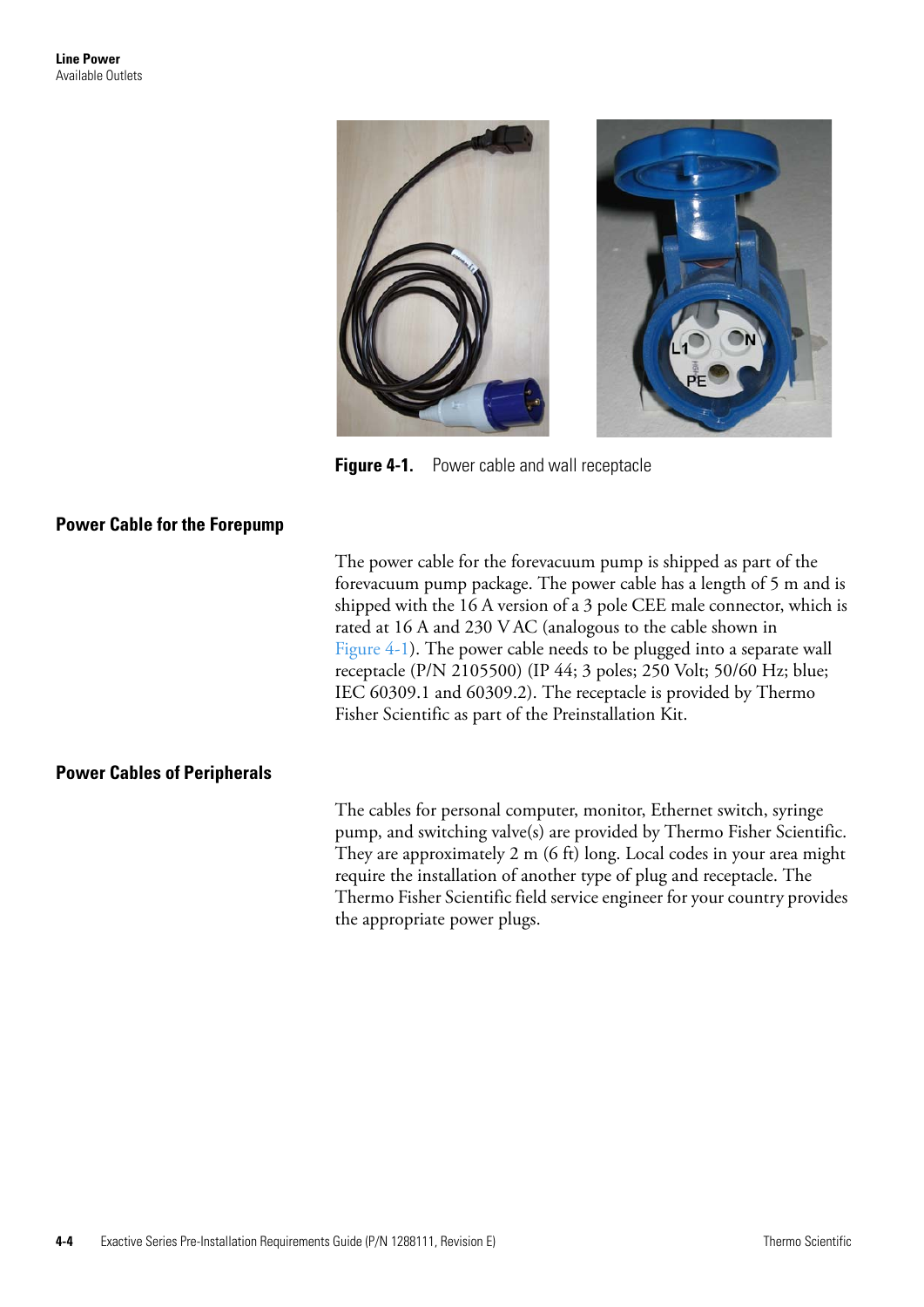

**Figure 4-1.** Power cable and wall receptacle

#### <span id="page-33-1"></span>**Power Cable for the Forepump**

<span id="page-33-4"></span><span id="page-33-2"></span><span id="page-33-0"></span>The power cable for the forevacuum pump is shipped as part of the forevacuum pump package. The power cable has a length of 5 m and is shipped with the 16 A version of a 3 pole CEE male connector, which is rated at 16 A and 230 V AC (analogous to the cable shown in [Figure 4-1](#page-33-0)). The power cable needs to be plugged into a separate wall receptacle (P/N 2105500) (IP 44; 3 poles; 250 Volt; 50/60 Hz; blue; IEC 60309.1 and 60309.2). The receptacle is provided by Thermo Fisher Scientific as part of the Preinstallation Kit.

#### **Power Cables of Peripherals**

<span id="page-33-7"></span><span id="page-33-6"></span><span id="page-33-5"></span><span id="page-33-3"></span>The cables for personal computer, monitor, Ethernet switch, syringe pump, and switching valve(s) are provided by Thermo Fisher Scientific. They are approximately 2 m (6 ft) long. Local codes in your area might require the installation of another type of plug and receptacle. The Thermo Fisher Scientific field service engineer for your country provides the appropriate power plugs.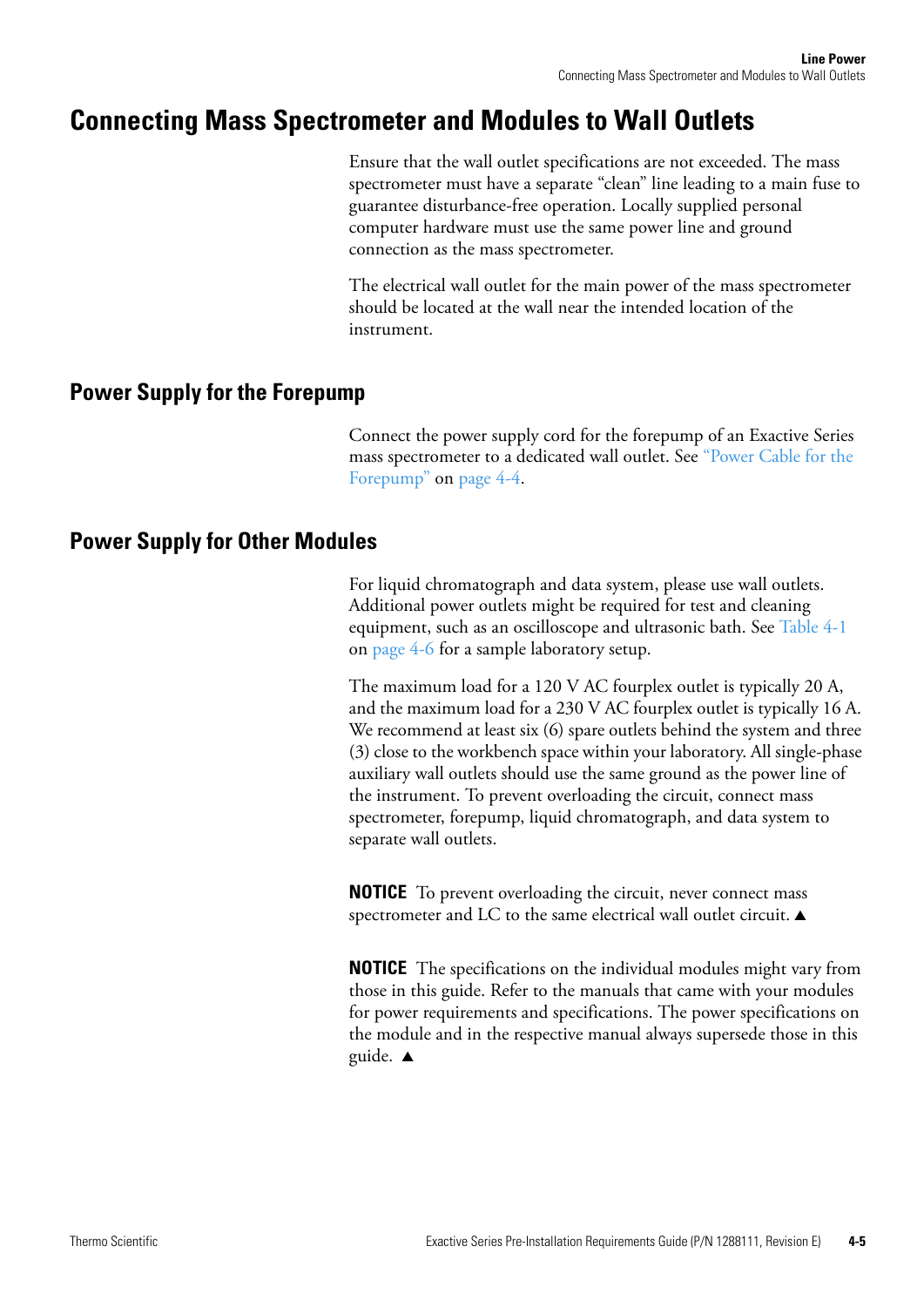## <span id="page-34-4"></span><span id="page-34-0"></span>**Connecting Mass Spectrometer and Modules to Wall Outlets**

<span id="page-34-10"></span><span id="page-34-6"></span>Ensure that the wall outlet specifications are not exceeded. The mass spectrometer must have a separate "clean" line leading to a main fuse to guarantee disturbance-free operation. Locally supplied personal computer hardware must use the same power line and ground connection as the mass spectrometer.

The electrical wall outlet for the main power of the mass spectrometer should be located at the wall near the intended location of the instrument.

### <span id="page-34-1"></span>**Power Supply for the Forepump**

Connect the power supply cord for the forepump of an Exactive Series mass spectrometer to a dedicated wall outlet. See ["Power Cable for the](#page-33-1)  [Forepump" on page 4-4](#page-33-1).

### <span id="page-34-3"></span><span id="page-34-2"></span>**Power Supply for Other Modules**

<span id="page-34-9"></span><span id="page-34-5"></span>For liquid chromatograph and data system, please use wall outlets. Additional power outlets might be required for test and cleaning equipment, such as an oscilloscope and ultrasonic bath. See [Table 4-1](#page-35-1) [on page 4-6](#page-35-1) for a sample laboratory setup.

<span id="page-34-7"></span>The maximum load for a 120 V AC fourplex outlet is typically 20 A, and the maximum load for a 230 V AC fourplex outlet is typically 16 A. We recommend at least six (6) spare outlets behind the system and three (3) close to the workbench space within your laboratory. All single-phase auxiliary wall outlets should use the same ground as the power line of the instrument. To prevent overloading the circuit, connect mass spectrometer, forepump, liquid chromatograph, and data system to separate wall outlets.

**NOTICE** To prevent overloading the circuit, never connect mass spectrometer and LC to the same electrical wall outlet circuit. ▲

<span id="page-34-8"></span>**NOTICE** The specifications on the individual modules might vary from those in this guide. Refer to the manuals that came with your modules for power requirements and specifications. The power specifications on the module and in the respective manual always supersede those in this guide. ▲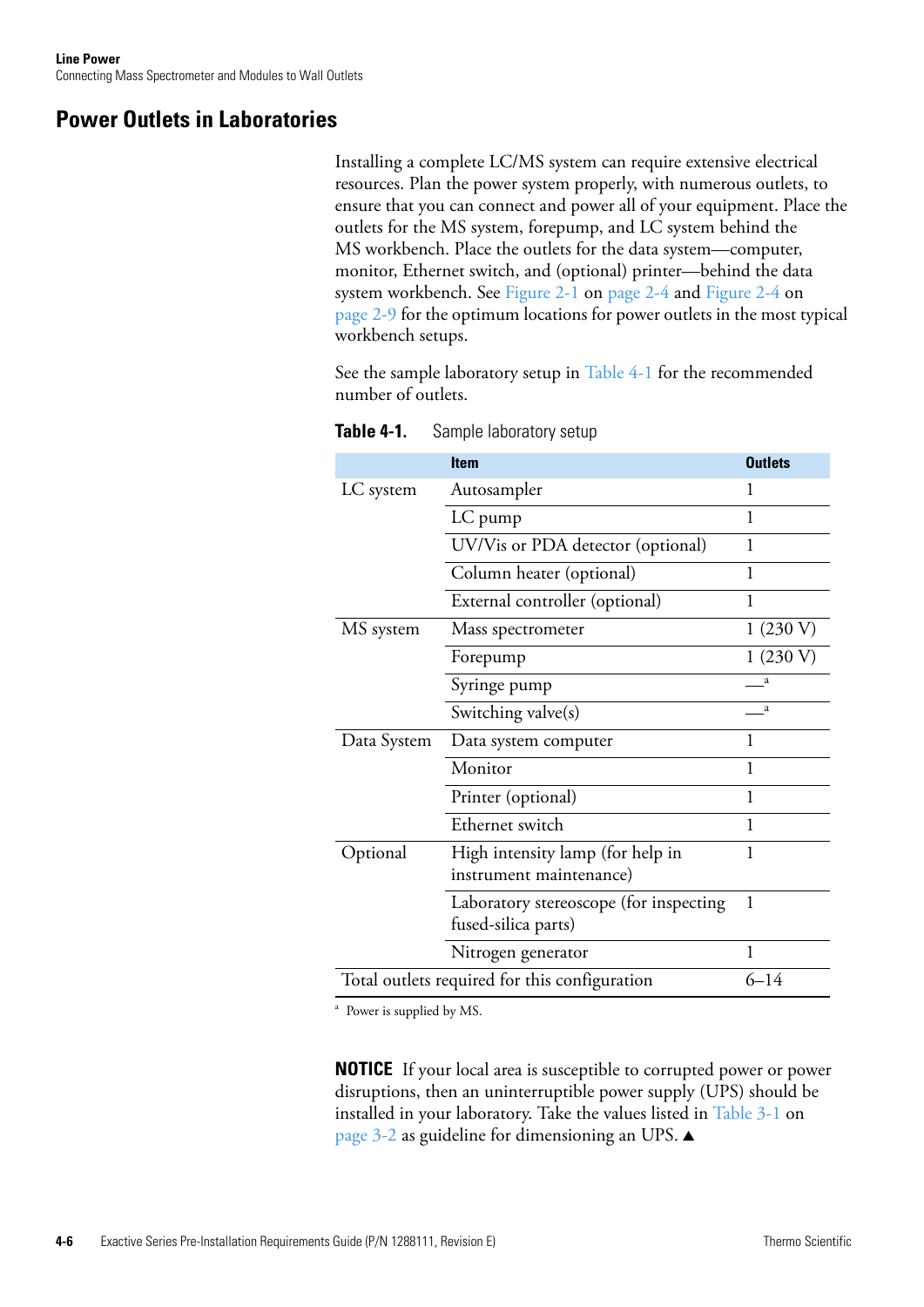## <span id="page-35-7"></span><span id="page-35-0"></span>**Power Outlets in Laboratories**

<span id="page-35-6"></span><span id="page-35-4"></span><span id="page-35-3"></span>Installing a complete LC/MS system can require extensive electrical resources. Plan the power system properly, with numerous outlets, to ensure that you can connect and power all of your equipment. Place the outlets for the MS system, forepump, and LC system behind the MS workbench. Place the outlets for the data system—computer, monitor, Ethernet switch, and (optional) printer—behind the data system workbench. See [Figure 2-1 on page 2-4](#page-17-3) and [Figure 2-4 on](#page-22-1)  [page 2-9](#page-22-1) for the optimum locations for power outlets in the most typical workbench setups.

See the sample laboratory setup in [Table 4-1](#page-35-1) for the recommended number of outlets.

<span id="page-35-8"></span>

|             | <b>Item</b>                                   | <b>Outlets</b> |
|-------------|-----------------------------------------------|----------------|
| LC system   | Autosampler                                   | I              |
|             | LC pump                                       | 1              |
|             | UV/Vis or PDA detector (optional)             | 1              |
|             | Column heater (optional)                      | 1              |
|             | External controller (optional)                | 1              |
| MS system   | Mass spectrometer                             | 1(230 V)       |
|             | Forepump                                      | 1(230 V)       |
|             | Syringe pump                                  | a              |
|             | Switching valve(s)                            | a              |
| Data System | Data system computer                          | 1              |
|             | Monitor                                       | 1              |
|             | Printer (optional)                            | 1              |
|             | Ethernet switch                               | 1              |
| Optional    | High intensity lamp (for help in              | 1              |
|             | instrument maintenance)                       |                |
|             | Laboratory stereoscope (for inspecting        | 1              |
|             | fused-silica parts)                           |                |
|             | Nitrogen generator                            | 1              |
|             | Total outlets required for this configuration | $6 - 14$       |

<span id="page-35-5"></span><span id="page-35-1"></span>**Table 4-1.** Sample laboratory setup

<span id="page-35-2"></span><sup>a</sup> Power is supplied by MS.

<span id="page-35-9"></span>**NOTICE** If your local area is susceptible to corrupted power or power disruptions, then an uninterruptible power supply (UPS) should be installed in your laboratory. Take the values listed in [Table 3-1 on](#page-27-4) [page 3-2](#page-27-4) as guideline for dimensioning an UPS. ▲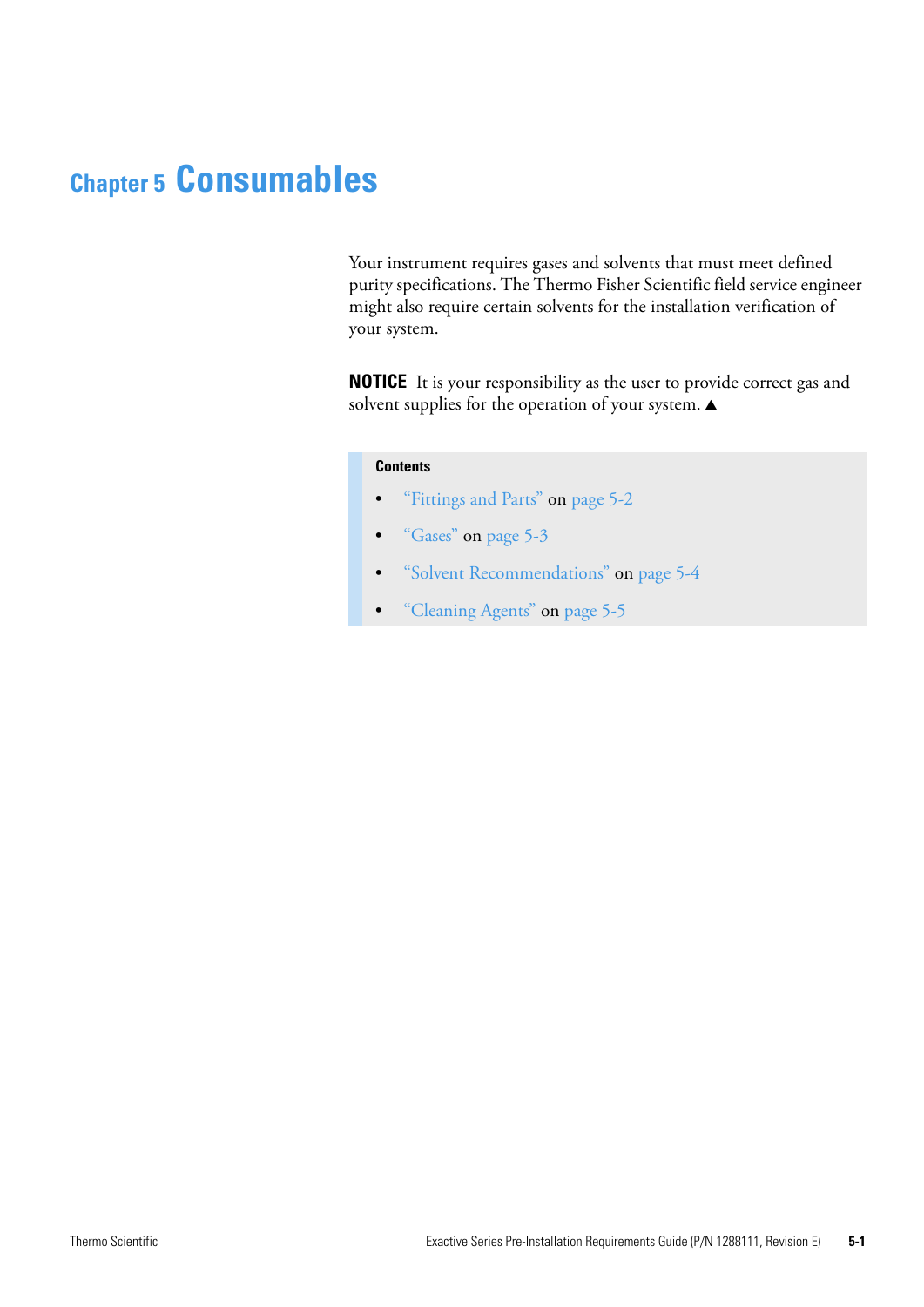# <span id="page-36-0"></span>**Chapter 5 Consumables**

Your instrument requires gases and solvents that must meet defined purity specifications. The Thermo Fisher Scientific field service engineer might also require certain solvents for the installation verification of your system.

**NOTICE** It is your responsibility as the user to provide correct gas and solvent supplies for the operation of your system. ▲

#### <span id="page-36-1"></span>**Contents**

- **•** ["Fittings and Parts" on page 5-2](#page-37-0)
- ["Gases" on page 5-3](#page-38-0)
- **•** ["Solvent Recommendations" on page 5-4](#page-39-0)
- **•** ["Cleaning Agents" on page 5-5](#page-40-0)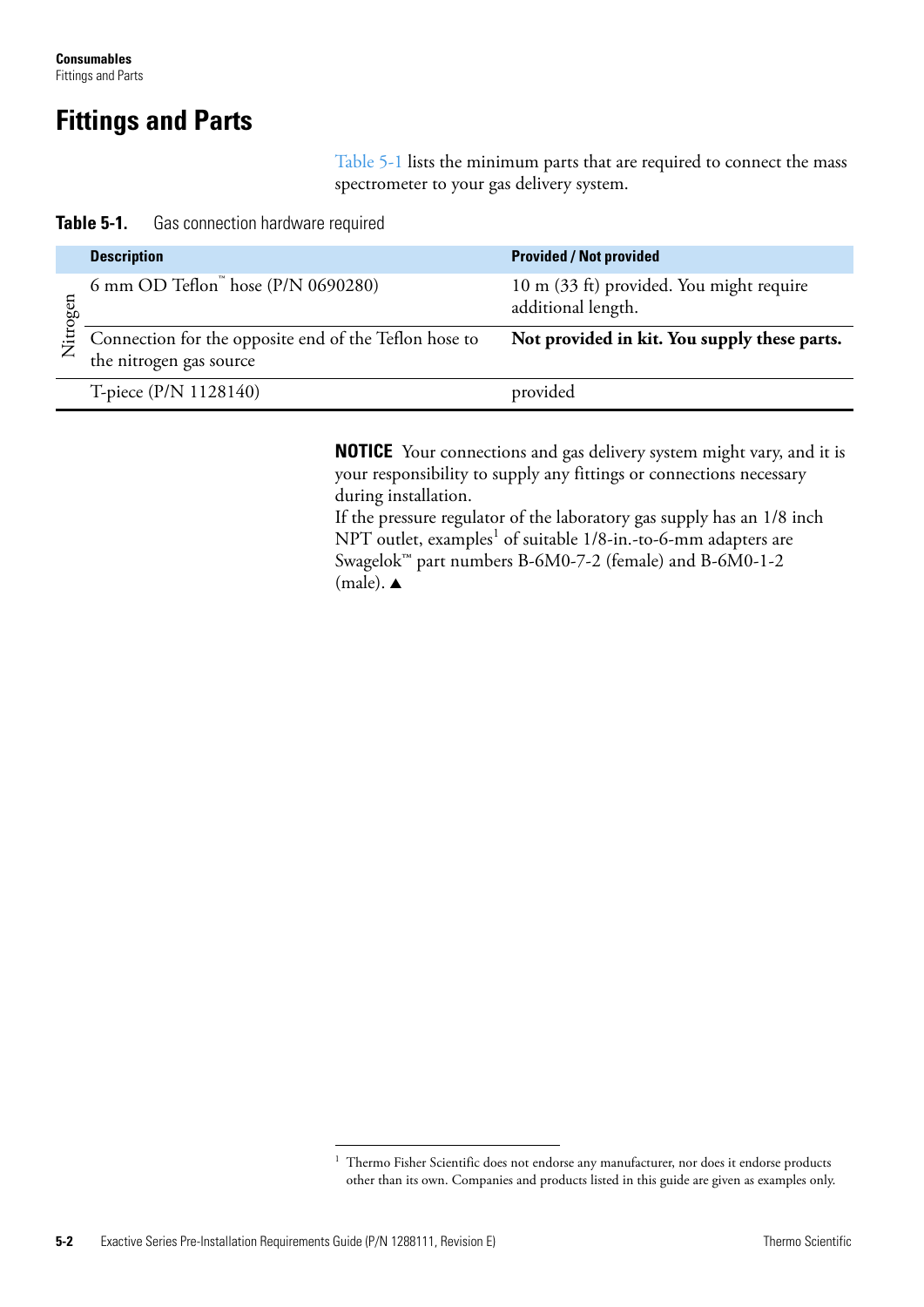## <span id="page-37-2"></span><span id="page-37-0"></span>**Fittings and Parts**

[Table 5-1](#page-37-1) lists the minimum parts that are required to connect the mass spectrometer to your gas delivery system.

<span id="page-37-3"></span><span id="page-37-1"></span>

| <b>Table 5-1.</b> | Gas connection hardware required |  |  |
|-------------------|----------------------------------|--|--|
|-------------------|----------------------------------|--|--|

<span id="page-37-4"></span>

| <b>Description</b>                                                               | <b>Provided / Not provided</b>                                 |
|----------------------------------------------------------------------------------|----------------------------------------------------------------|
| 6 mm OD Teflon" hose (P/N 0690280)                                               | 10 m (33 ft) provided. You might require<br>additional length. |
| Connection for the opposite end of the Teflon hose to<br>the nitrogen gas source | Not provided in kit. You supply these parts.                   |
| T-piece (P/N 1128140)                                                            | provided                                                       |

<span id="page-37-5"></span>**NOTICE** Your connections and gas delivery system might vary, and it is your responsibility to supply any fittings or connections necessary during installation.

If the pressure regulator of the laboratory gas supply has an 1/8 inch NPT outlet, examples $^{\rm l}$  of suitable 1/8-in.-to-6-mm adapters are Swagelok™ part numbers B-6M0-7-2 (female) and B-6M0-1-2  $(male)$ .  $\triangle$ 

<sup>&</sup>lt;sup>1</sup> Thermo Fisher Scientific does not endorse any manufacturer, nor does it endorse products other than its own. Companies and products listed in this guide are given as examples only.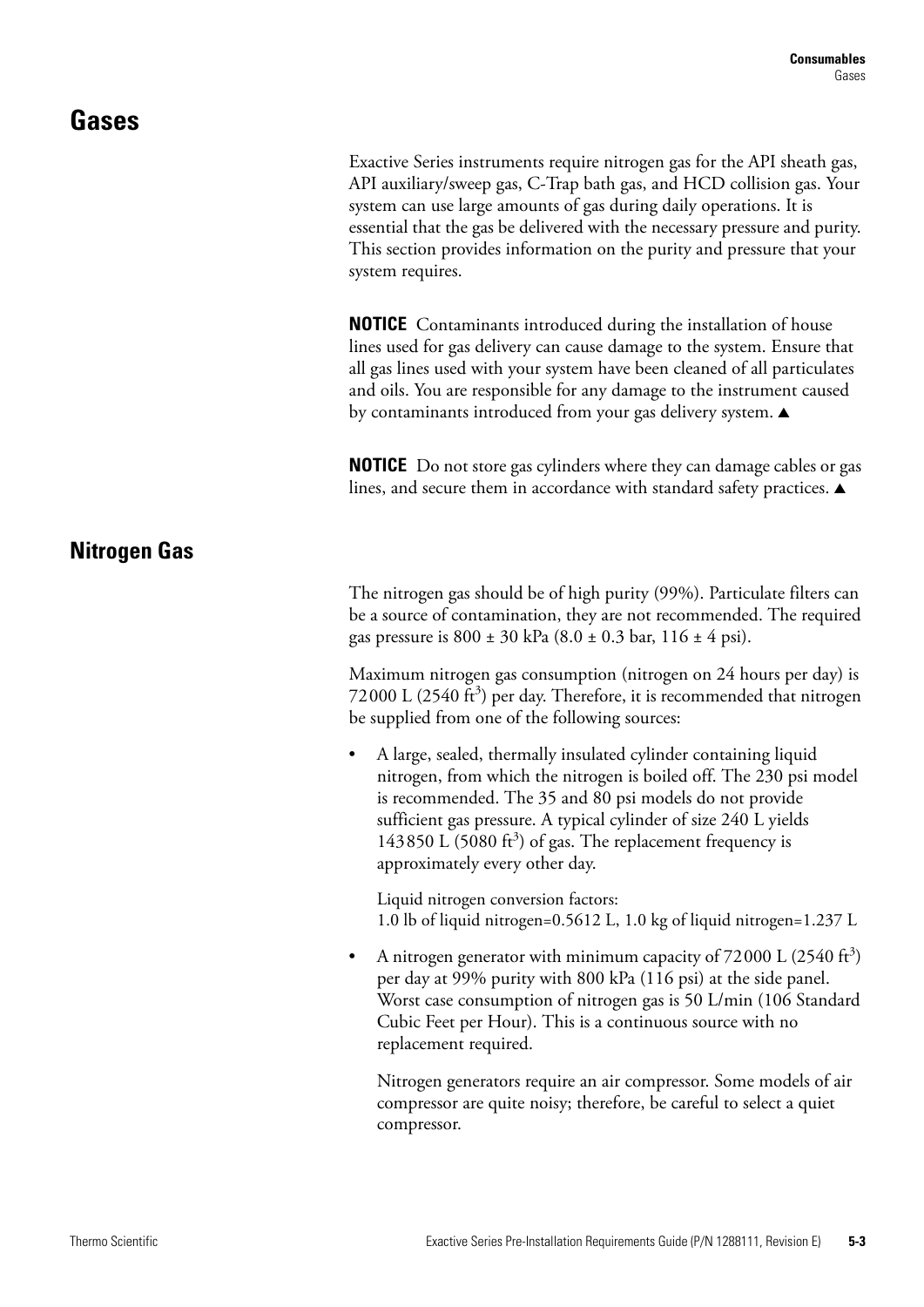## <span id="page-38-15"></span><span id="page-38-6"></span><span id="page-38-4"></span><span id="page-38-0"></span>**Gases**

<span id="page-38-17"></span><span id="page-38-16"></span><span id="page-38-14"></span><span id="page-38-13"></span><span id="page-38-12"></span><span id="page-38-11"></span><span id="page-38-10"></span><span id="page-38-9"></span><span id="page-38-8"></span><span id="page-38-7"></span><span id="page-38-5"></span><span id="page-38-3"></span><span id="page-38-2"></span><span id="page-38-1"></span>

|                     | Exactive Series instruments require nitrogen gas for the API sheath gas,<br>API auxiliary/sweep gas, C-Trap bath gas, and HCD collision gas. Your<br>system can use large amounts of gas during daily operations. It is<br>essential that the gas be delivered with the necessary pressure and purity.<br>This section provides information on the purity and pressure that your<br>system requires. |
|---------------------|------------------------------------------------------------------------------------------------------------------------------------------------------------------------------------------------------------------------------------------------------------------------------------------------------------------------------------------------------------------------------------------------------|
|                     | <b>NOTICE</b> Contaminants introduced during the installation of house<br>lines used for gas delivery can cause damage to the system. Ensure that<br>all gas lines used with your system have been cleaned of all particulates<br>and oils. You are responsible for any damage to the instrument caused<br>by contaminants introduced from your gas delivery system.                                 |
|                     | <b>NOTICE</b> Do not store gas cylinders where they can damage cables or gas<br>lines, and secure them in accordance with standard safety practices. $\blacktriangle$                                                                                                                                                                                                                                |
| <b>Nitrogen Gas</b> |                                                                                                                                                                                                                                                                                                                                                                                                      |
|                     | The nitrogen gas should be of high purity (99%). Particulate filters can<br>be a source of contamination, they are not recommended. The required<br>gas pressure is $800 \pm 30$ kPa $(8.0 \pm 0.3$ bar, $116 \pm 4$ psi).                                                                                                                                                                           |
|                     | Maximum nitrogen gas consumption (nitrogen on 24 hours per day) is<br>72000 L (2540 ft <sup>3</sup> ) per day. Therefore, it is recommended that nitrogen<br>be supplied from one of the following sources:                                                                                                                                                                                          |
|                     | A large, sealed, thermally insulated cylinder containing liquid<br>nitrogen, from which the nitrogen is boiled off. The 230 psi model<br>is recommended. The 35 and 80 psi models do not provide<br>sufficient gas pressure. A typical cylinder of size 240 L yields<br>143850 L (5080 ft <sup>3</sup> ) of gas. The replacement frequency is<br>approximately every other day.                      |
|                     | Liquid nitrogen conversion factors:<br>1.0 lb of liquid nitrogen=0.5612 L, 1.0 kg of liquid nitrogen=1.237 L                                                                                                                                                                                                                                                                                         |
|                     | A nitrogen generator with minimum capacity of $72000$ L ( $2540$ ft <sup>3</sup> )<br>per day at 99% purity with 800 kPa (116 psi) at the side panel.<br>Worst case consumption of nitrogen gas is 50 L/min (106 Standard<br>Cubic Feet per Hour). This is a continuous source with no<br>replacement required.                                                                                      |
|                     | Nitrogen generators require an air compressor. Some models of air<br>compressor are quite noisy; therefore, be careful to select a quiet<br>compressor.                                                                                                                                                                                                                                              |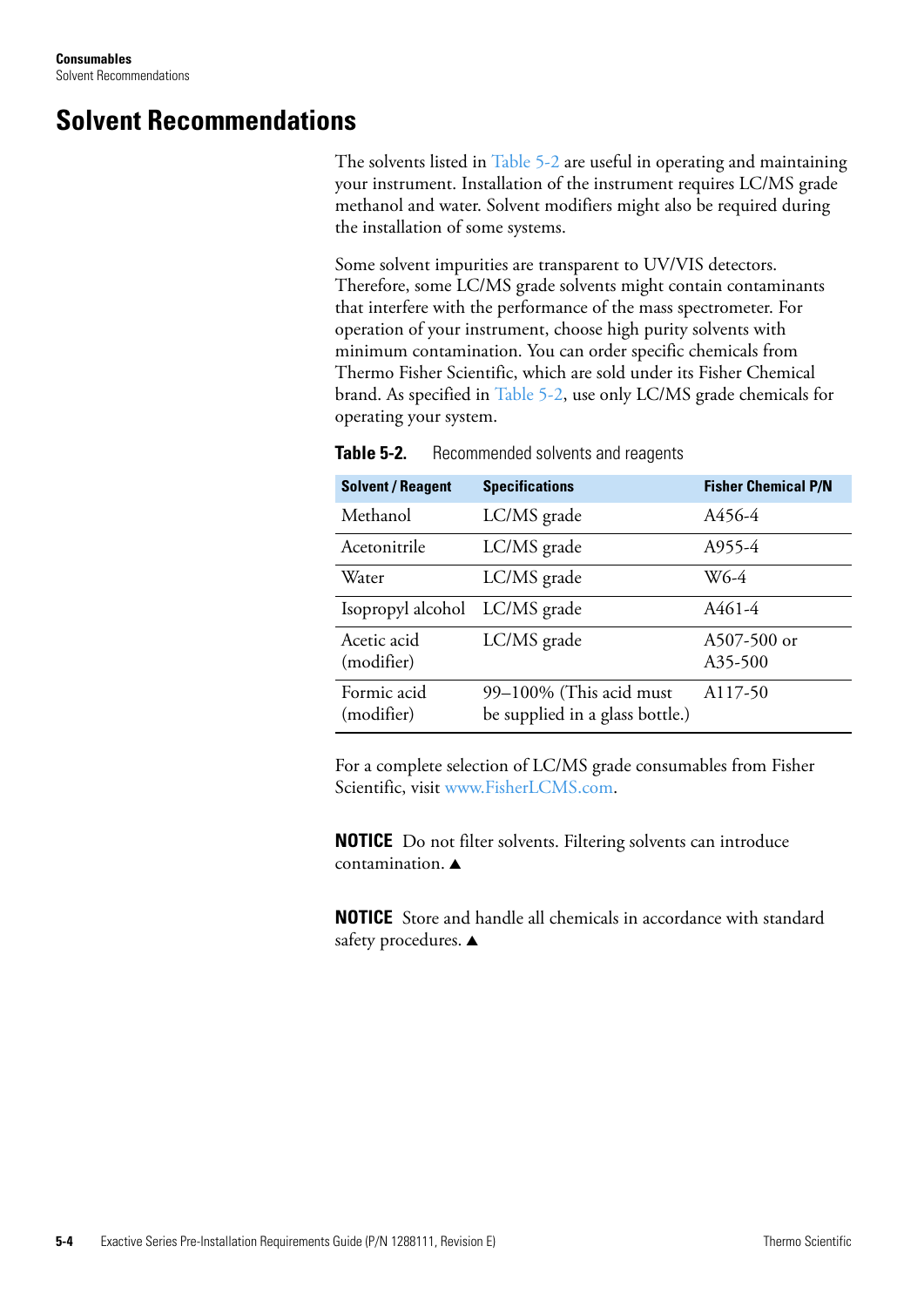## <span id="page-39-2"></span><span id="page-39-0"></span>**Solvent Recommendations**

<span id="page-39-9"></span><span id="page-39-8"></span><span id="page-39-6"></span>The solvents listed in [Table 5-2](#page-39-1) are useful in operating and maintaining your instrument. Installation of the instrument requires LC/MS grade methanol and water. Solvent modifiers might also be required during the installation of some systems.

Some solvent impurities are transparent to UV/VIS detectors. Therefore, some LC/MS grade solvents might contain contaminants that interfere with the performance of the mass spectrometer. For operation of your instrument, choose high purity solvents with minimum contamination. You can order specific chemicals from Thermo Fisher Scientific, which are sold under its Fisher Chemical brand. As specified in [Table 5-2,](#page-39-1) use only LC/MS grade chemicals for operating your system.

| <b>Solvent / Reagent</b>  | <b>Specifications</b>                                      | <b>Fisher Chemical P/N</b> |
|---------------------------|------------------------------------------------------------|----------------------------|
| Methanol                  | LC/MS grade                                                | A456-4                     |
| Acetonitrile              | LC/MS grade                                                | A955-4                     |
| Water                     | LC/MS grade                                                | W6-4                       |
| Isopropyl alcohol         | LC/MS grade                                                | A461-4                     |
| Acetic acid<br>(modifier) | LC/MS grade                                                | A507-500 or<br>A35-500     |
| Formic acid<br>(modifier) | 99-100% (This acid must<br>be supplied in a glass bottle.) | A117-50                    |

<span id="page-39-7"></span><span id="page-39-1"></span>**Table 5-2.** Recommended solvents and reagents

For a complete selection of LC/MS grade consumables from Fisher Scientific, visit www.FisherLCMS.com.

<span id="page-39-5"></span><span id="page-39-4"></span>**NOTICE** Do not filter solvents. Filtering solvents can introduce contamination. ▲

<span id="page-39-3"></span>**NOTICE** Store and handle all chemicals in accordance with standard safety procedures. ▲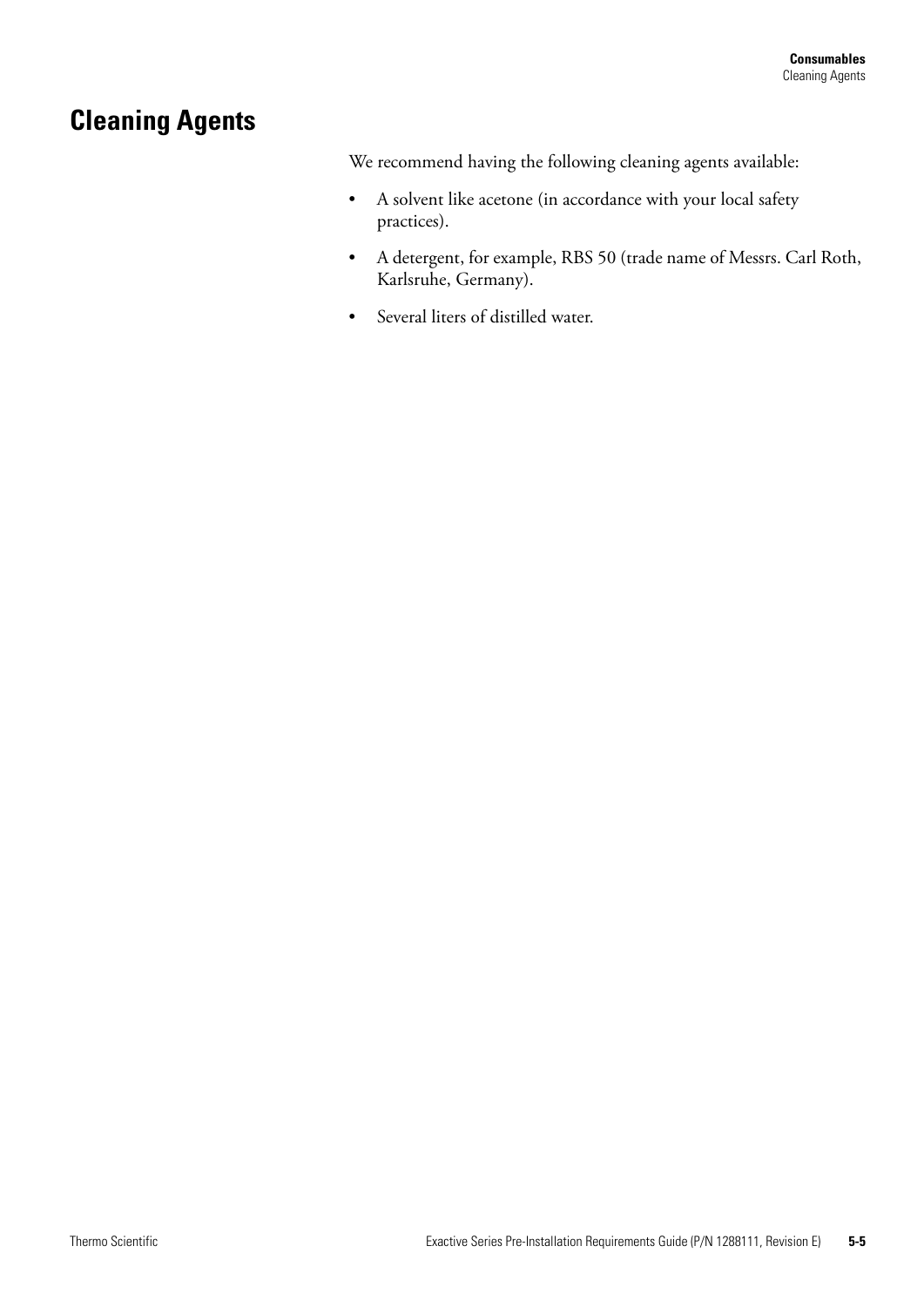## <span id="page-40-1"></span><span id="page-40-0"></span>**Cleaning Agents**

We recommend having the following cleaning agents available:

- <span id="page-40-4"></span>**•** A solvent like acetone (in accordance with your local safety practices).
- <span id="page-40-2"></span>**•** A detergent, for example, RBS 50 (trade name of Messrs. Carl Roth, Karlsruhe, Germany).
- <span id="page-40-3"></span>**•** Several liters of distilled water.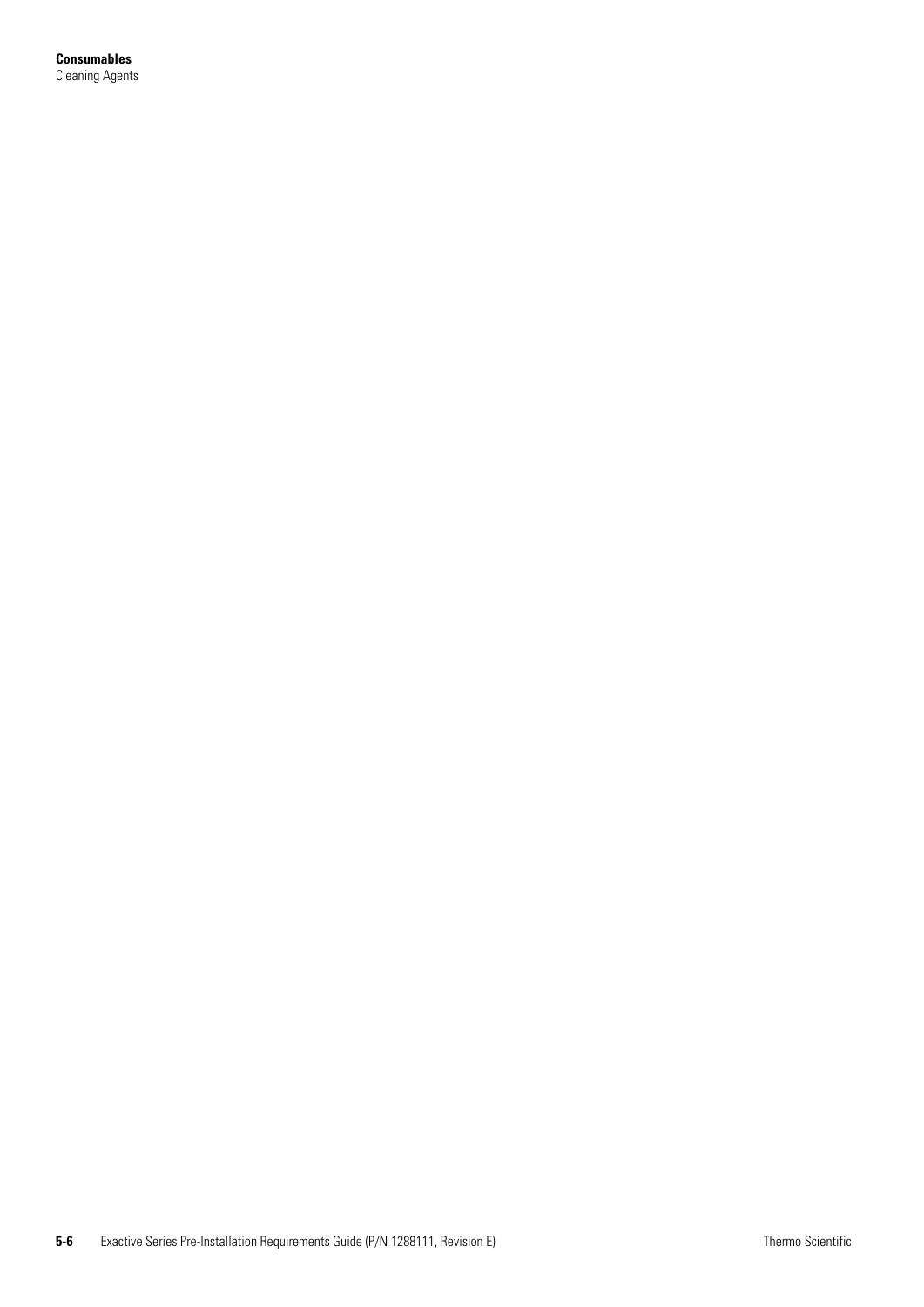**Consumables**

Cleaning Agents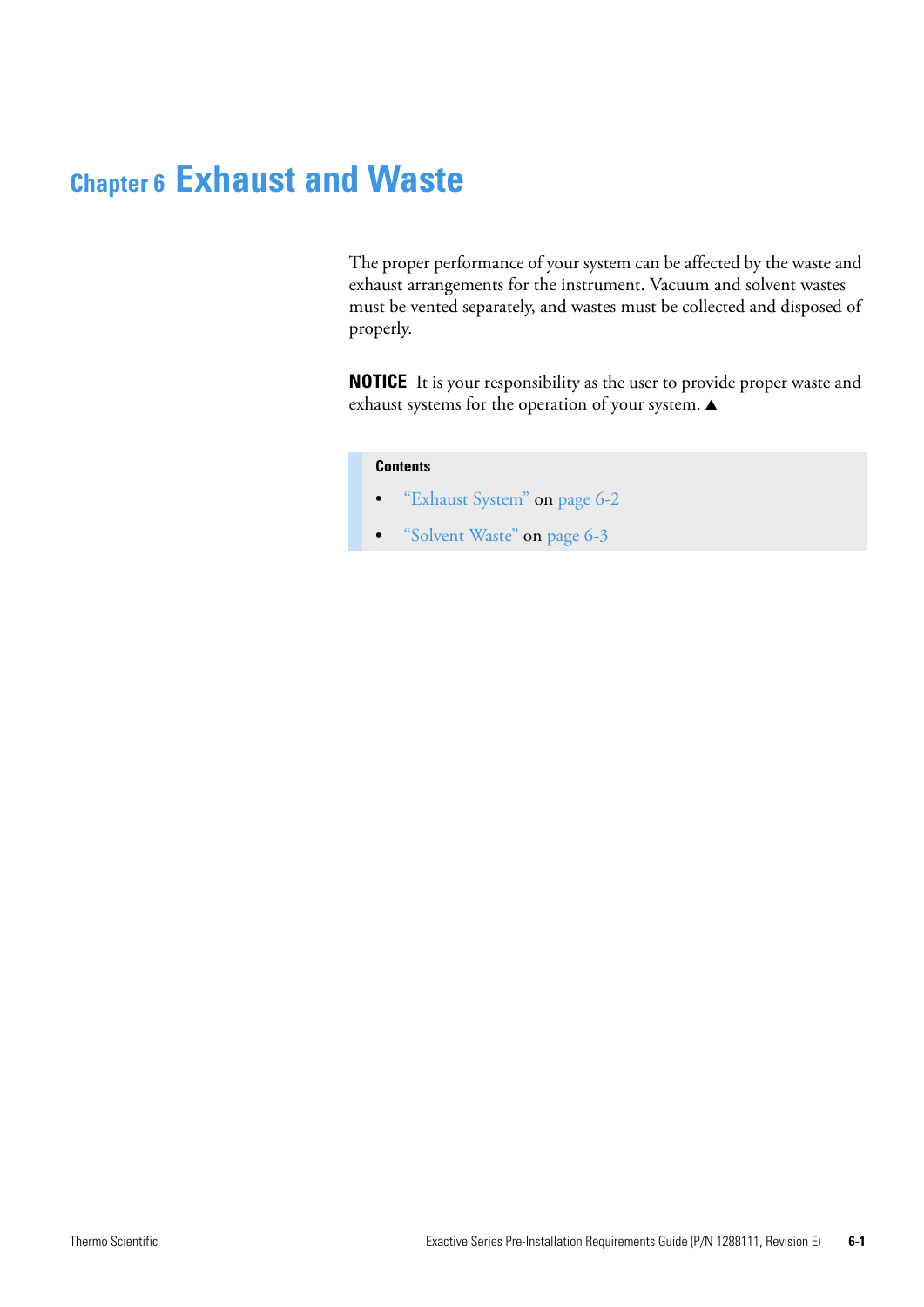# <span id="page-42-0"></span>**Chapter 6 Exhaust and Waste**

The proper performance of your system can be affected by the waste and exhaust arrangements for the instrument. Vacuum and solvent wastes must be vented separately, and wastes must be collected and disposed of properly.

**NOTICE** It is your responsibility as the user to provide proper waste and exhaust systems for the operation of your system. ▲

#### <span id="page-42-1"></span>**Contents**

- **•** ["Exhaust System" on page 6-2](#page-43-0)
- ["Solvent Waste" on page 6-3](#page-44-0)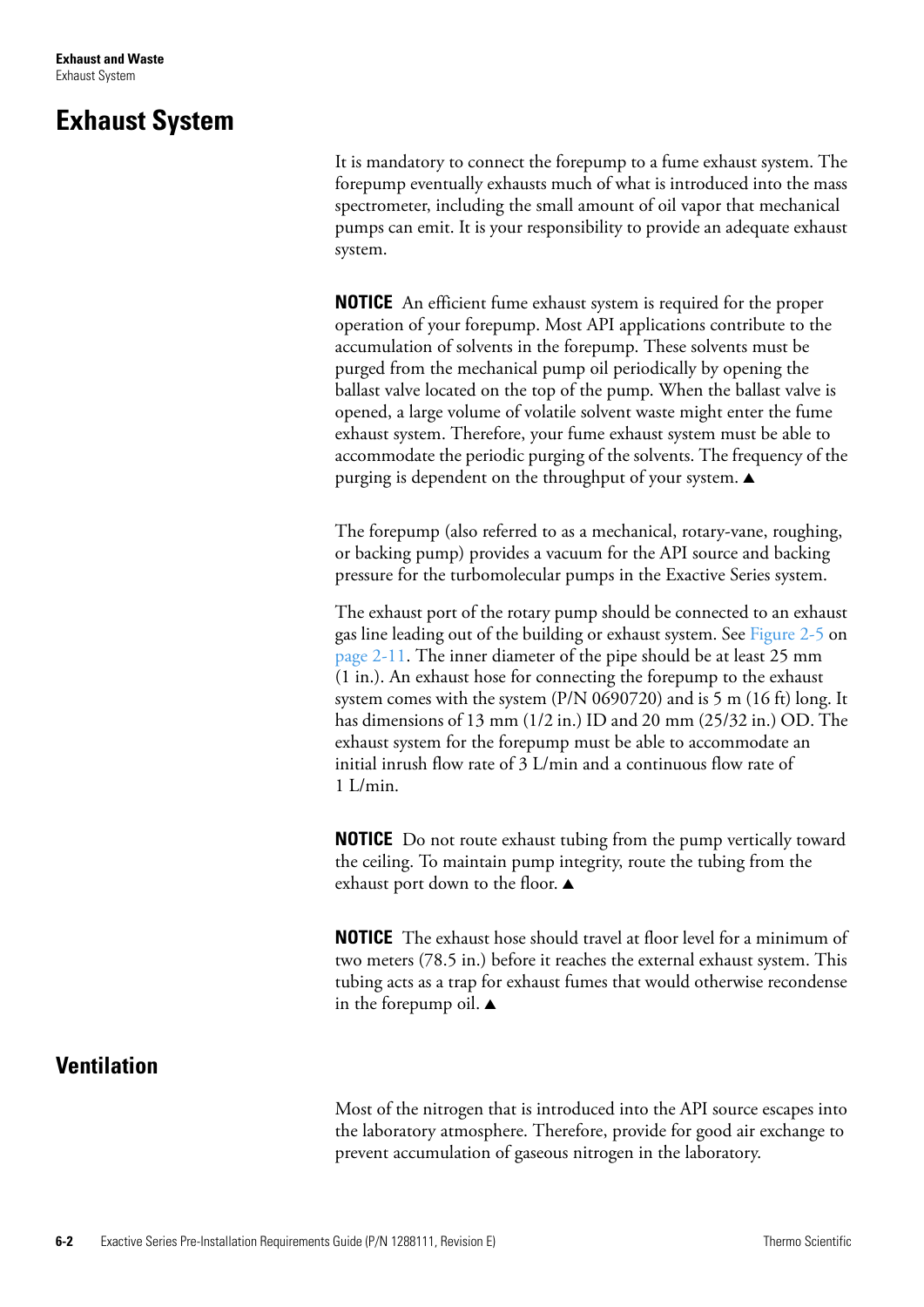## <span id="page-43-2"></span><span id="page-43-0"></span>**Exhaust System**

<span id="page-43-13"></span><span id="page-43-10"></span><span id="page-43-7"></span>It is mandatory to connect the forepump to a fume exhaust system. The forepump eventually exhausts much of what is introduced into the mass spectrometer, including the small amount of oil vapor that mechanical pumps can emit. It is your responsibility to provide an adequate exhaust system.

<span id="page-43-12"></span><span id="page-43-11"></span><span id="page-43-4"></span>**NOTICE** An efficient fume exhaust system is required for the proper operation of your forepump. Most API applications contribute to the accumulation of solvents in the forepump. These solvents must be purged from the mechanical pump oil periodically by opening the ballast valve located on the top of the pump. When the ballast valve is opened, a large volume of volatile solvent waste might enter the fume exhaust system. Therefore, your fume exhaust system must be able to accommodate the periodic purging of the solvents. The frequency of the purging is dependent on the throughput of your system. ▲

The forepump (also referred to as a mechanical, rotary-vane, roughing, or backing pump) provides a vacuum for the API source and backing pressure for the turbomolecular pumps in the Exactive Series system.

<span id="page-43-5"></span>The exhaust port of the rotary pump should be connected to an exhaust gas line leading out of the building or exhaust system. See [Figure 2-5 on](#page-24-1)  [page 2-11.](#page-24-1) The inner diameter of the pipe should be at least 25 mm (1 in.). An exhaust hose for connecting the forepump to the exhaust system comes with the system (P/N 0690720) and is 5 m (16 ft) long. It has dimensions of 13 mm (1/2 in.) ID and 20 mm (25/32 in.) OD. The exhaust system for the forepump must be able to accommodate an initial inrush flow rate of 3 L/min and a continuous flow rate of  $1$  L/min.

<span id="page-43-6"></span>**NOTICE** Do not route exhaust tubing from the pump vertically toward the ceiling. To maintain pump integrity, route the tubing from the exhaust port down to the floor. **▲** 

**NOTICE** The exhaust hose should travel at floor level for a minimum of two meters (78.5 in.) before it reaches the external exhaust system. This tubing acts as a trap for exhaust fumes that would otherwise recondense in the forepump oil.  $\triangle$ 

### <span id="page-43-1"></span>**Ventilation**

<span id="page-43-9"></span><span id="page-43-8"></span><span id="page-43-3"></span>Most of the nitrogen that is introduced into the API source escapes into the laboratory atmosphere. Therefore, provide for good air exchange to prevent accumulation of gaseous nitrogen in the laboratory.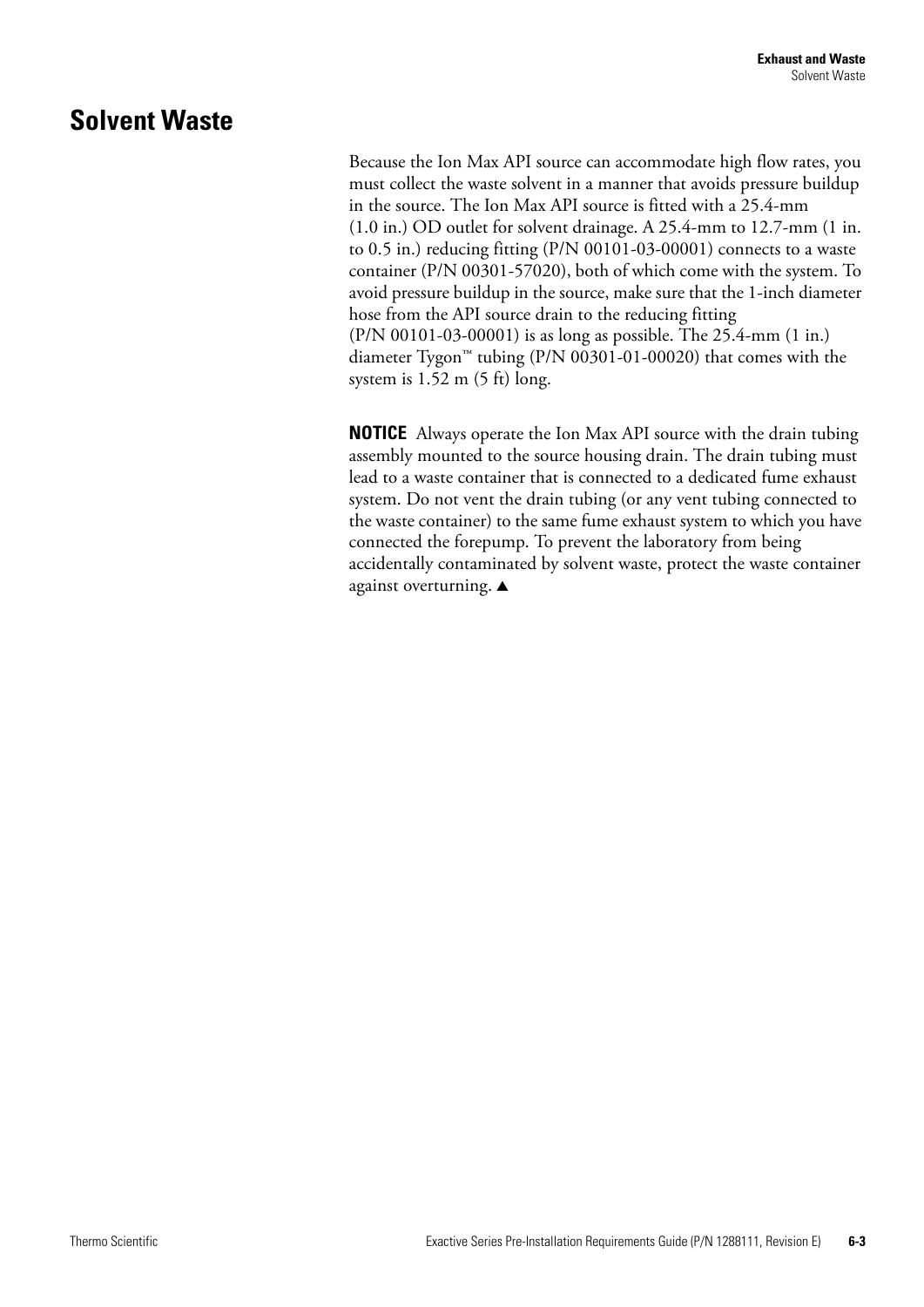## <span id="page-44-5"></span><span id="page-44-0"></span>**Solvent Waste**

<span id="page-44-9"></span><span id="page-44-8"></span><span id="page-44-4"></span><span id="page-44-1"></span>Because the Ion Max API source can accommodate high flow rates, you must collect the waste solvent in a manner that avoids pressure buildup in the source. The Ion Max API source is fitted with a 25.4-mm (1.0 in.) OD outlet for solvent drainage. A 25.4-mm to 12.7-mm (1 in. to 0.5 in.) reducing fitting (P/N 00101-03-00001) connects to a waste container (P/N 00301-57020), both of which come with the system. To avoid pressure buildup in the source, make sure that the 1-inch diameter hose from the API source drain to the reducing fitting (P/N 00101-03-00001) is as long as possible. The 25.4-mm (1 in.) diameter Tygon™ tubing (P/N 00301-01-00020) that comes with the system is 1.52 m (5 ft) long.

<span id="page-44-7"></span><span id="page-44-6"></span><span id="page-44-3"></span><span id="page-44-2"></span>**NOTICE** Always operate the Ion Max API source with the drain tubing assembly mounted to the source housing drain. The drain tubing must lead to a waste container that is connected to a dedicated fume exhaust system. Do not vent the drain tubing (or any vent tubing connected to the waste container) to the same fume exhaust system to which you have connected the forepump. To prevent the laboratory from being accidentally contaminated by solvent waste, protect the waste container against overturning. ▲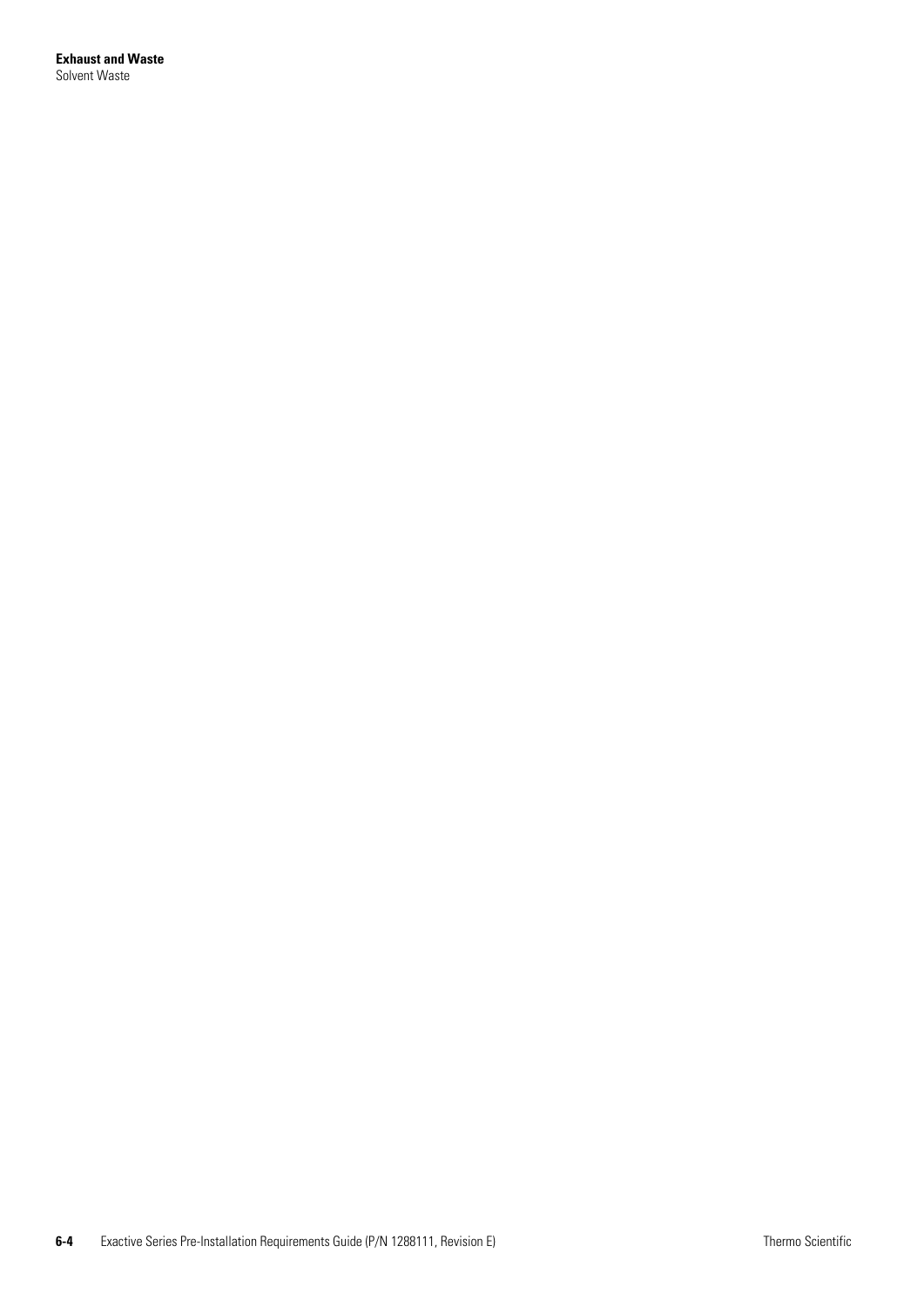**Exhaust and Waste** Solvent Waste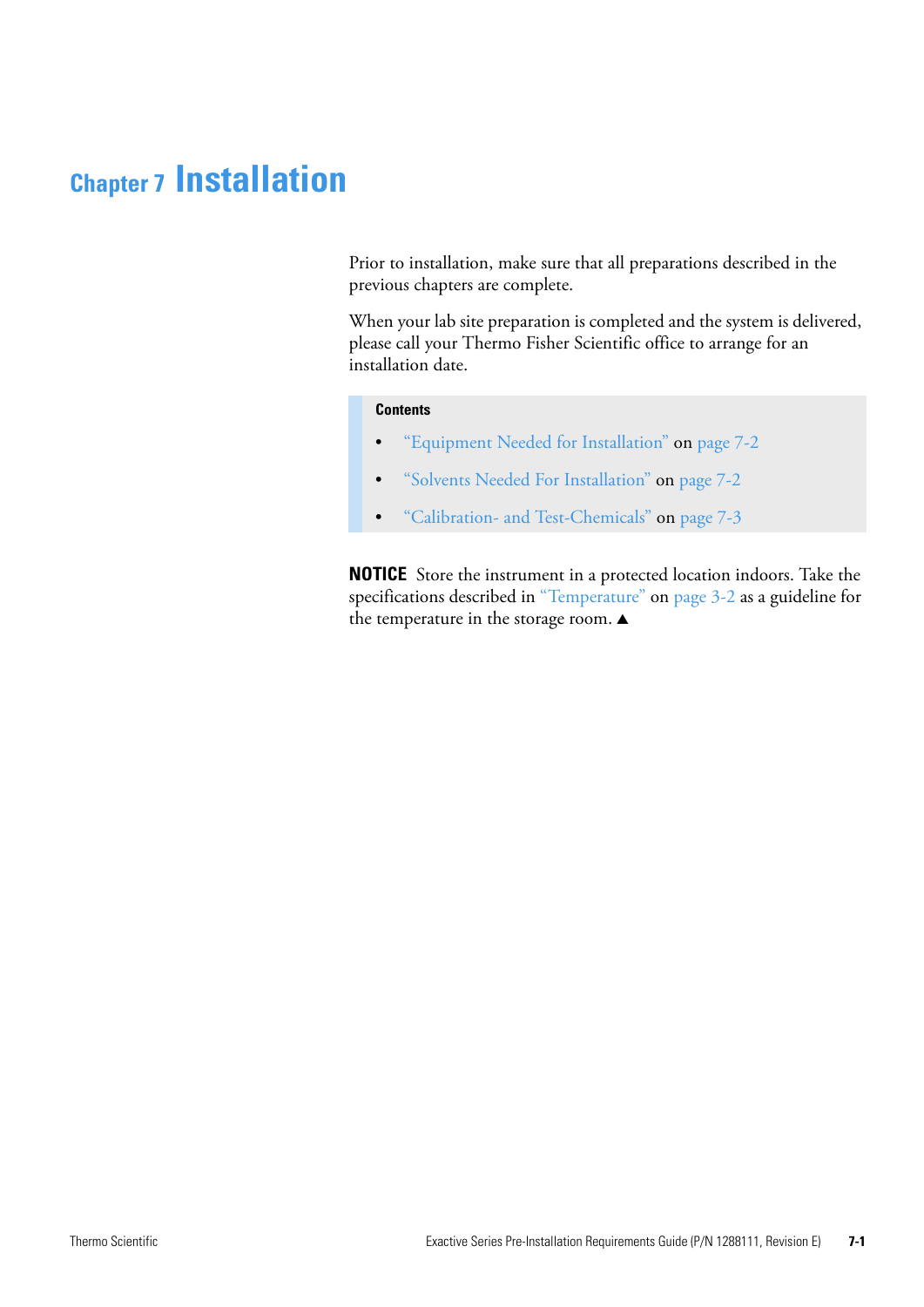## <span id="page-46-0"></span>**Chapter 7 Installation**

Prior to installation, make sure that all preparations described in the previous chapters are complete.

When your lab site preparation is completed and the system is delivered, please call your Thermo Fisher Scientific office to arrange for an installation date.

#### **Contents**

- **•** ["Equipment Needed for Installation" on page 7-2](#page-47-0)
- **•** ["Solvents Needed For Installation" on page 7-2](#page-47-1)
- <span id="page-46-1"></span>**•** ["Calibration- and Test-Chemicals" on page 7-3](#page-48-0)

**NOTICE** Store the instrument in a protected location indoors. Take the specifications described in ["Temperature" on page 3-2](#page-27-5) as a guideline for the temperature in the storage room. ▲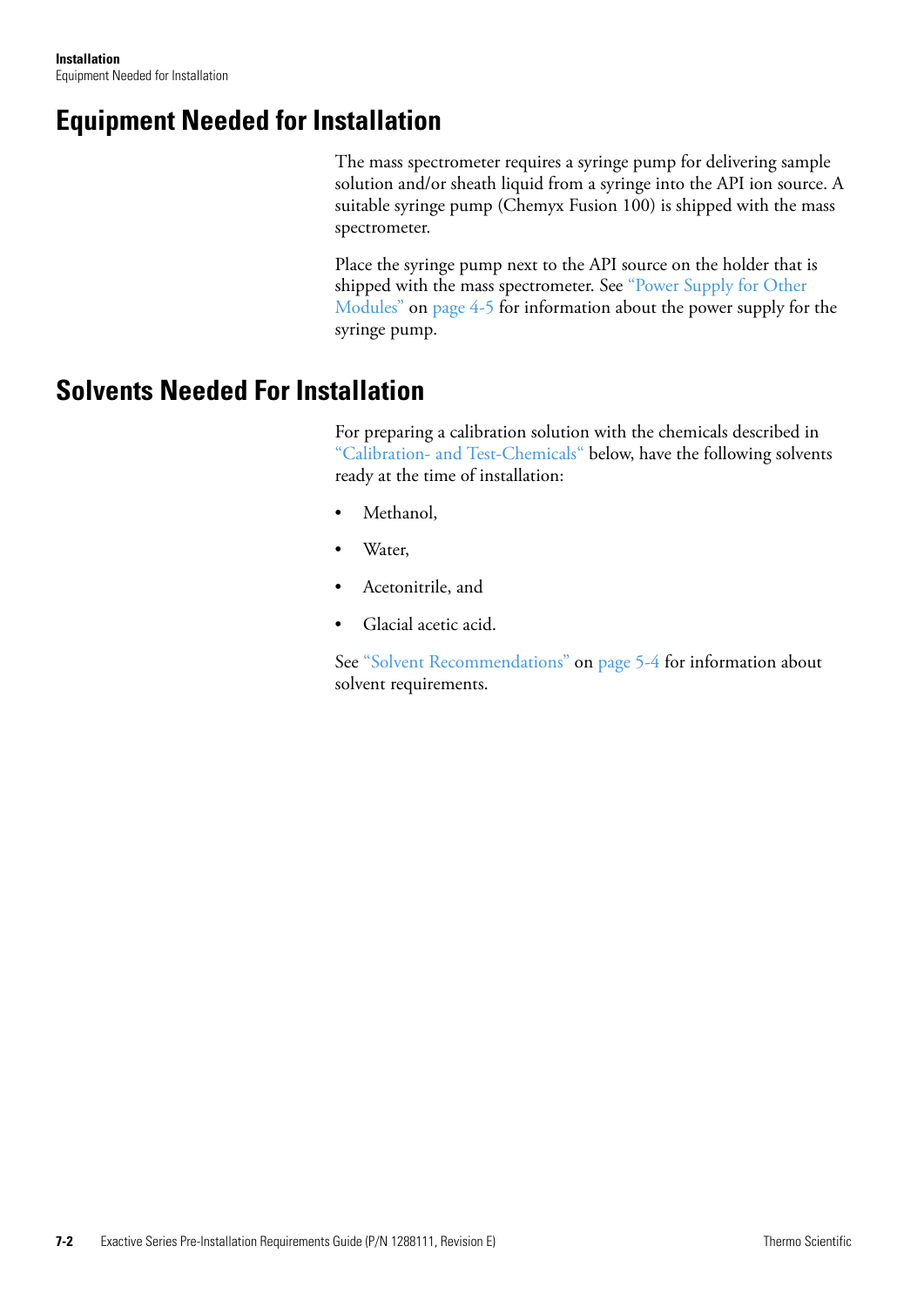## <span id="page-47-2"></span><span id="page-47-0"></span>**Equipment Needed for Installation**

<span id="page-47-5"></span>The mass spectrometer requires a syringe pump for delivering sample solution and/or sheath liquid from a syringe into the API ion source. A suitable syringe pump (Chemyx Fusion 100) is shipped with the mass spectrometer.

<span id="page-47-3"></span>Place the syringe pump next to the API source on the holder that is shipped with the mass spectrometer. See ["Power Supply for Other](#page-34-3)  [Modules" on page 4-5](#page-34-3) for information about the power supply for the syringe pump.

## <span id="page-47-1"></span>**Solvents Needed For Installation**

<span id="page-47-4"></span>For preparing a calibration solution with the chemicals described in ["Calibration- and Test-Chemicals"](#page-48-0) below, have the following solvents ready at the time of installation:

- **•** Methanol,
- **•** Water,
- **•** Acetonitrile, and
- **•** Glacial acetic acid.

See ["Solvent Recommendations" on page 5-4](#page-39-2) for information about solvent requirements.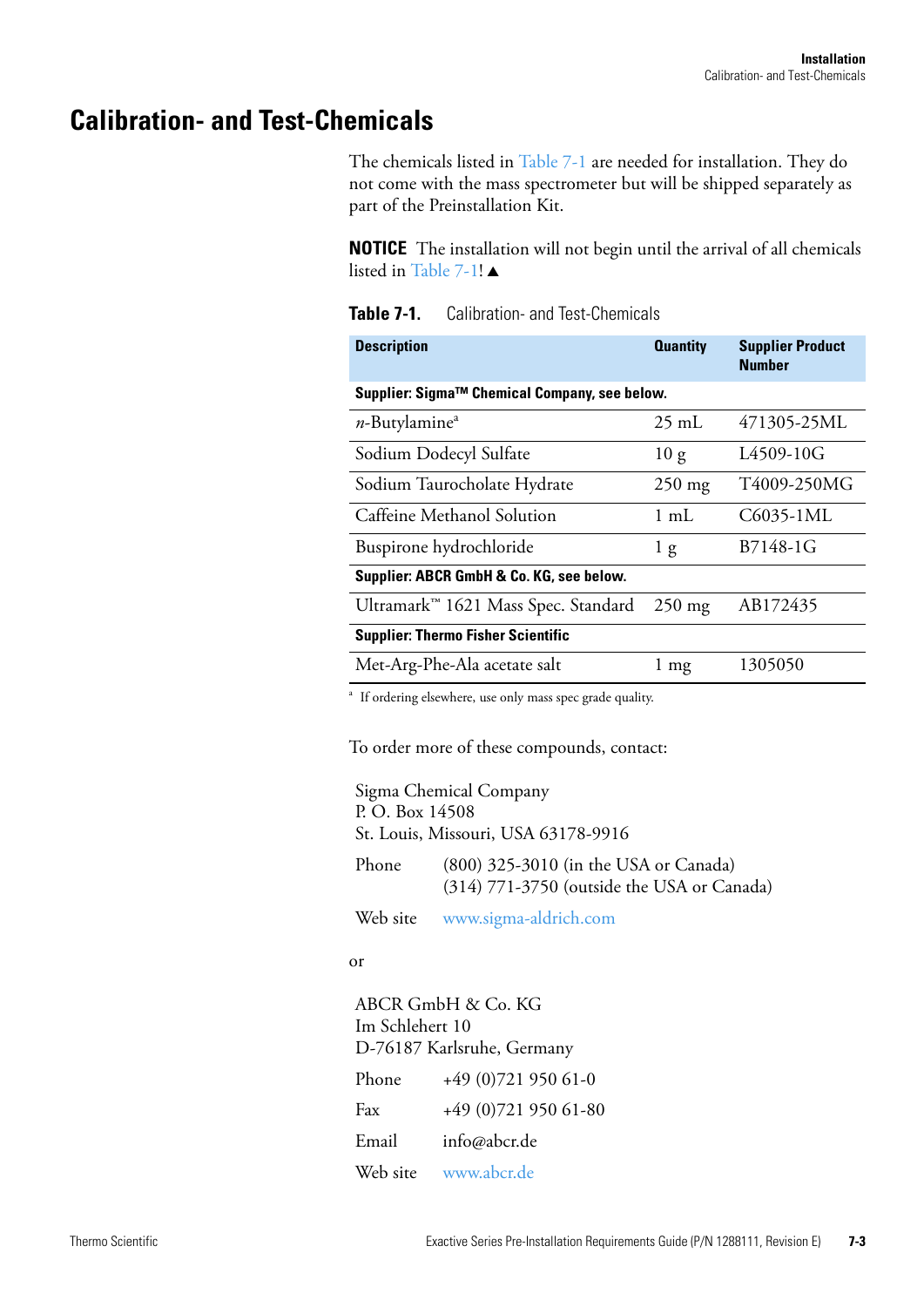## <span id="page-48-1"></span><span id="page-48-0"></span>**Calibration- and Test-Chemicals**

<span id="page-48-7"></span><span id="page-48-4"></span>The chemicals listed in [Table 7-1](#page-48-2) are needed for installation. They do not come with the mass spectrometer but will be shipped separately as part of the Preinstallation Kit.

**NOTICE** The installation will not begin until the arrival of all chemicals listed in [Table 7-1!](#page-48-2) ▲

<span id="page-48-9"></span><span id="page-48-8"></span><span id="page-48-6"></span><span id="page-48-3"></span>

| <b>Description</b>                              | <b>Quantity</b>  | <b>Supplier Product</b><br><b>Number</b> |
|-------------------------------------------------|------------------|------------------------------------------|
| Supplier: Sigma™ Chemical Company, see below.   |                  |                                          |
| $n$ -Butylamine <sup>a</sup>                    | $25 \text{ mL}$  | 471305-25ML                              |
| Sodium Dodecyl Sulfate                          | 10 <sub>g</sub>  | L4509-10G                                |
| Sodium Taurocholate Hydrate                     | $250 \text{ mg}$ | T4009-250MG                              |
| Caffeine Methanol Solution                      | $1 \text{ mL}$   | C6035-1ML                                |
| Buspirone hydrochloride                         | 1 <sub>g</sub>   | B7148-1G                                 |
| Supplier: ABCR GmbH & Co. KG, see below.        |                  |                                          |
| Ultramark <sup>™</sup> 1621 Mass Spec. Standard | $250 \text{ mg}$ | AB172435                                 |
| <b>Supplier: Thermo Fisher Scientific</b>       |                  |                                          |
| Met-Arg-Phe-Ala acetate salt                    | mg               | 1305050                                  |

<span id="page-48-2"></span>**Table 7-1.** Calibration- and Test-Chemicals

<sup>a</sup> If ordering elsewhere, use only mass spec grade quality.

<span id="page-48-5"></span>To order more of these compounds, contact:

Sigma Chemical Company P. O. Box 14508 St. Louis, Missouri, USA 63178-9916 Phone (800) 325-3010 (in the USA or Canada) (314) 771-3750 (outside the USA or Canada) Web site [w](http://www.sigma-aldrich.com)ww.sigma-aldrich.com

or

ABCR GmbH & Co. KG Im Schlehert 10 D-76187 Karlsruhe, Germany Phone +49 (0)721 950 61-0 Fax  $+49(0)72195061-80$ Email info@abcr.de Web site [www.abcr.de](http://www.abcr.de)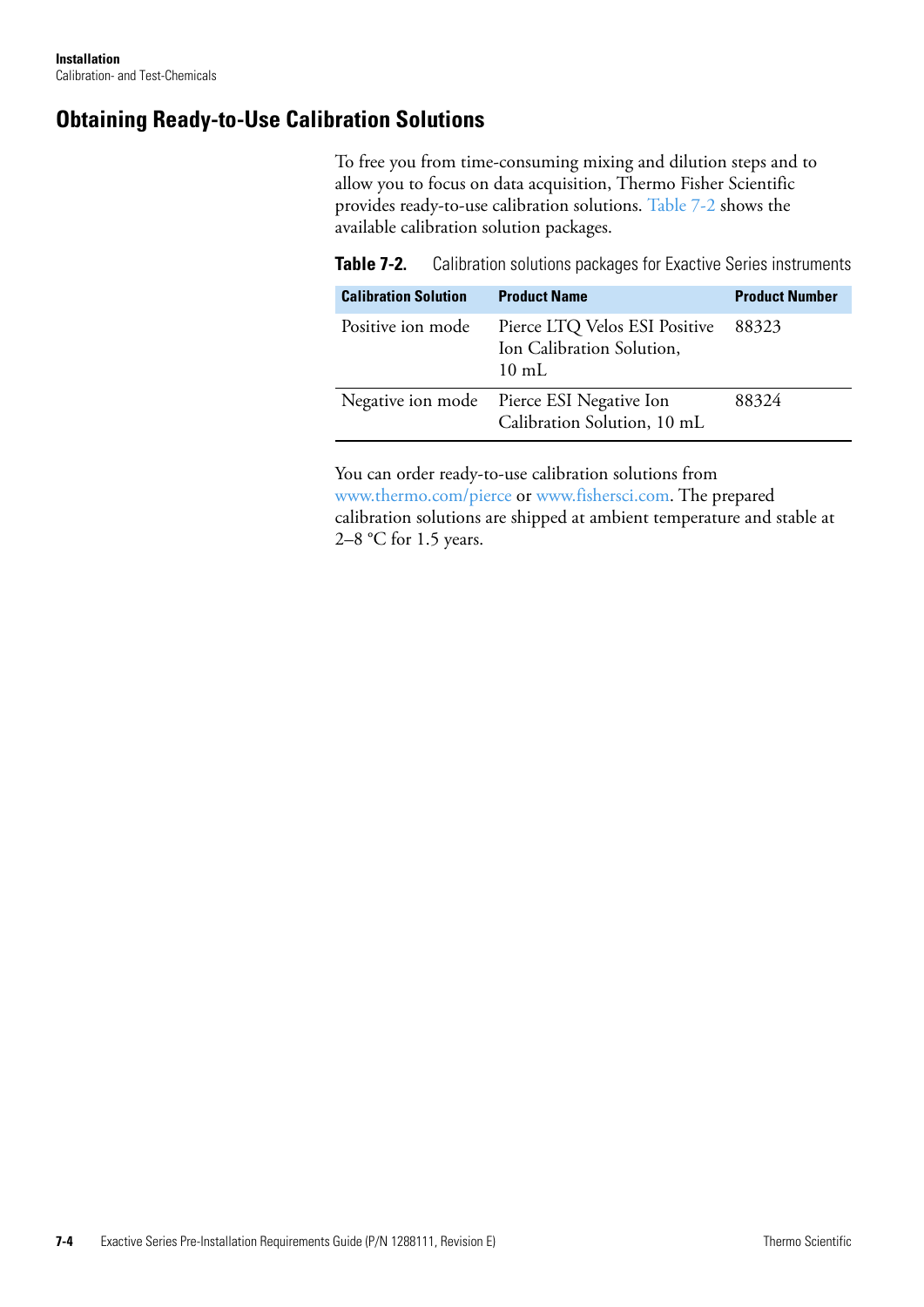## <span id="page-49-0"></span>**Obtaining Ready-to-Use Calibration Solutions**

<span id="page-49-3"></span>To free you from time-consuming mixing and dilution steps and to allow you to focus on data acquisition, Thermo Fisher Scientific provides ready-to-use calibration solutions. [Table 7-2](#page-49-1) shows the available calibration solution packages.

<span id="page-49-2"></span><span id="page-49-1"></span>**Table 7-2.** Calibration solutions packages for Exactive Series instruments

| <b>Calibration Solution</b> | <b>Product Name</b>                                                           | <b>Product Number</b> |
|-----------------------------|-------------------------------------------------------------------------------|-----------------------|
| Positive ion mode           | Pierce LTQ Velos ESI Positive<br>Ion Calibration Solution,<br>$10 \text{ mL}$ | 88323                 |
|                             | Negative ion mode  Pierce ESI Negative Ion<br>Calibration Solution, 10 mL     | 88324                 |

You can order ready-to-use calibration solutions from www.thermo.com/pierce or www.fishersci.com. The prepared calibration solutions are shipped at ambient temperature and stable at 2–8 °C for 1.5 years.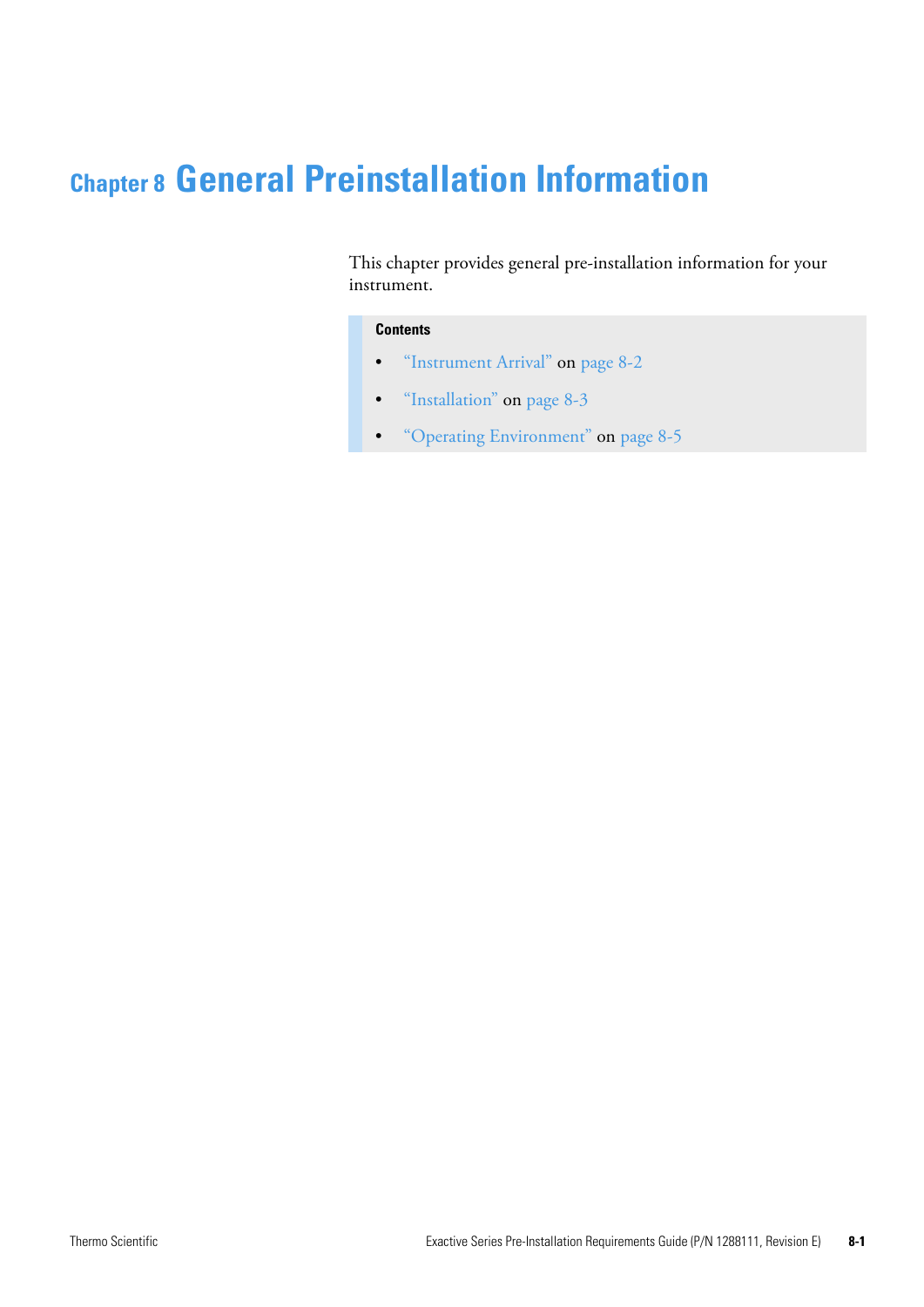# <span id="page-50-0"></span>**Chapter 8 General Preinstallation Information**

This chapter provides general pre-installation information for your instrument.

#### **Contents**

- **•** ["Instrument Arrival" on page 8-2](#page-51-0)
- **•** ["Installation" on page 8-3](#page-52-0)
- **•** ["Operating Environment" on page 8-5](#page-54-0)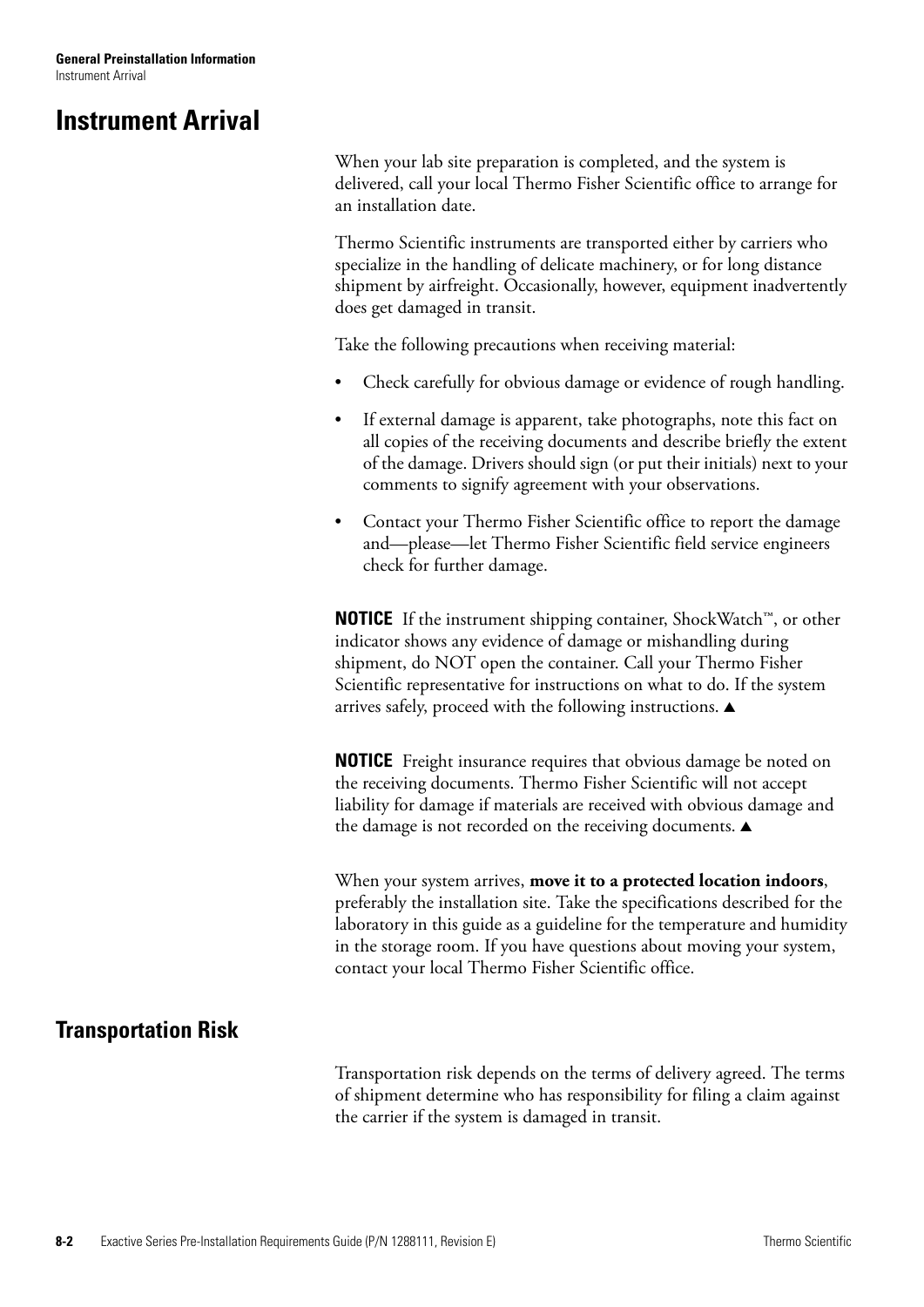## <span id="page-51-6"></span><span id="page-51-0"></span>**Instrument Arrival**

When your lab site preparation is completed, and the system is delivered, call your local Thermo Fisher Scientific office to arrange for an installation date.

<span id="page-51-3"></span>Thermo Scientific instruments are transported either by carriers who specialize in the handling of delicate machinery, or for long distance shipment by airfreight. Occasionally, however, equipment inadvertently does get damaged in transit.

Take the following precautions when receiving material:

- **•** Check carefully for obvious damage or evidence of rough handling.
- <span id="page-51-2"></span>**•** If external damage is apparent, take photographs, note this fact on all copies of the receiving documents and describe briefly the extent of the damage. Drivers should sign (or put their initials) next to your comments to signify agreement with your observations.
- **•** Contact your Thermo Fisher Scientific office to report the damage and—please—let Thermo Fisher Scientific field service engineers check for further damage.

**NOTICE** If the instrument shipping container, ShockWatch™, or other indicator shows any evidence of damage or mishandling during shipment, do NOT open the container. Call your Thermo Fisher Scientific representative for instructions on what to do. If the system arrives safely, proceed with the following instructions. ▲

<span id="page-51-5"></span>**NOTICE** Freight insurance requires that obvious damage be noted on the receiving documents. Thermo Fisher Scientific will not accept liability for damage if materials are received with obvious damage and the damage is not recorded on the receiving documents. ▲

When your system arrives, **move it to a protected location indoors**, preferably the installation site. Take the specifications described for the laboratory in this guide as a guideline for the temperature and humidity in the storage room. If you have questions about moving your system, contact your local Thermo Fisher Scientific office.

### <span id="page-51-8"></span><span id="page-51-1"></span>**Transportation Risk**

<span id="page-51-7"></span><span id="page-51-4"></span>Transportation risk depends on the terms of delivery agreed. The terms of shipment determine who has responsibility for filing a claim against the carrier if the system is damaged in transit.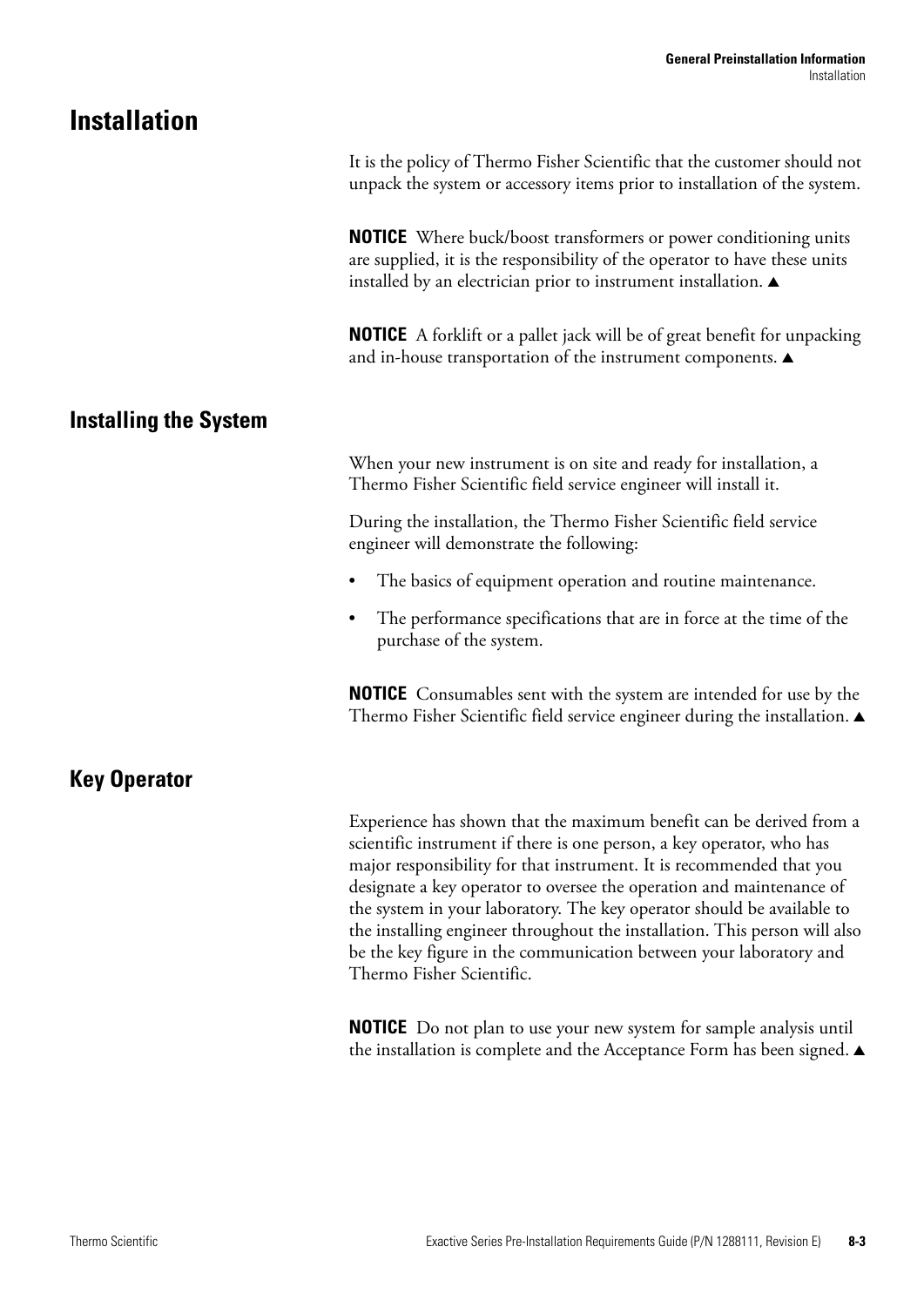<span id="page-52-7"></span><span id="page-52-6"></span><span id="page-52-4"></span><span id="page-52-1"></span><span id="page-52-0"></span>

| <b>Installation</b>          |                                                                                                                                                                                                                                                                                                                                                                                                                                                                                                                            |
|------------------------------|----------------------------------------------------------------------------------------------------------------------------------------------------------------------------------------------------------------------------------------------------------------------------------------------------------------------------------------------------------------------------------------------------------------------------------------------------------------------------------------------------------------------------|
|                              | It is the policy of Thermo Fisher Scientific that the customer should not<br>unpack the system or accessory items prior to installation of the system.                                                                                                                                                                                                                                                                                                                                                                     |
|                              | <b>NOTICE</b> Where buck/boost transformers or power conditioning units<br>are supplied, it is the responsibility of the operator to have these units<br>installed by an electrician prior to instrument installation.                                                                                                                                                                                                                                                                                                     |
|                              | <b>NOTICE</b> A forklift or a pallet jack will be of great benefit for unpacking<br>and in-house transportation of the instrument components. $\blacktriangle$                                                                                                                                                                                                                                                                                                                                                             |
| <b>Installing the System</b> |                                                                                                                                                                                                                                                                                                                                                                                                                                                                                                                            |
|                              | When your new instrument is on site and ready for installation, a<br>Thermo Fisher Scientific field service engineer will install it.                                                                                                                                                                                                                                                                                                                                                                                      |
|                              | During the installation, the Thermo Fisher Scientific field service<br>engineer will demonstrate the following:                                                                                                                                                                                                                                                                                                                                                                                                            |
|                              | The basics of equipment operation and routine maintenance.                                                                                                                                                                                                                                                                                                                                                                                                                                                                 |
|                              | The performance specifications that are in force at the time of the<br>٠<br>purchase of the system.                                                                                                                                                                                                                                                                                                                                                                                                                        |
|                              | <b>NOTICE</b> Consumables sent with the system are intended for use by the<br>Thermo Fisher Scientific field service engineer during the installation. ▲                                                                                                                                                                                                                                                                                                                                                                   |
| <b>Key Operator</b>          |                                                                                                                                                                                                                                                                                                                                                                                                                                                                                                                            |
|                              | Experience has shown that the maximum benefit can be derived from a<br>scientific instrument if there is one person, a key operator, who has<br>major responsibility for that instrument. It is recommended that you<br>designate a key operator to oversee the operation and maintenance of<br>the system in your laboratory. The key operator should be available to<br>the installing engineer throughout the installation. This person will also<br>be the key figure in the communication between your laboratory and |

<span id="page-52-5"></span><span id="page-52-2"></span>Thermo Fisher Scientific.

<span id="page-52-8"></span><span id="page-52-3"></span>**NOTICE** Do not plan to use your new system for sample analysis until the installation is complete and the Acceptance Form has been signed. ▲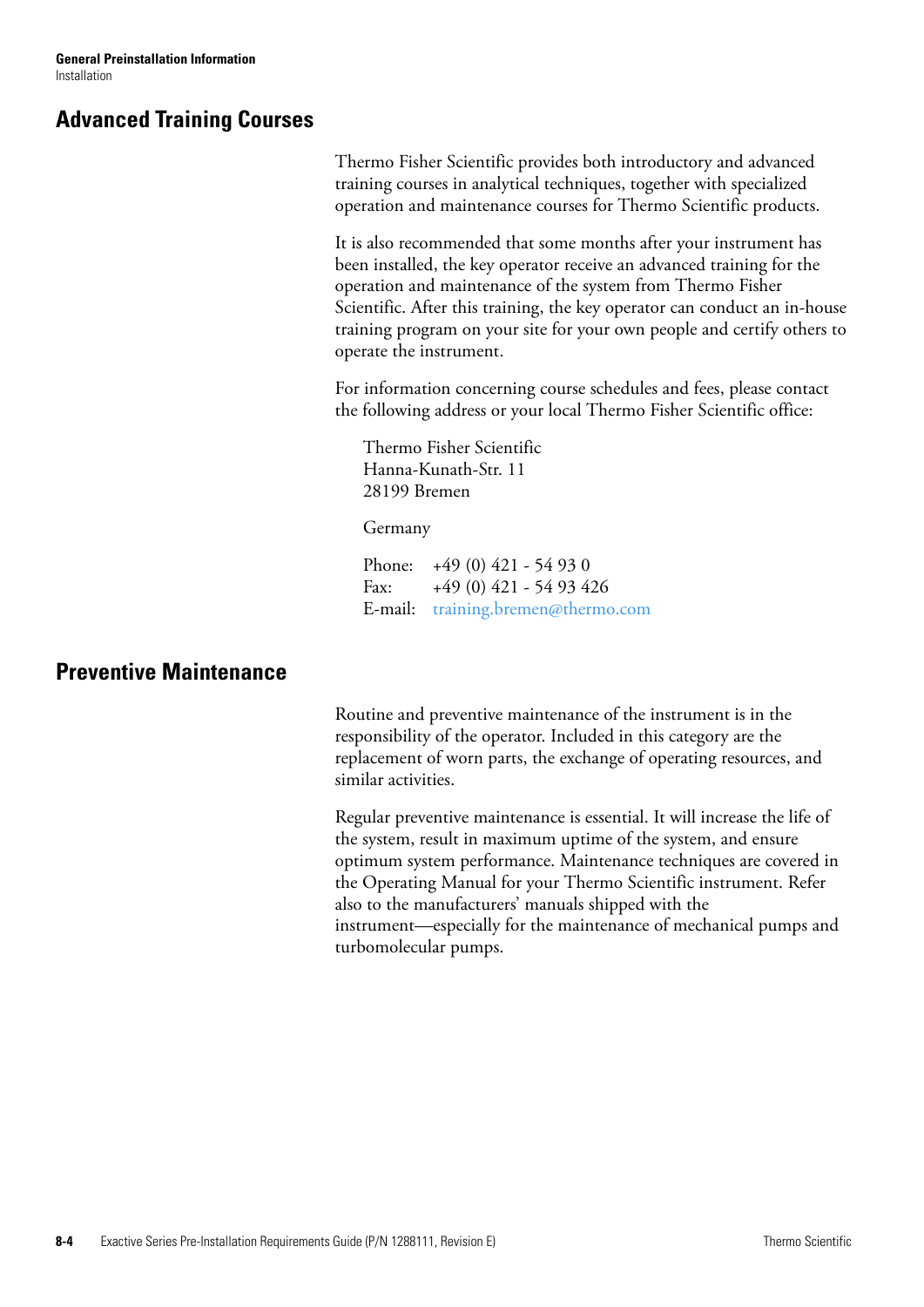## <span id="page-53-6"></span><span id="page-53-0"></span>**Advanced Training Courses**

Thermo Fisher Scientific provides both introductory and advanced training courses in analytical techniques, together with specialized operation and maintenance courses for Thermo Scientific products.

<span id="page-53-2"></span>It is also recommended that some months after your instrument has been installed, the key operator receive an advanced training for the operation and maintenance of the system from Thermo Fisher Scientific. After this training, the key operator can conduct an in-house training program on your site for your own people and certify others to operate the instrument.

For information concerning course schedules and fees, please contact the following address or your local Thermo Fisher Scientific office:

Thermo Fisher Scientific Hanna-Kunath-Str. 11 28199 Bremen

Germany

Phone: +49 (0) 421 - 54 93 0 Fax:  $+49(0)421 - 5493426$ E-mail: [training.bremen@thermo.com](mailto:training.bremen@thermo.com)

### <span id="page-53-5"></span><span id="page-53-1"></span>**Preventive Maintenance**

<span id="page-53-4"></span>Routine and preventive maintenance of the instrument is in the responsibility of the operator. Included in this category are the replacement of worn parts, the exchange of operating resources, and similar activities.

<span id="page-53-3"></span>Regular preventive maintenance is essential. It will increase the life of the system, result in maximum uptime of the system, and ensure optimum system performance. Maintenance techniques are covered in the Operating Manual for your Thermo Scientific instrument. Refer also to the manufacturers' manuals shipped with the instrument—especially for the maintenance of mechanical pumps and turbomolecular pumps.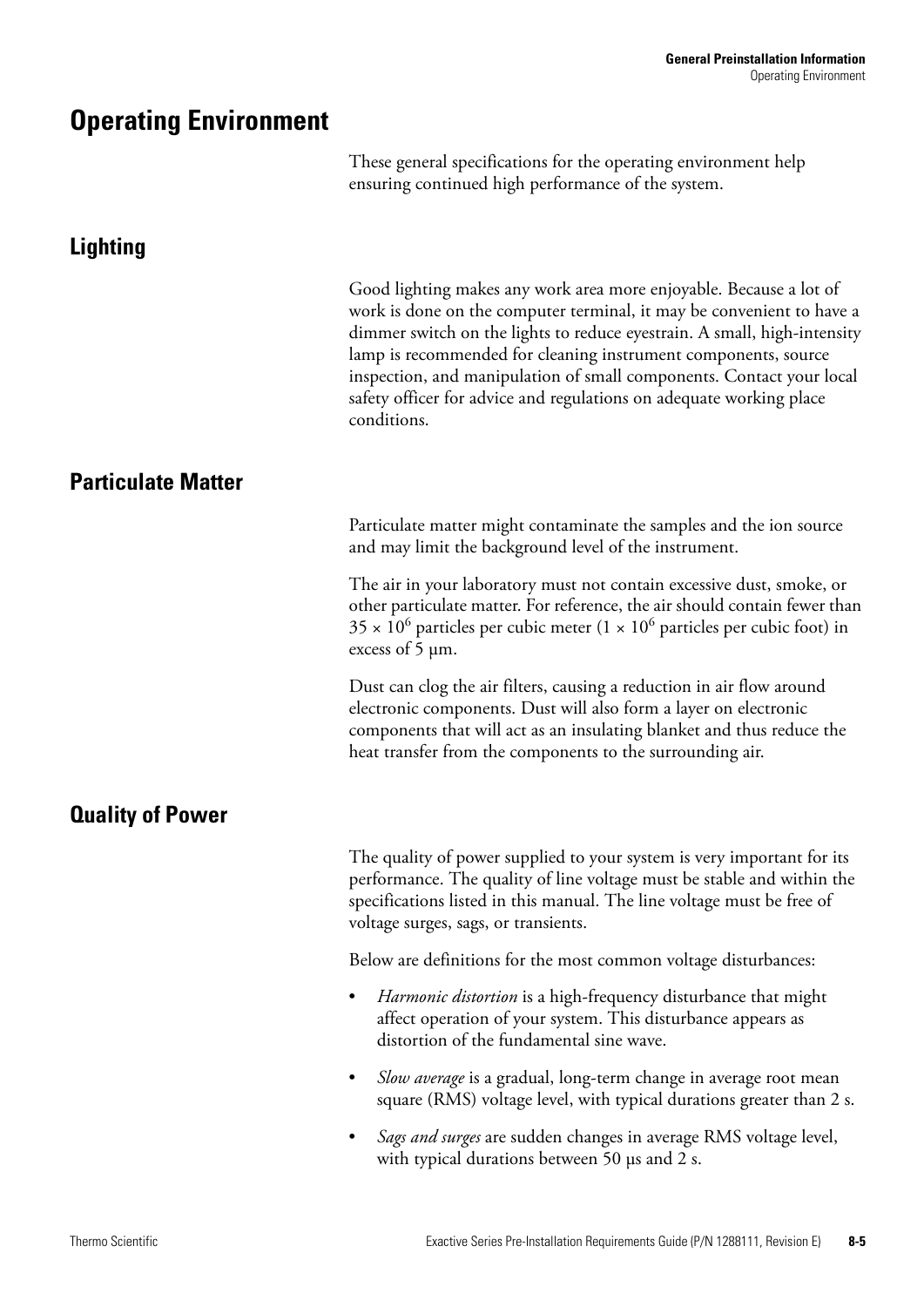## <span id="page-54-7"></span><span id="page-54-0"></span>**Operating Environment**

<span id="page-54-11"></span><span id="page-54-10"></span><span id="page-54-9"></span><span id="page-54-8"></span><span id="page-54-6"></span><span id="page-54-5"></span><span id="page-54-4"></span><span id="page-54-3"></span><span id="page-54-2"></span><span id="page-54-1"></span>

|                           | These general specifications for the operating environment help<br>ensuring continued high performance of the system.                                                                                                                                                                                                                                                                                                                                   |
|---------------------------|---------------------------------------------------------------------------------------------------------------------------------------------------------------------------------------------------------------------------------------------------------------------------------------------------------------------------------------------------------------------------------------------------------------------------------------------------------|
| Lighting                  |                                                                                                                                                                                                                                                                                                                                                                                                                                                         |
|                           | Good lighting makes any work area more enjoyable. Because a lot of<br>work is done on the computer terminal, it may be convenient to have a<br>dimmer switch on the lights to reduce eyestrain. A small, high-intensity<br>lamp is recommended for cleaning instrument components, source<br>inspection, and manipulation of small components. Contact your local<br>safety officer for advice and regulations on adequate working place<br>conditions. |
| <b>Particulate Matter</b> |                                                                                                                                                                                                                                                                                                                                                                                                                                                         |
|                           | Particulate matter might contaminate the samples and the ion source<br>and may limit the background level of the instrument.                                                                                                                                                                                                                                                                                                                            |
|                           | The air in your laboratory must not contain excessive dust, smoke, or<br>other particulate matter. For reference, the air should contain fewer than<br>$35 \times 10^6$ particles per cubic meter $(1 \times 10^6$ particles per cubic foot) in<br>excess of $5 \mu m$ .                                                                                                                                                                                |
|                           | Dust can clog the air filters, causing a reduction in air flow around<br>electronic components. Dust will also form a layer on electronic<br>components that will act as an insulating blanket and thus reduce the<br>heat transfer from the components to the surrounding air.                                                                                                                                                                         |
| <b>Quality of Power</b>   |                                                                                                                                                                                                                                                                                                                                                                                                                                                         |
|                           | The quality of power supplied to your system is very important for its<br>performance. The quality of line voltage must be stable and within the<br>specifications listed in this manual. The line voltage must be free of<br>voltage surges, sags, or transients.                                                                                                                                                                                      |
|                           | Below are definitions for the most common voltage disturbances:                                                                                                                                                                                                                                                                                                                                                                                         |
|                           | <i>Harmonic distortion</i> is a high-frequency disturbance that might<br>affect operation of your system. This disturbance appears as<br>distortion of the fundamental sine wave.                                                                                                                                                                                                                                                                       |
|                           | <i>Slow average</i> is a gradual, long-term change in average root mean<br>square (RMS) voltage level, with typical durations greater than 2 s.                                                                                                                                                                                                                                                                                                         |
|                           | Sags and surges are sudden changes in average RMS voltage level,<br>with typical durations between 50 µs and 2 s.                                                                                                                                                                                                                                                                                                                                       |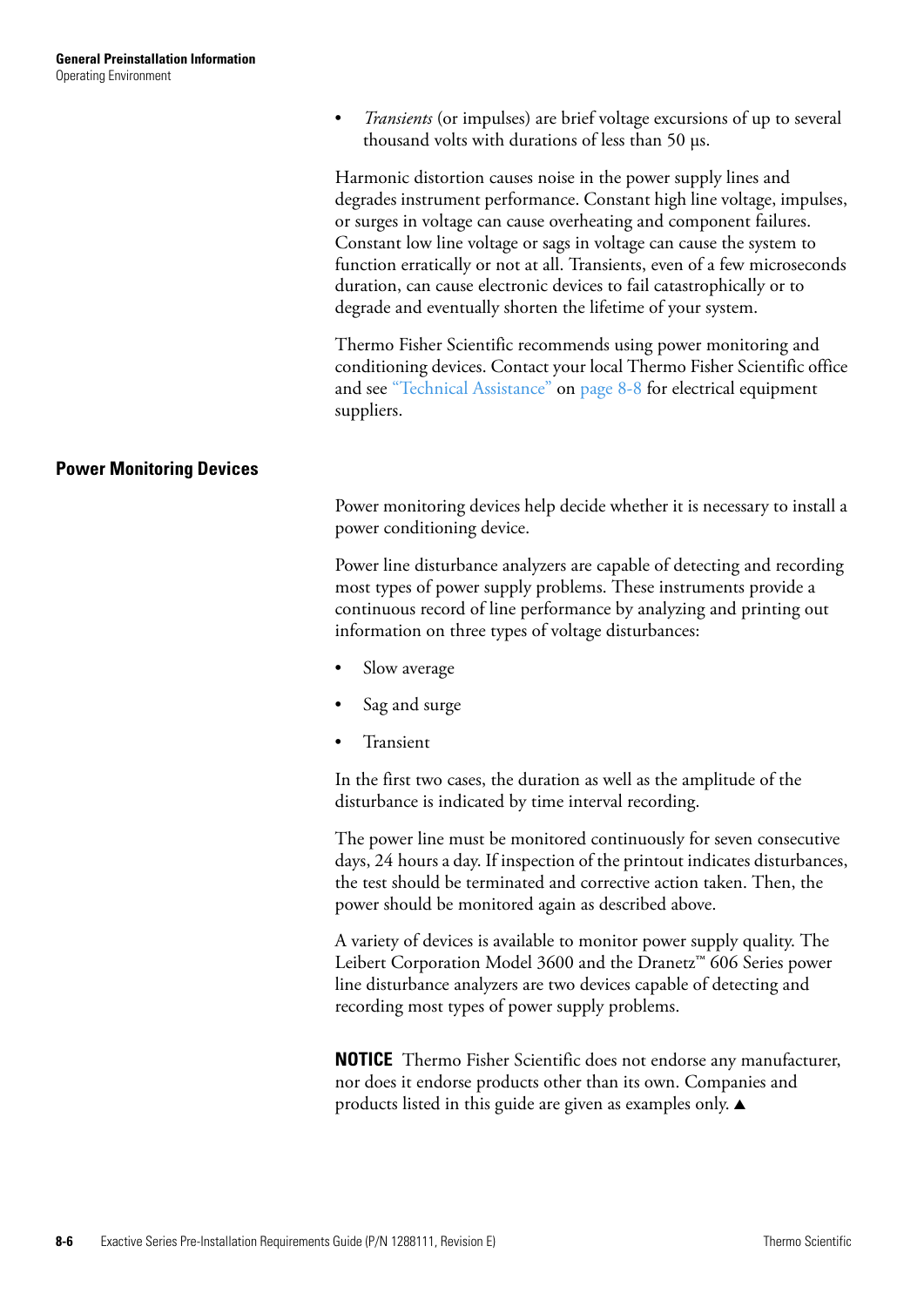<span id="page-55-1"></span>**•** *Transients* (or impulses) are brief voltage excursions of up to several thousand volts with durations of less than 50 μs.

Harmonic distortion causes noise in the power supply lines and degrades instrument performance. Constant high line voltage, impulses, or surges in voltage can cause overheating and component failures. Constant low line voltage or sags in voltage can cause the system to function erratically or not at all. Transients, even of a few microseconds duration, can cause electronic devices to fail catastrophically or to degrade and eventually shorten the lifetime of your system.

Thermo Fisher Scientific recommends using power monitoring and conditioning devices. Contact your local Thermo Fisher Scientific office and see ["Technical Assistance" on page 8-8](#page-57-0) for electrical equipment suppliers.

#### <span id="page-55-0"></span>**Power Monitoring Devices**

Power monitoring devices help decide whether it is necessary to install a power conditioning device.

Power line disturbance analyzers are capable of detecting and recording most types of power supply problems. These instruments provide a continuous record of line performance by analyzing and printing out information on three types of voltage disturbances:

- **•** Slow average
- **•** Sag and surge
- **•** Transient

In the first two cases, the duration as well as the amplitude of the disturbance is indicated by time interval recording.

The power line must be monitored continuously for seven consecutive days, 24 hours a day. If inspection of the printout indicates disturbances, the test should be terminated and corrective action taken. Then, the power should be monitored again as described above.

A variety of devices is available to monitor power supply quality. The Leibert Corporation Model 3600 and the Dranetz™ 606 Series power line disturbance analyzers are two devices capable of detecting and recording most types of power supply problems.

**NOTICE** Thermo Fisher Scientific does not endorse any manufacturer, nor does it endorse products other than its own. Companies and products listed in this guide are given as examples only. ▲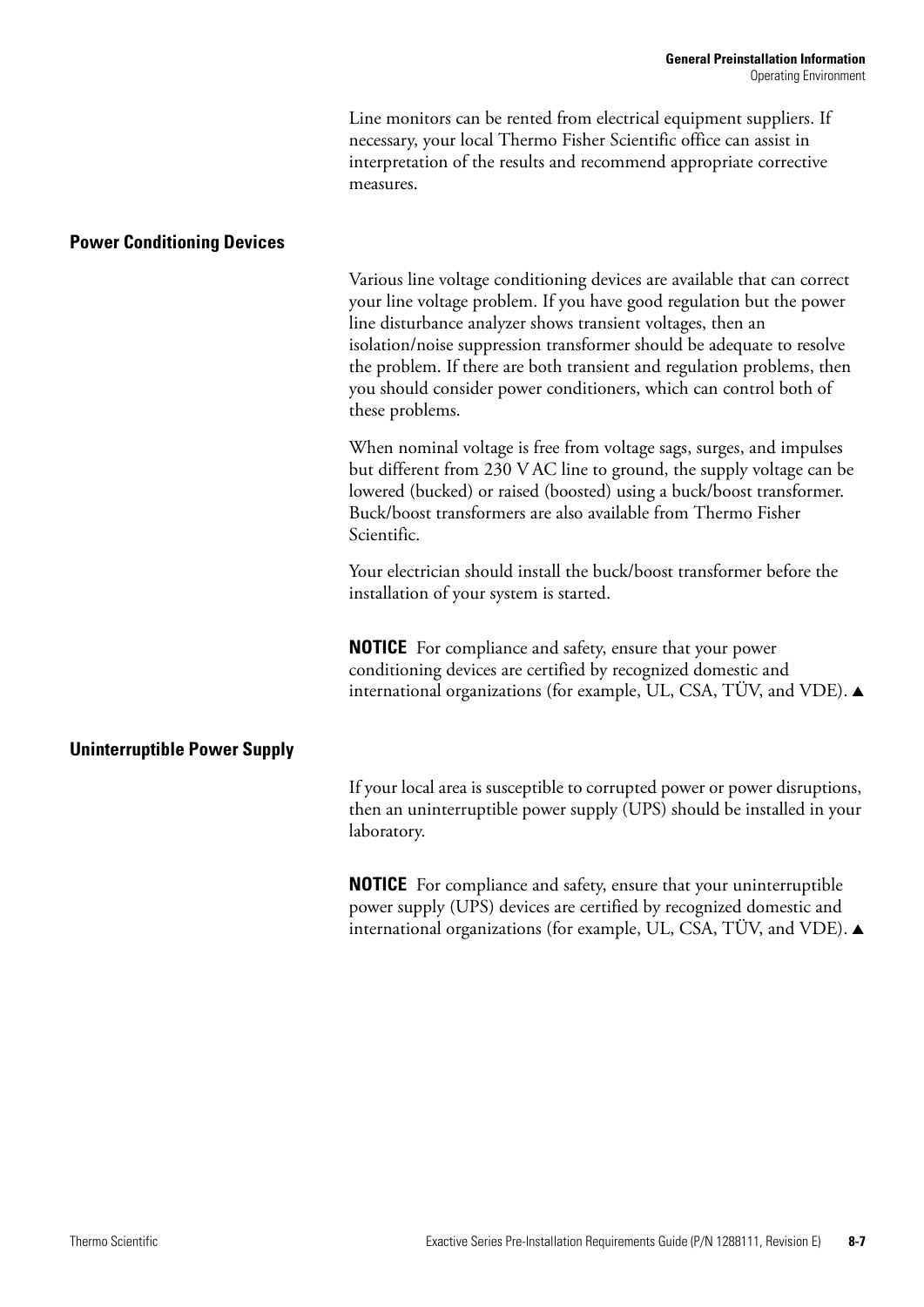Line monitors can be rented from electrical equipment suppliers. If necessary, your local Thermo Fisher Scientific office can assist in interpretation of the results and recommend appropriate corrective measures.

#### <span id="page-56-3"></span>**Power Conditioning Devices**

<span id="page-56-4"></span><span id="page-56-2"></span>Various line voltage conditioning devices are available that can correct your line voltage problem. If you have good regulation but the power line disturbance analyzer shows transient voltages, then an isolation/noise suppression transformer should be adequate to resolve the problem. If there are both transient and regulation problems, then you should consider power conditioners, which can control both of these problems.

<span id="page-56-0"></span>When nominal voltage is free from voltage sags, surges, and impulses but different from 230 V AC line to ground, the supply voltage can be lowered (bucked) or raised (boosted) using a buck/boost transformer. Buck/boost transformers are also available from Thermo Fisher Scientific.

Your electrician should install the buck/boost transformer before the installation of your system is started.

<span id="page-56-1"></span>**NOTICE** For compliance and safety, ensure that your power conditioning devices are certified by recognized domestic and international organizations (for example, UL, CSA, TÜV, and VDE). ▲

#### **Uninterruptible Power Supply**

<span id="page-56-5"></span>If your local area is susceptible to corrupted power or power disruptions, then an uninterruptible power supply (UPS) should be installed in your laboratory.

**NOTICE** For compliance and safety, ensure that your uninterruptible power supply (UPS) devices are certified by recognized domestic and international organizations (for example, UL, CSA, TÜV, and VDE). ▲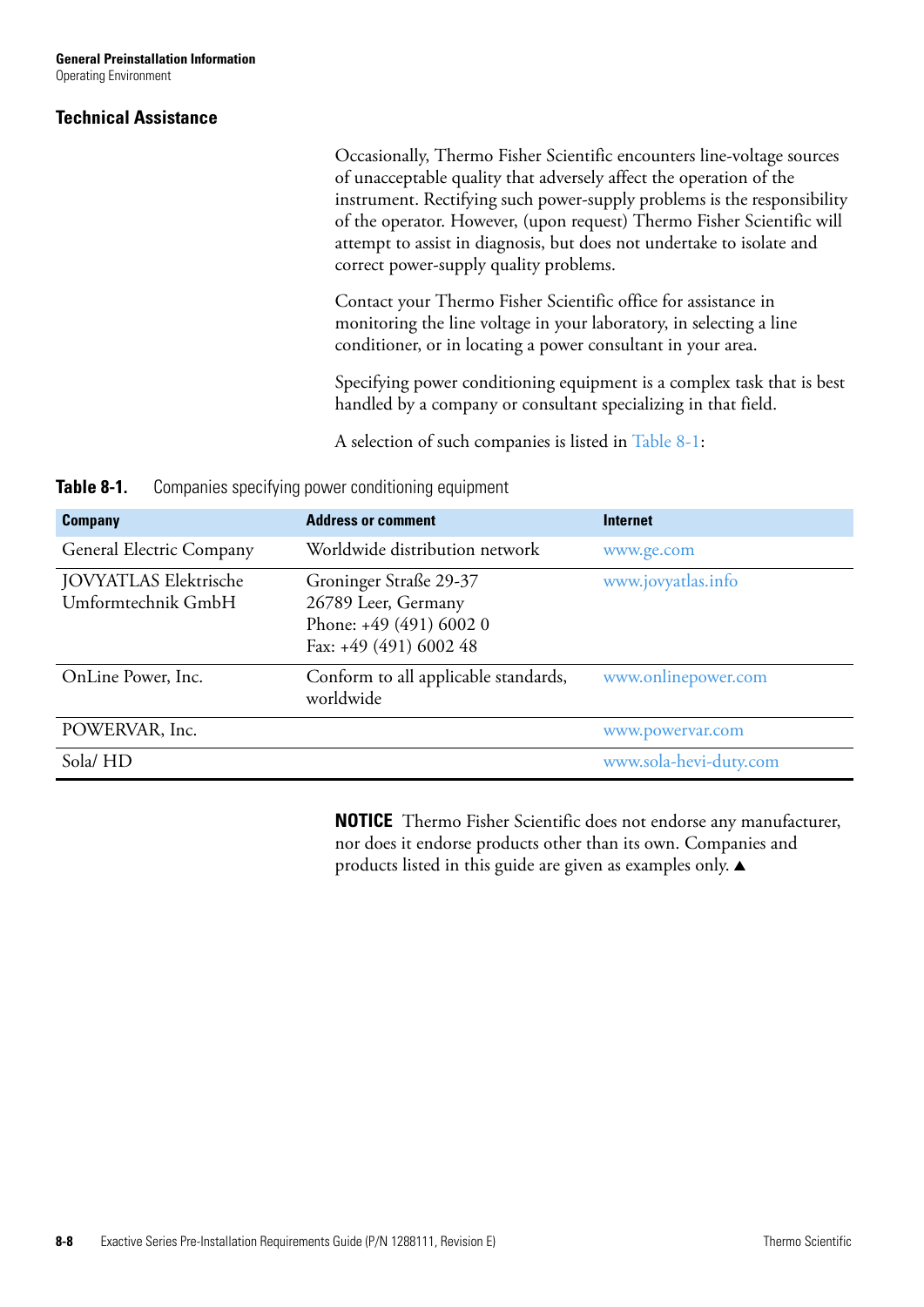#### <span id="page-57-3"></span><span id="page-57-0"></span>**Technical Assistance**

<span id="page-57-1"></span>

| Occasionally, Thermo Fisher Scientific encounters line-voltage sources  |
|-------------------------------------------------------------------------|
| of unacceptable quality that adversely affect the operation of the      |
| instrument. Rectifying such power-supply problems is the responsibility |
| of the operator. However, (upon request) Thermo Fisher Scientific will  |
| attempt to assist in diagnosis, but does not undertake to isolate and   |
| correct power-supply quality problems.                                  |

Contact your Thermo Fisher Scientific office for assistance in monitoring the line voltage in your laboratory, in selecting a line conditioner, or in locating a power consultant in your area.

<span id="page-57-2"></span>Specifying power conditioning equipment is a complex task that is best handled by a company or consultant specializing in that field.

A selection of such companies is listed in Table 8-1:

| Table 8-1. |  | Companies specifying power conditioning equipment |  |  |
|------------|--|---------------------------------------------------|--|--|
|------------|--|---------------------------------------------------|--|--|

| <b>Company</b>                              | <b>Address or comment</b>                                                                          | <b>Internet</b>        |
|---------------------------------------------|----------------------------------------------------------------------------------------------------|------------------------|
| General Electric Company                    | Worldwide distribution network                                                                     | www.ge.com             |
| JOVYATLAS Elektrische<br>Umformtechnik GmbH | Groninger Straße 29-37<br>26789 Leer, Germany<br>Phone: +49 (491) 6002 0<br>Fax: +49 (491) 6002 48 | www.jovyatlas.info     |
| OnLine Power, Inc.                          | Conform to all applicable standards,<br>worldwide                                                  | www.onlinepower.com    |
| POWERVAR, Inc.                              |                                                                                                    | www.powervar.com       |
| Sola/HD                                     |                                                                                                    | www.sola-hevi-duty.com |

**NOTICE** Thermo Fisher Scientific does not endorse any manufacturer, nor does it endorse products other than its own. Companies and products listed in this guide are given as examples only. ▲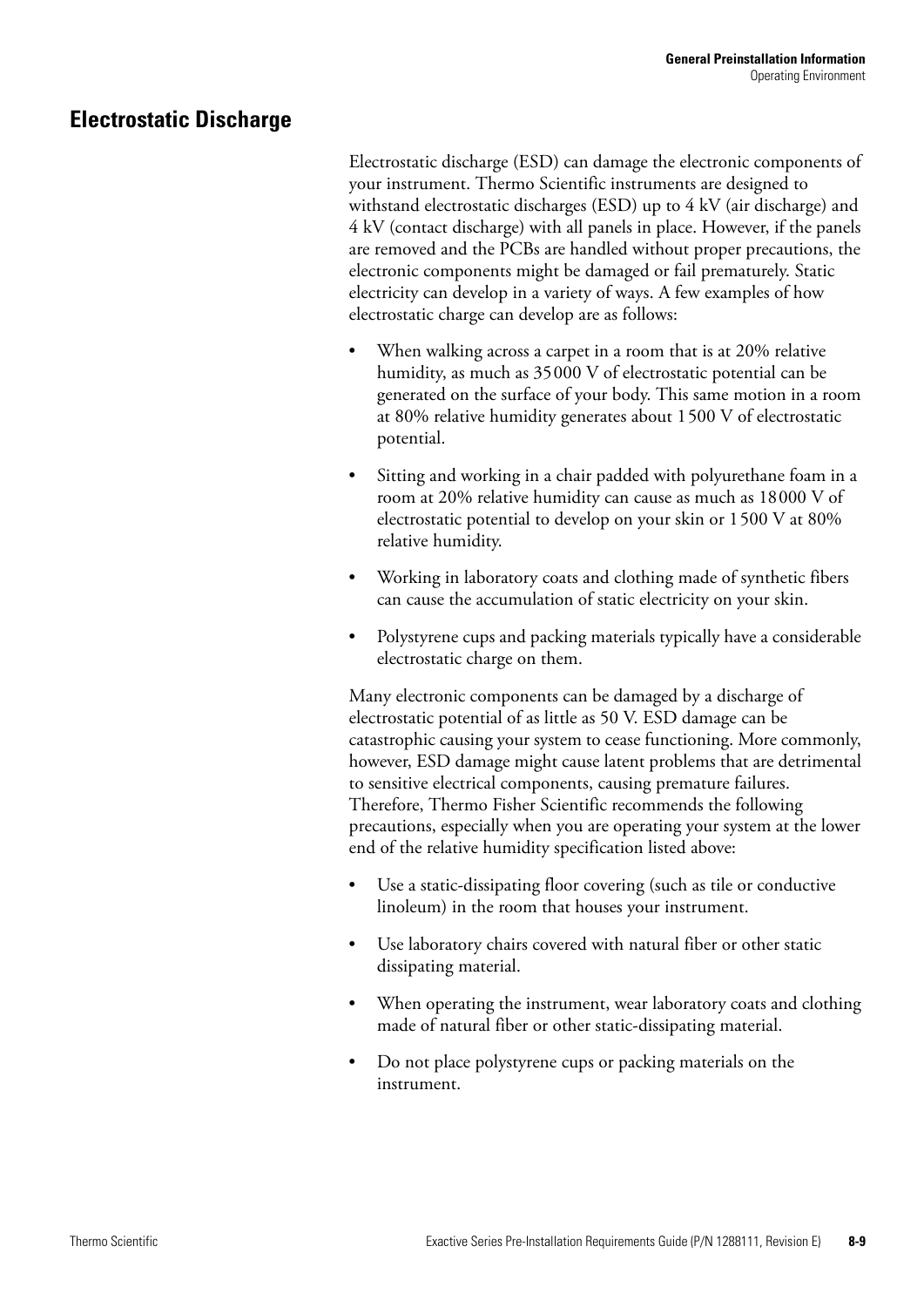### <span id="page-58-0"></span>**Electrostatic Discharge**

<span id="page-58-9"></span><span id="page-58-1"></span>Electrostatic discharge (ESD) can damage the electronic components of your instrument. Thermo Scientific instruments are designed to withstand electrostatic discharges (ESD) up to 4 kV (air discharge) and 4 kV (contact discharge) with all panels in place. However, if the panels are removed and the PCBs are handled without proper precautions, the electronic components might be damaged or fail prematurely. Static electricity can develop in a variety of ways. A few examples of how electrostatic charge can develop are as follows:

- **•** When walking across a carpet in a room that is at 20% relative humidity, as much as 35000 V of electrostatic potential can be generated on the surface of your body. This same motion in a room at 80% relative humidity generates about 1500 V of electrostatic potential.
- **•** Sitting and working in a chair padded with polyurethane foam in a room at 20% relative humidity can cause as much as 18000 V of electrostatic potential to develop on your skin or 1500 V at 80% relative humidity.
- <span id="page-58-6"></span>**•** Working in laboratory coats and clothing made of synthetic fibers can cause the accumulation of static electricity on your skin.
- <span id="page-58-8"></span><span id="page-58-7"></span>**•** Polystyrene cups and packing materials typically have a considerable electrostatic charge on them.

<span id="page-58-2"></span>Many electronic components can be damaged by a discharge of electrostatic potential of as little as 50 V. ESD damage can be catastrophic causing your system to cease functioning. More commonly, however, ESD damage might cause latent problems that are detrimental to sensitive electrical components, causing premature failures. Therefore, Thermo Fisher Scientific recommends the following precautions, especially when you are operating your system at the lower end of the relative humidity specification listed above:

- <span id="page-58-4"></span><span id="page-58-3"></span>**•** Use a static-dissipating floor covering (such as tile or conductive linoleum) in the room that houses your instrument.
- <span id="page-58-5"></span>**•** Use laboratory chairs covered with natural fiber or other static dissipating material.
- **•** When operating the instrument, wear laboratory coats and clothing made of natural fiber or other static-dissipating material.
- **•** Do not place polystyrene cups or packing materials on the instrument.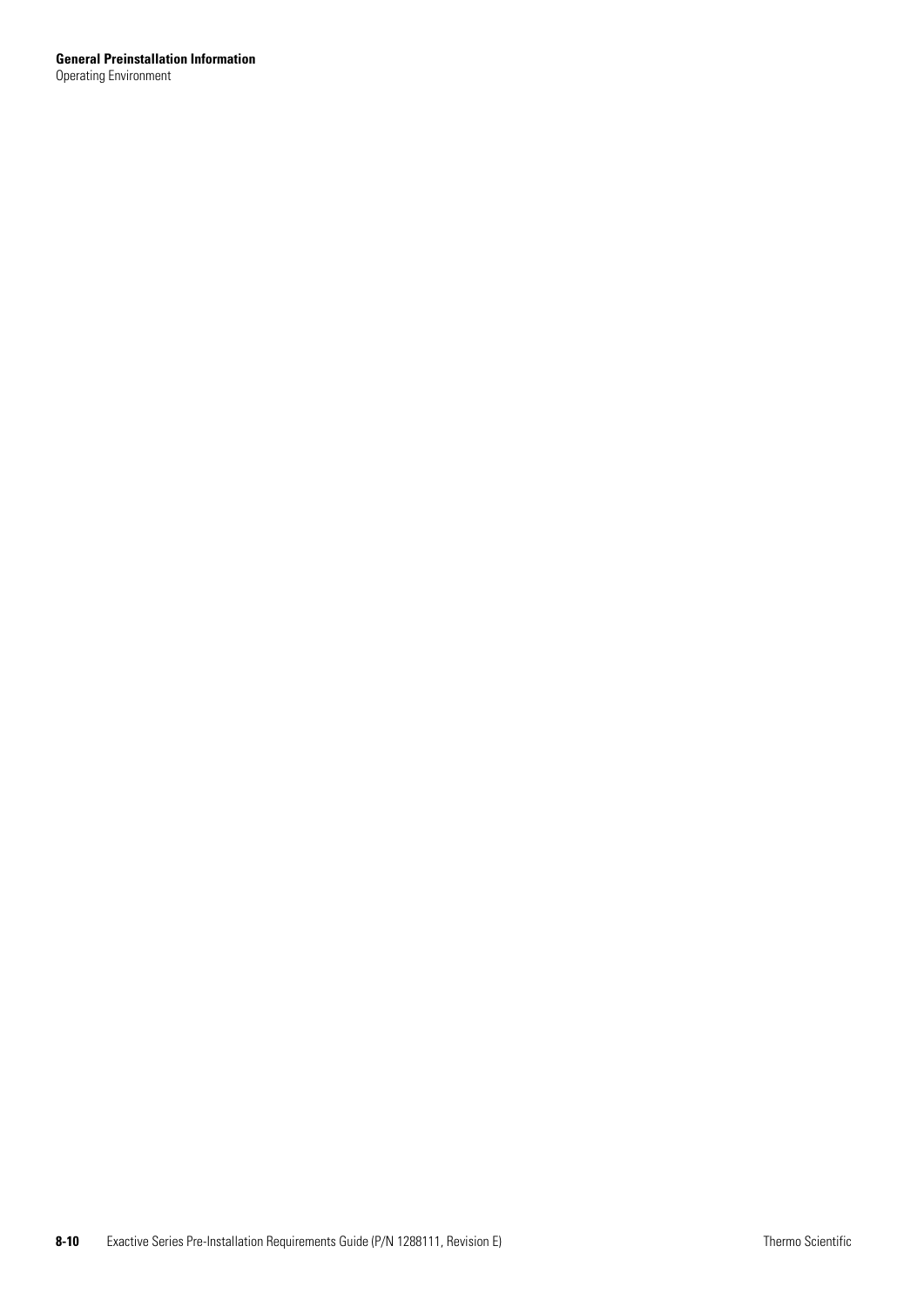#### **General Preinstallation Information**

Operating Environment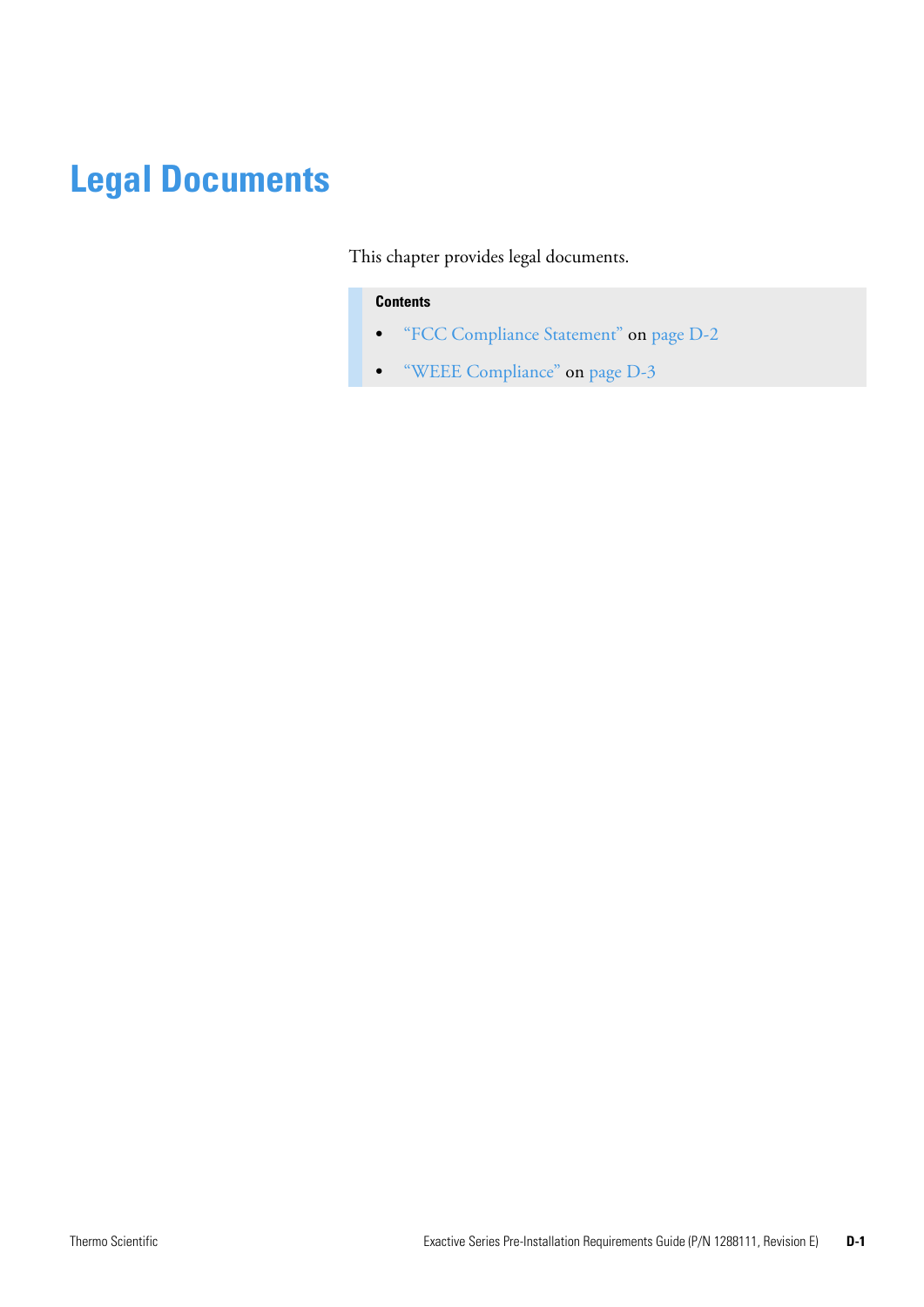# <span id="page-60-0"></span>**Legal Documents**

This chapter provides legal documents.

#### **Contents**

- **•** ["FCC Compliance Statement" on page D-2](#page-61-0)
- **•** ["WEEE Compliance" on page D-3](#page-62-0)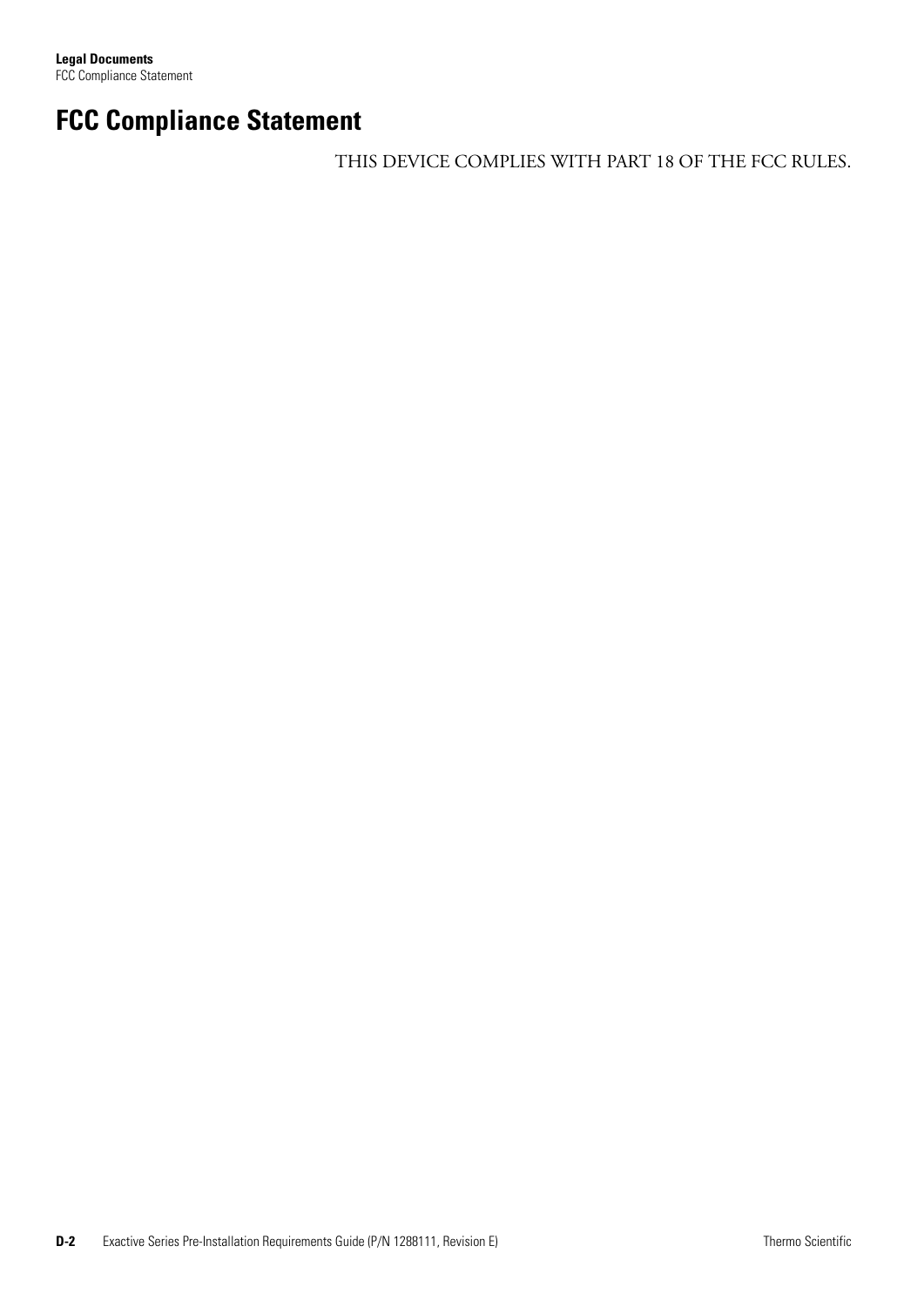## <span id="page-61-0"></span>**FCC Compliance Statement**

THIS DEVICE COMPLIES WITH PART 18 OF THE FCC RULES.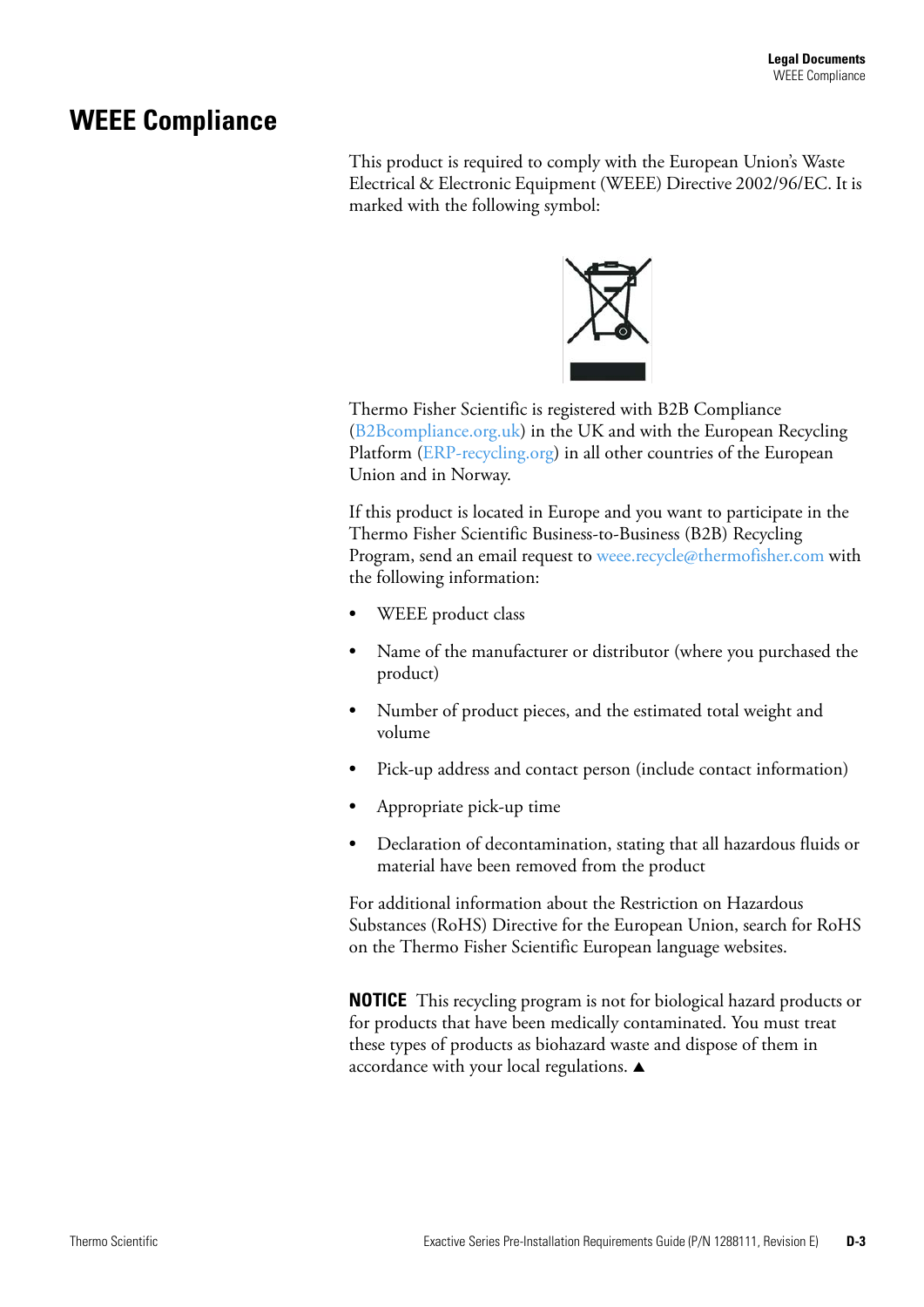## <span id="page-62-0"></span>**WEEE Compliance**

This product is required to comply with the European Union's Waste Electrical & Electronic Equipment (WEEE) Directive 2002/96/EC. It is marked with the following symbol:



Thermo Fisher Scientific is registered with B2B Compliance ([B2Bcompliance.org.uk](http://www.b2bcompliance.org.uk)) in the UK and with the European Recycling Platform ([ERP-recycling.org\)](http://www.erp-recycling.org/) in all other countries of the European Union and in Norway.

If this product is located in Europe and you want to participate in the Thermo Fisher Scientific Business-to-Business (B2B) Recycling Program, send an email request to [weee.recycle@thermofisher.com](mailto:weee.recycle@thermofisher.com) with the following information:

- **•** WEEE product class
- **•** Name of the manufacturer or distributor (where you purchased the product)
- **•** Number of product pieces, and the estimated total weight and volume
- **•** Pick-up address and contact person (include contact information)
- **•** Appropriate pick-up time
- **•** Declaration of decontamination, stating that all hazardous fluids or material have been removed from the product

For additional information about the Restriction on Hazardous Substances (RoHS) Directive for the European Union, search for RoHS on the Thermo Fisher Scientific European language websites.

**NOTICE** This recycling program is not for biological hazard products or for products that have been medically contaminated. You must treat these types of products as biohazard waste and dispose of them in accordance with your local regulations. ▲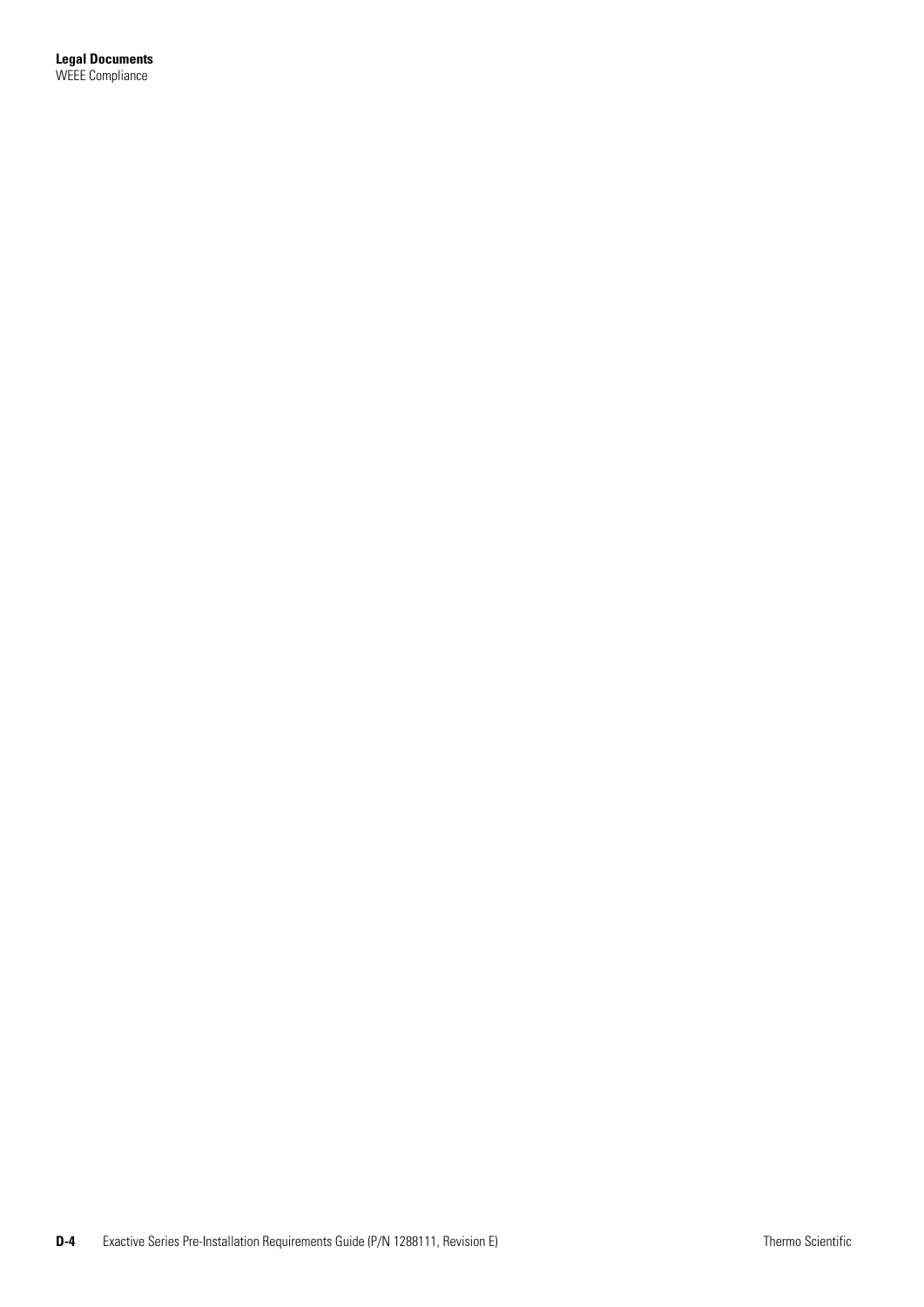**Legal Documents** WEEE Compliance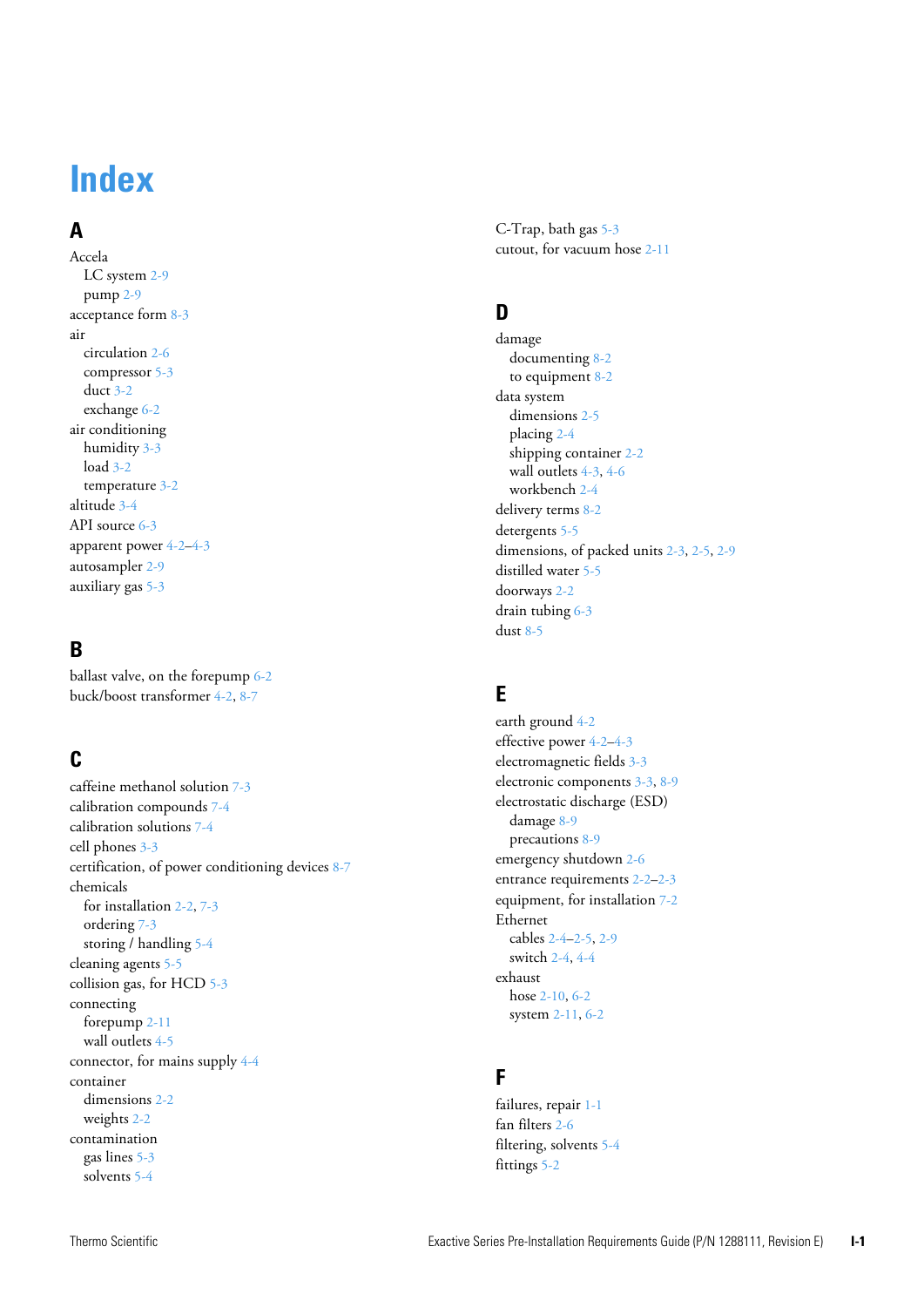# <span id="page-64-0"></span>**Index**

### **A**

Accela LC system [2-9](#page-22-2) pump [2-9](#page-22-3) acceptance form [8-3](#page-52-3) air circulation [2-6](#page-19-0) compressor [5-3](#page-38-2) duct [3-2](#page-27-6) exchange [6-2](#page-43-3) air conditioning humidity [3-3](#page-28-4) load [3-2](#page-27-7) temperature [3-2](#page-27-8) altitude [3-4](#page-29-1) API source [6-3](#page-44-1) apparent power [4-2](#page-31-2)–[4-3](#page-32-1) autosampler [2-9](#page-22-4) auxiliary gas [5-3](#page-38-3)

#### **B**

ballast valve, on the forepump [6-2](#page-43-4) buck/boost transformer [4-2,](#page-31-3) [8-7](#page-56-0)

### **C**

caffeine methanol solution [7-3](#page-48-3) calibration compounds [7-4](#page-49-2) calibration solutions [7-4](#page-49-3) cell phones [3-3](#page-28-5) certification, of power conditioning devices [8-7](#page-56-1) chemicals for installation [2-2](#page-15-1), [7-3](#page-48-4) ordering [7-3](#page-48-5) storing / handling [5-4](#page-39-3) cleaning agents [5-5](#page-40-1) collision gas, for HCD [5-3](#page-38-4) connecting forepump [2-11](#page-24-1) wall outlets [4-5](#page-34-4) connector, for mains supply [4-4](#page-33-2) container dimensions [2-2](#page-15-2) weights [2-2](#page-15-3) contamination gas lines [5-3](#page-38-5) solvents [5-4](#page-39-4)

C-Trap, bath gas [5-3](#page-38-6) cutout, for vacuum hose [2-11](#page-24-2)

### **D**

damage documenting [8-2](#page-51-2) to equipment [8-2](#page-51-3) data system dimensions [2-5](#page-18-3) placing [2-4](#page-17-4) shipping container [2-2](#page-15-4) wall outlets [4-3](#page-32-2), [4-6](#page-35-3) workbench [2-4](#page-17-3) delivery terms [8-2](#page-51-4) detergents [5-5](#page-40-2) dimensions, of packed units [2-3](#page-16-2), [2-5,](#page-18-3) [2-9](#page-22-5) distilled water [5-5](#page-40-3) doorways [2-2](#page-15-5) drain tubing [6-3](#page-44-2) dust [8-5](#page-54-4)

### **E**

earth ground [4-2](#page-31-4) effective power [4-2–](#page-31-5)[4-3](#page-32-3) electromagnetic fields [3-3](#page-28-6) electronic components [3-3,](#page-28-7) [8-9](#page-58-1) electrostatic discharge (ESD) damage [8-9](#page-58-2) precautions [8-9](#page-58-3) emergency shutdown [2-6](#page-19-1) entrance requirements [2-2](#page-15-6)–[2-3](#page-16-3) equipment, for installation [7-2](#page-47-2) Ethernet cables [2-4](#page-17-5)–[2-5,](#page-18-4) [2-9](#page-22-6) switch [2-4](#page-17-6), [4-4](#page-33-3) exhaust hose [2-10](#page-23-2), [6-2](#page-43-5) system [2-11,](#page-24-3) [6-2](#page-43-2)

### **F**

failures, repair [1-1](#page-8-2) fan filters [2-6](#page-19-2) filtering, solvents [5-4](#page-39-5) fittings [5-2](#page-37-2)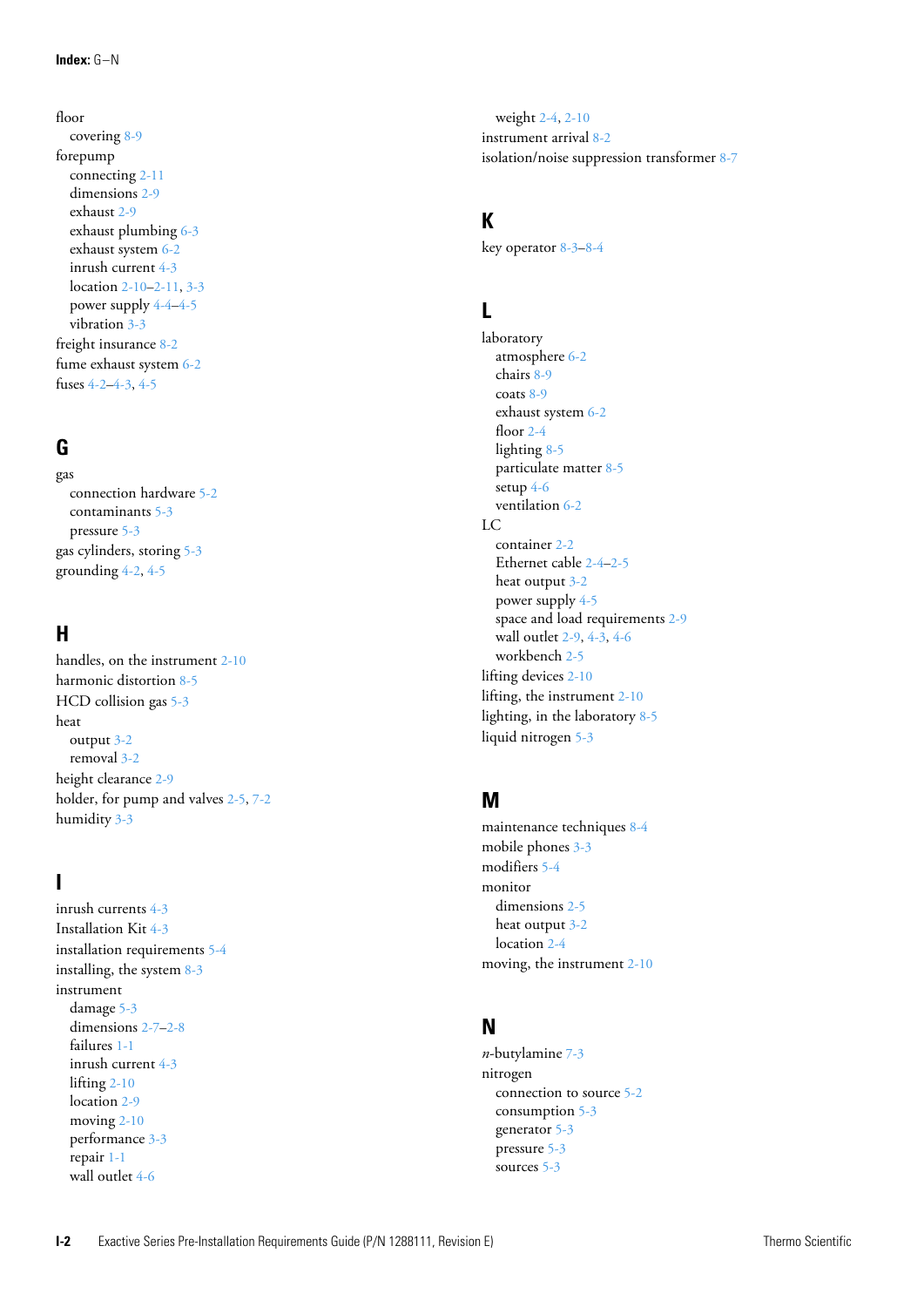floor covering [8-9](#page-58-4) forepump connecting [2-11](#page-24-4) dimensions [2-9](#page-22-7) exhaust [2-9](#page-22-8) exhaust plumbing [6-3](#page-44-3) exhaust system [6-2](#page-43-6) inrush current [4-3](#page-32-4) location [2-10–](#page-23-3)[2-11,](#page-24-5) [3-3](#page-28-8) power supply [4-4–](#page-33-4)[4-5](#page-34-5) vibration [3-3](#page-28-8) freight insurance [8-2](#page-51-5) fume exhaust system [6-2](#page-43-7) fuses [4-2–](#page-31-6)[4-3,](#page-32-5) [4-5](#page-34-6)

## **G**

gas connection hardware [5-2](#page-37-3) contaminants [5-3](#page-38-7) pressure [5-3](#page-38-8) gas cylinders, storing [5-3](#page-38-9) grounding [4-2](#page-31-7), [4-5](#page-34-7)

### **H**

handles, on the instrument [2-10](#page-23-4) harmonic distortion [8-5](#page-54-5) HCD collision gas [5-3](#page-38-4) heat output [3-2](#page-27-4) removal [3-2](#page-27-9) height clearance [2-9](#page-22-9) holder, for pump and valves [2-5](#page-18-5), [7-2](#page-47-3) humidity [3-3](#page-28-9)

### **I**

inrush currents [4-3](#page-32-6) Installation Kit [4-3](#page-32-7) installation requirements [5-4](#page-39-6) installing, the system [8-3](#page-52-4) instrument damage [5-3](#page-38-7) dimensions [2-7](#page-20-0)[–2-8](#page-21-1) failures [1-1](#page-8-3) inrush current [4-3](#page-32-6) lifting [2-10](#page-23-5) location [2-9](#page-22-10) moving [2-10](#page-23-6) performance [3-3](#page-28-10) repair [1-1](#page-8-2) wall outlet [4-6](#page-35-4)

weight [2-4](#page-17-7), [2-10](#page-23-6) instrument arrival [8-2](#page-51-6) isolation/noise suppression transformer [8-7](#page-56-2)

## **K**

key operator [8-3–](#page-52-5)[8-4](#page-53-2)

## **L**

laboratory atmosphere [6-2](#page-43-8) chairs [8-9](#page-58-5) coats [8-9](#page-58-6) exhaust system [6-2](#page-43-7) floor [2-4](#page-17-8) lighting [8-5](#page-54-6) particulate matter [8-5](#page-54-4) setup [4-6](#page-35-5) ventilation [6-2](#page-43-9) LC container [2-2](#page-15-7) Ethernet cable [2-4](#page-17-9)–[2-5](#page-18-6) heat output [3-2](#page-27-10) power supply [4-5](#page-34-5) space and load requirements [2-9](#page-22-11) wall outlet [2-9](#page-22-12), [4-3,](#page-32-8) [4-6](#page-35-6) workbench [2-5](#page-18-7) lifting devices [2-10](#page-23-7) lifting, the instrument [2-10](#page-23-5) lighting, in the laboratory [8-5](#page-54-6) liquid nitrogen [5-3](#page-38-10)

### **M**

```
maintenance techniques 8-4
mobile phones 3-3
modifiers 5-4
monitor
  dimensions 2-5
  heat output 3-2
  location 2-4
moving, the instrument 2-10
```
## **N**

```
n-butylamine 7-3
nitrogen
  connection to source 5-2
  consumption 5-3
  generator 5-3
  pressure 5-3
  sources 5-3
```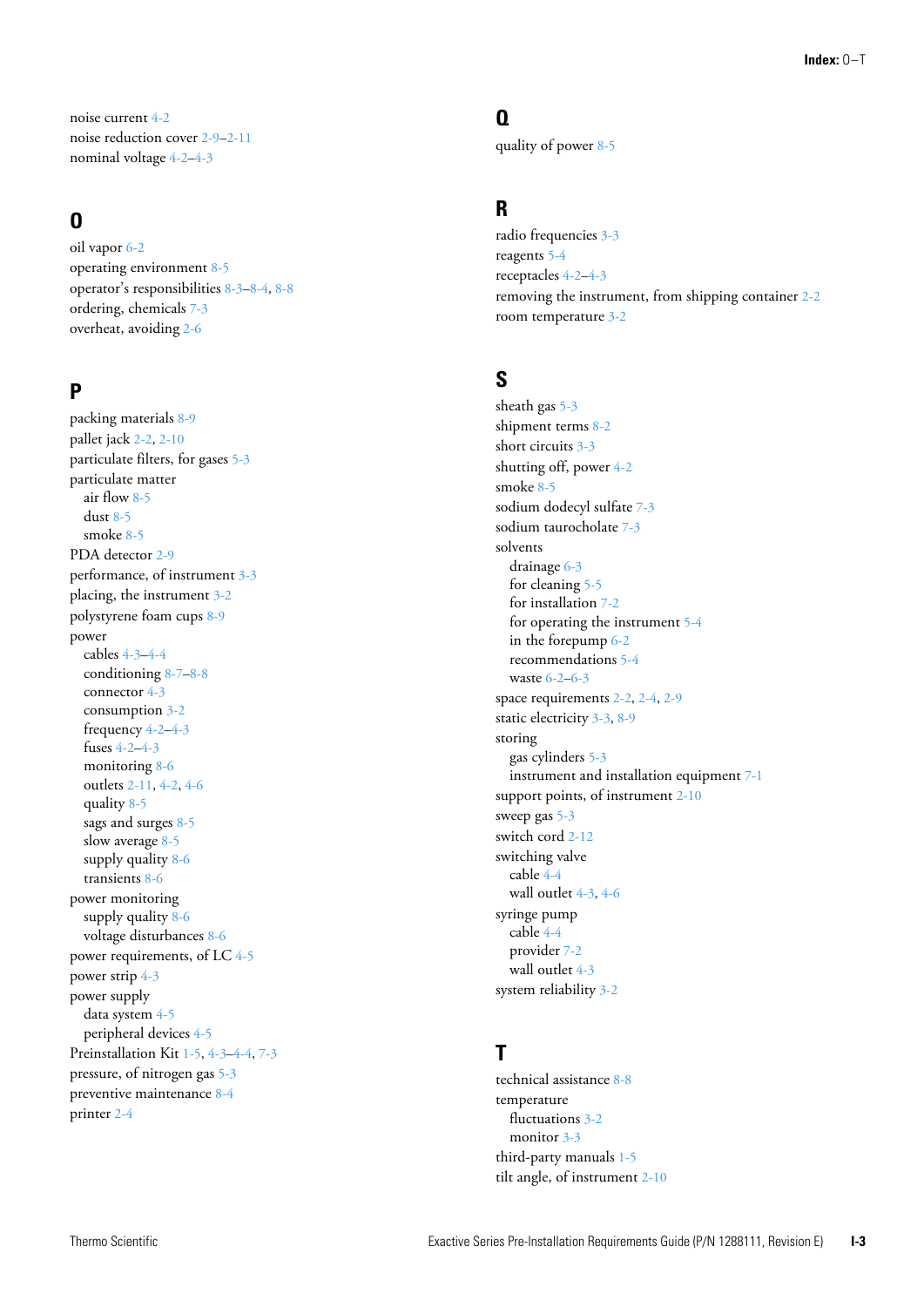noise current [4-2](#page-31-8) noise reduction cover [2-9–](#page-22-13)[2-11](#page-24-6) nominal voltage [4-2](#page-31-9)–[4-3](#page-32-9)

### **O**

oil vapor [6-2](#page-43-10) operating environment [8-5](#page-54-7) operator's responsibilities [8-3–](#page-52-6)[8-4,](#page-53-4) [8-8](#page-57-1) ordering, chemicals [7-3](#page-48-5) overheat, avoiding [2-6](#page-19-3)

#### **P**

packing materials [8-9](#page-58-7) pallet jack [2-2](#page-15-8), [2-10](#page-23-9) particulate filters, for gases [5-3](#page-38-14) particulate matter air flow [8-5](#page-54-4) dust [8-5](#page-54-4) smoke [8-5](#page-54-4) PDA detector [2-9](#page-22-14) performance, of instrument [3-3](#page-28-10) placing, the instrument [3-2](#page-27-6) polystyrene foam cups [8-9](#page-58-8) power cables [4-3](#page-32-10)[–4-4](#page-33-2) conditioning [8-7](#page-56-3)[–8-8](#page-57-2) connector [4-3](#page-32-11) consumption [3-2](#page-27-7) frequency [4-2](#page-31-10)[–4-3](#page-32-12) fuses [4-2–](#page-31-6)[4-3](#page-32-5) monitoring [8-6](#page-55-0) outlets [2-11](#page-24-7), [4-2,](#page-31-11) [4-6](#page-35-7) quality [8-5](#page-54-8) sags and surges [8-5](#page-54-9) slow average [8-5](#page-54-10) supply quality [8-6](#page-55-0) transients [8-6](#page-55-1) power monitoring supply quality [8-6](#page-55-0) voltage disturbances [8-6](#page-55-0) power requirements, of LC [4-5](#page-34-8) power strip [4-3](#page-32-13) power supply data system [4-5](#page-34-9) peripheral devices [4-5](#page-34-3) Preinstallation Kit [1-5,](#page-12-1) [4-3](#page-32-14)[–4-4](#page-33-5), [7-3](#page-48-7) pressure, of nitrogen gas [5-3](#page-38-8) preventive maintenance [8-4](#page-53-5) printer [2-4](#page-17-11)

### **Q**

quality of power [8-5](#page-54-8)

### **R**

radio frequencies [3-3](#page-28-11) reagents [5-4](#page-39-7) receptacles [4-2–](#page-31-6)[4-3](#page-32-5) removing the instrument, from shipping container [2-2](#page-15-9) room temperature [3-2](#page-27-12)

### **S**

sheath gas [5-3](#page-38-15) shipment terms [8-2](#page-51-7) short circuits [3-3](#page-28-12) shutting off, power [4-2](#page-31-12) smoke [8-5](#page-54-4) sodium dodecyl sulfate [7-3](#page-48-8) sodium taurocholate [7-3](#page-48-9) solvents drainage [6-3](#page-44-4) for cleaning [5-5](#page-40-4) for installation [7-2](#page-47-4) for operating the instrument [5-4](#page-39-8) in the forepump [6-2](#page-43-11) recommendations [5-4](#page-39-9) waste [6-2](#page-43-12)–[6-3](#page-44-5) space requirements [2-2,](#page-15-10) [2-4](#page-17-12), [2-9](#page-22-1) static electricity [3-3](#page-28-13), [8-9](#page-58-9) storing gas cylinders [5-3](#page-38-16) instrument and installation equipment [7-1](#page-46-1) support points, of instrument [2-10](#page-23-10) sweep gas [5-3](#page-38-17) switch cord [2-12](#page-25-1) switching valve cable [4-4](#page-33-6) wall outlet [4-3](#page-32-15), [4-6](#page-35-8) syringe pump cable [4-4](#page-33-7) provider [7-2](#page-47-5) wall outlet [4-3](#page-32-16) system reliability [3-2](#page-27-13)

### **T**

technical assistance [8-8](#page-57-3) temperature fluctuations [3-2](#page-27-14) monitor [3-3](#page-28-14) third-party manuals [1-5](#page-12-2) tilt angle, of instrument [2-10](#page-23-11)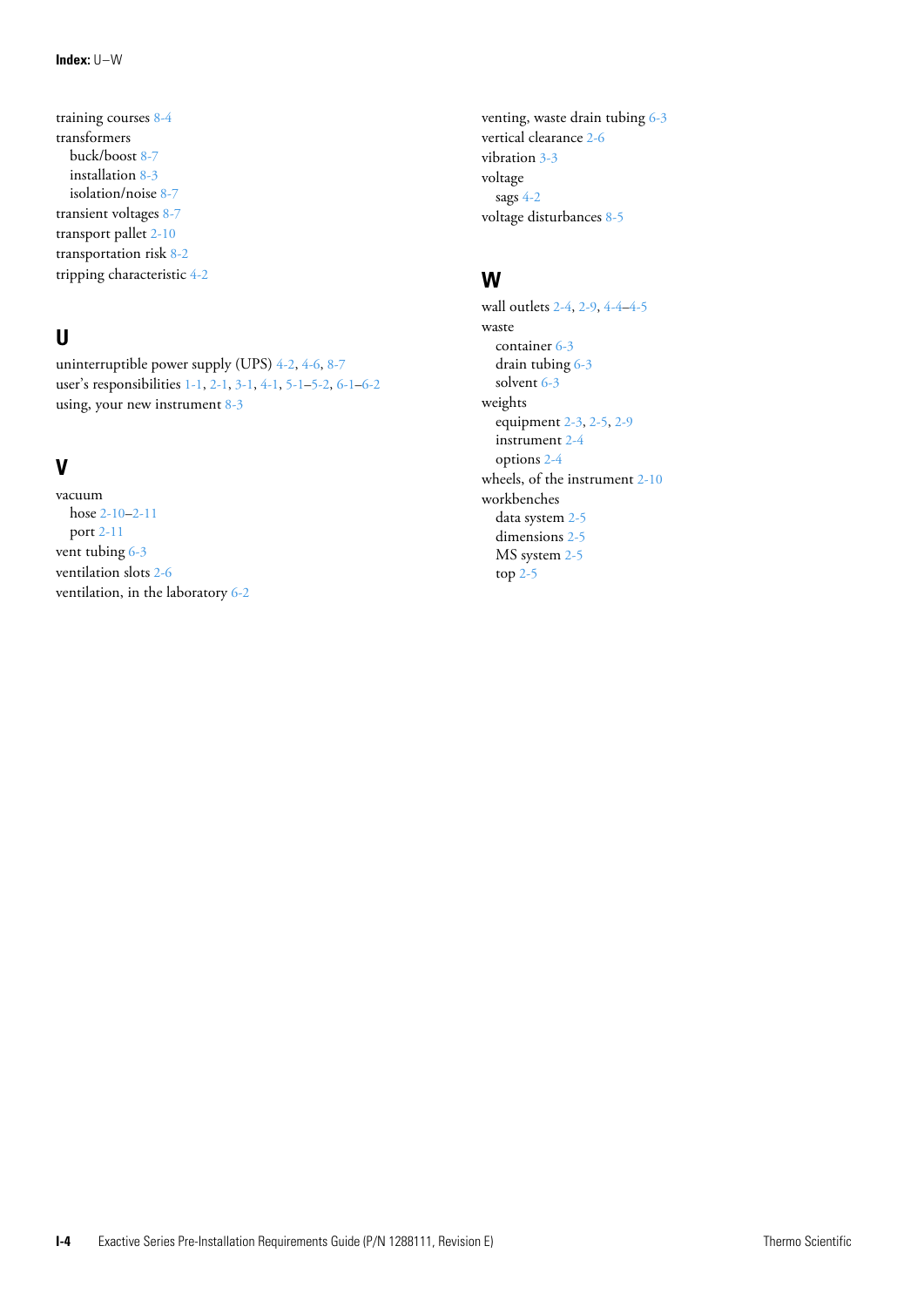training courses [8-4](#page-53-6) transformers buck/boost [8-7](#page-56-0) installation [8-3](#page-52-7) isolation/noise [8-7](#page-56-2) transient voltages [8-7](#page-56-4) transport pallet [2-10](#page-23-12) transportation risk [8-2](#page-51-8) tripping characteristic [4-2](#page-31-13)

### **U**

uninterruptible power supply (UPS) [4-2](#page-31-14), [4-6](#page-35-9), [8-7](#page-56-5) user's responsibilities [1-1,](#page-8-4) [2-1](#page-14-1), [3-1](#page-26-1), [4-1,](#page-30-1) [5-1](#page-36-1)–[5-2](#page-37-5), [6-1](#page-42-1)[–6-2](#page-43-13) using, your new instrument [8-3](#page-52-8)

## **V**

vacuum hose [2-10](#page-23-13)[–2-11](#page-24-8) port [2-11](#page-24-9) vent tubing [6-3](#page-44-6) ventilation slots [2-6](#page-19-4) ventilation, in the laboratory [6-2](#page-43-9) venting, waste drain tubing [6-3](#page-44-7) vertical clearance [2-6](#page-19-5) vibration [3-3](#page-28-3) voltage sags [4-2](#page-31-15) voltage disturbances [8-5](#page-54-11)

### **W**

wall outlets [2-4](#page-17-13), [2-9,](#page-22-15) [4-4](#page-33-2)–[4-5](#page-34-10) waste container [6-3](#page-44-8) drain tubing [6-3](#page-44-7) solvent [6-3](#page-44-9) weights equipment [2-3](#page-16-2), [2-5,](#page-18-3) [2-9](#page-22-5) instrument [2-4](#page-17-7) options [2-4](#page-17-14) wheels, of the instrument [2-10](#page-23-10) workbenches data system [2-5](#page-18-9) dimensions [2-5](#page-18-10) MS system [2-5](#page-18-11) top [2-5](#page-18-12)